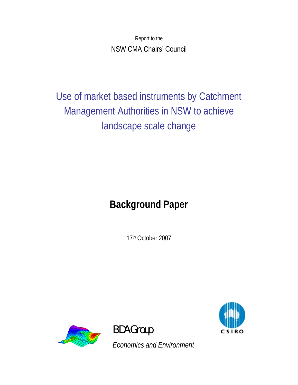Report to the NSW CMA Chairs' Council

Use of market based instruments by Catchment Management Authorities in NSW to achieve landscape scale change

# **Background Paper**

17th October 2007



BDA Group

*Economics and Environment* 

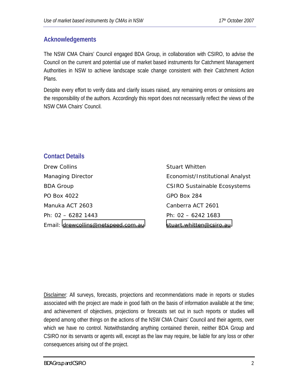# **Acknowledgements**

The NSW CMA Chairs' Council engaged BDA Group, in collaboration with CSIRO, to advise the Council on the current and potential use of market based instruments for Catchment Management Authorities in NSW to achieve landscape scale change consistent with their Catchment Action Plans.

Despite every effort to verify data and clarify issues raised, any remaining errors or omissions are the responsibility of the authors. Accordingly this report does not necessarily reflect the views of the NSW CMA Chairs' Council.

# **Contact Details**

Drew Collins **Stuart Whitten** Managing Director **Example 2018** Economist/Institutional Analyst BDA Group CSIRO Sustainable Ecosystems PO Box 4022 GPO Box 284 Manuka ACT 2603 Canberra ACT 2601 Ph: 02 – 6282 1443 Ph: 02 – 6242 1683 Email: [drewcollins@netspeed.com.au](mailto:drewcollins@netspeed.com.au) [stuart.whitten@csiro.au](mailto:stuart.whitten@csiro.au) 

Disclaimer: All surveys, forecasts, projections and recommendations made in reports or studies associated with the project are made in good faith on the basis of information available at the time; and achievement of objectives, projections or forecasts set out in such reports or studies will depend among other things on the actions of the NSW CMA Chairs' Council and their agents, over which we have no control. Notwithstanding anything contained therein, neither BDA Group and CSIRO nor its servants or agents will, except as the law may require, be liable for any loss or other consequences arising out of the project.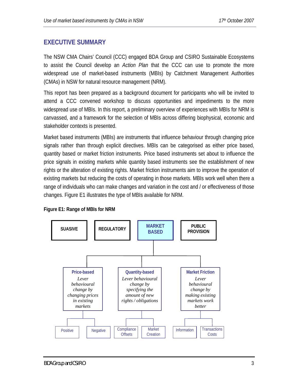# <span id="page-2-0"></span>**EXECUTIVE SUMMARY**

The NSW CMA Chairs' Council (CCC) engaged BDA Group and CSIRO Sustainable Ecosystems to assist the Council develop an *Action Plan* that the CCC can use to promote the more widespread use of market-based instruments (MBIs) by Catchment Management Authorities (CMAs) in NSW for natural resource management (NRM).

This report has been prepared as a background document for participants who will be invited to attend a CCC convened workshop to discuss opportunities and impediments to the more widespread use of MBIs. In this report, a preliminary overview of experiences with MBIs for NRM is canvassed, and a framework for the selection of MBIs across differing biophysical, economic and stakeholder contexts is presented.

Market based instruments (MBIs) are instruments that influence behaviour through changing price signals rather than through explicit directives. MBIs can be categorised as either price based, quantity based or market friction instruments. Price based instruments set about to influence the price signals in existing markets while quantity based instruments see the establishment of new rights or the alteration of existing rights. Market friction instruments aim to improve the operation of existing markets but reducing the costs of operating in those markets. MBIs work well when there a range of individuals who can make changes and variation in the cost and / or effectiveness of those changes. Figure E1 illustrates the type of MBIs available for NRM.



#### **Figure E1: Range of MBIs for NRM**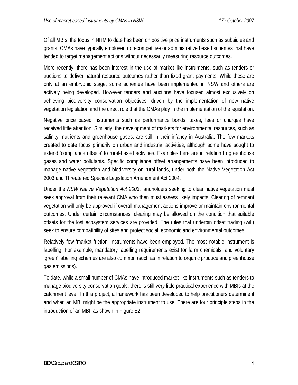Of all MBIs, the focus in NRM to date has been on positive price instruments such as subsidies and grants. CMAs have typically employed non-competitive or administrative based schemes that have tended to target management actions without necessarily measuring resource outcomes.

More recently, there has been interest in the use of market-like instruments, such as tenders or auctions to deliver natural resource outcomes rather than fixed grant payments. While these are only at an embryonic stage, some schemes have been implemented in NSW and others are actively being developed. However tenders and auctions have focused almost exclusively on achieving biodiversity conservation objectives, driven by the implementation of new native vegetation legislation and the direct role that the CMAs play in the implementation of the legislation.

Negative price based instruments such as performance bonds, taxes, fees or charges have received little attention. Similarly, the development of markets for environmental resources, such as salinity, nutrients and greenhouse gases, are still in their infancy in Australia. The few markets created to date focus primarily on urban and industrial activities, although some have sought to extend 'compliance offsets' to rural-based activities. Examples here are in relation to greenhouse gases and water pollutants. Specific compliance offset arrangements have been introduced to manage native vegetation and biodiversity on rural lands, under both the Native Vegetation Act 2003 and Threatened Species Legislation Amendment Act 2004.

Under the *NSW Native Vegetation Act 2003*, landholders seeking to clear native vegetation must seek approval from their relevant CMA who then must assess likely impacts. Clearing of remnant vegetation will only be approved if overall management actions improve or maintain environmental outcomes. Under certain circumstances, clearing may be allowed on the condition that suitable offsets for the lost ecosystem services are provided. The rules that underpin offset trading (will) seek to ensure compatibility of sites and protect social, economic and environmental outcomes.

Relatively few 'market friction' instruments have been employed. The most notable instrument is labelling. For example, mandatory labelling requirements exist for farm chemicals, and voluntary 'green' labelling schemes are also common (such as in relation to organic produce and greenhouse gas emissions).

To date, while a small number of CMAs have introduced market-like instruments such as tenders to manage biodiversity conservation goals, there is still very little practical experience with MBIs at the catchment level. In this project, a framework has been developed to help practitioners determine if and when an MBI might be the appropriate instrument to use. There are four principle steps in the introduction of an MBI, as shown in Figure E2.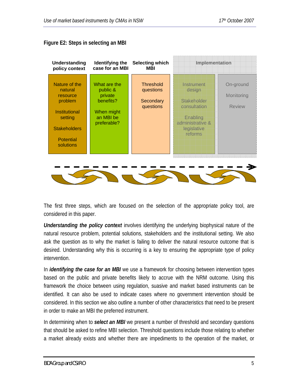

#### **Figure E2: Steps in selecting an MBI**

The first three steps, which are focused on the selection of the appropriate policy tool, are considered in this paper.

*Understanding the policy context* involves identifying the underlying biophysical nature of the natural resource problem, potential solutions, stakeholders and the institutional setting. We also ask the question as to why the market is failing to deliver the natural resource outcome that is desired. Understanding why this is occurring is a key to ensuring the appropriate type of policy intervention.

In *identifying the case for an MBI* we use a framework for choosing between intervention types based on the public and private benefits likely to accrue with the NRM outcome. Using this framework the choice between using regulation, suasive and market based instruments can be identified. It can also be used to indicate cases where no government intervention should be considered. In this section we also outline a number of other characteristics that need to be present in order to make an MBI the preferred instrument.

In determining when to *select an MBI* we present a number of threshold and secondary questions that should be asked to refine MBI selection. Threshold questions include those relating to whether a market already exists and whether there are impediments to the operation of the market, or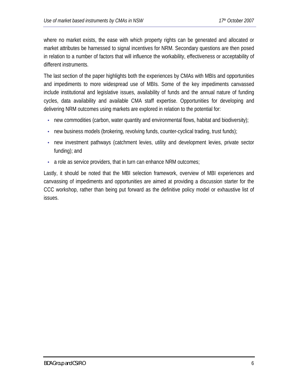where no market exists, the ease with which property rights can be generated and allocated or market attributes be harnessed to signal incentives for NRM. Secondary questions are then posed in relation to a number of factors that will influence the workability, effectiveness or acceptability of different instruments.

The last section of the paper highlights both the experiences by CMAs with MBIs and opportunities and impediments to more widespread use of MBIs. Some of the key impediments canvassed include institutional and legislative issues, availability of funds and the annual nature of funding cycles, data availability and available CMA staff expertise. Opportunities for developing and delivering NRM outcomes using markets are explored in relation to the potential for:

- new commodities (carbon, water quantity and environmental flows, habitat and biodiversity);
- new business models (brokering, revolving funds, counter-cyclical trading, trust funds);
- new investment pathways (catchment levies, utility and development levies, private sector funding); and
- a role as service providers, that in turn can enhance NRM outcomes;

Lastly, it should be noted that the MBI selection framework, overview of MBI experiences and canvassing of impediments and opportunities are aimed at providing a discussion starter for the CCC workshop, rather than being put forward as the definitive policy model or exhaustive list of issues.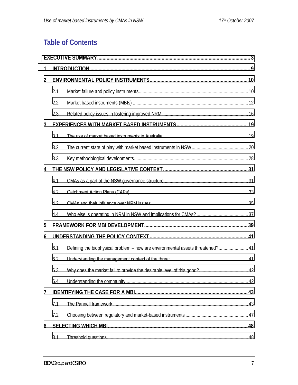# **Table of Contents**

| 1              |     |                                                                                |  |  |  |
|----------------|-----|--------------------------------------------------------------------------------|--|--|--|
| $\overline{2}$ |     |                                                                                |  |  |  |
|                | 2.1 |                                                                                |  |  |  |
|                | 2.2 |                                                                                |  |  |  |
|                | 2.3 |                                                                                |  |  |  |
| $\mathbf{3}$   |     |                                                                                |  |  |  |
|                | 3.1 |                                                                                |  |  |  |
|                | 3.2 |                                                                                |  |  |  |
|                | 3.3 |                                                                                |  |  |  |
| 4              |     |                                                                                |  |  |  |
|                | 4.1 |                                                                                |  |  |  |
|                | 4.2 |                                                                                |  |  |  |
|                | 4.3 |                                                                                |  |  |  |
|                | 4.4 |                                                                                |  |  |  |
| 5              |     |                                                                                |  |  |  |
| 6              |     |                                                                                |  |  |  |
|                | 6.1 | Defining the biophysical problem - how are environmental assets threatened? 41 |  |  |  |
|                | 6.2 |                                                                                |  |  |  |
|                | 6.3 |                                                                                |  |  |  |
|                | 6.4 |                                                                                |  |  |  |
| $\overline{7}$ |     |                                                                                |  |  |  |
|                | 7.1 |                                                                                |  |  |  |
|                | 7.2 |                                                                                |  |  |  |
| 8              |     |                                                                                |  |  |  |
|                | 8.1 |                                                                                |  |  |  |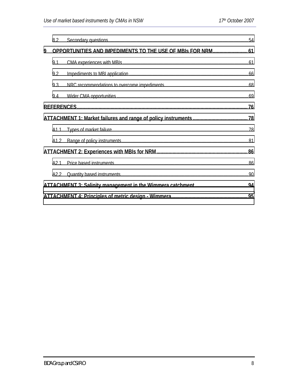|   | 8.2                                                         |  |  |  |  |
|---|-------------------------------------------------------------|--|--|--|--|
| 9 | OPPORTUNITIES AND IMPEDIMENTS TO THE USE OF MBIS FOR NRM 61 |  |  |  |  |
|   | 9.1                                                         |  |  |  |  |
|   | 9.2                                                         |  |  |  |  |
|   | 9.3                                                         |  |  |  |  |
|   | 9.4                                                         |  |  |  |  |
|   |                                                             |  |  |  |  |
|   |                                                             |  |  |  |  |
|   | A1.1                                                        |  |  |  |  |
|   | A1.2                                                        |  |  |  |  |
|   |                                                             |  |  |  |  |
|   | A2.1                                                        |  |  |  |  |
|   | A2.2                                                        |  |  |  |  |
|   |                                                             |  |  |  |  |
|   |                                                             |  |  |  |  |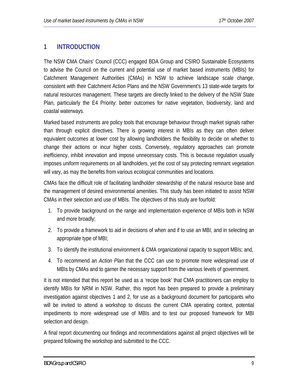# <span id="page-8-0"></span>**1 INTRODUCTION**

The NSW CMA Chairs' Council (CCC) engaged BDA Group and CSIRO Sustainable Ecosystems to advise the Council on the current and potential use of market based instruments (MBIs) for Catchment Management Authorities (CMAs) in NSW to achieve landscape scale change, consistent with their Catchment Action Plans and the NSW Government's 13 state-wide targets for natural resources management. These targets are directly linked to the delivery of the NSW State Plan, particularly the E4 Priority: better outcomes for native vegetation, biodiversity, land and coastal waterways.

Marked based instruments are policy tools that encourage behaviour through market signals rather than through explicit directives. There is growing interest in MBIs as they can often deliver equivalent outcomes at lower cost by allowing landholders the flexibility to decide on whether to change their actions or incur higher costs. Conversely, regulatory approaches can promote inefficiency, inhibit innovation and impose unnecessary costs. This is because regulation usually imposes uniform requirements on all landholders, yet the cost of say protecting remnant vegetation will vary, as may the benefits from various ecological communities and locations.

CMAs face the difficult role of facilitating landholder stewardship of the natural resource base and the management of desired environmental amenities. This study has been initiated to assist NSW CMAs in their selection and use of MBIs. The objectives of this study are fourfold:

- 1. To provide background on the range and implementation experience of MBIs both in NSW and more broadly;
- 2. To provide a framework to aid in decisions of when and if to use an MBI, and in selecting an appropriate type of MBI;
- 3. To identify the institutional environment & CMA organizational capacity to support MBIs; and,
- 4. To recommend an *Action Plan* that the CCC can use to promote more widespread use of MBIs by CMAs and to garner the necessary support from the various levels of government.

It is not intended that this report be used as a 'recipe book' that CMA practitioners can employ to identify MBIs for NRM in NSW. Rather, this report has been prepared to provide a preliminary investigation against objectives 1 and 2, for use as a background document for participants who will be invited to attend a workshop to discuss the current CMA operating context, potential impediments to more widespread use of MBIs and to test our proposed framework for MBI selection and design.

A final report documenting our findings and recommendations against all project objectives will be prepared following the workshop and submitted to the CCC.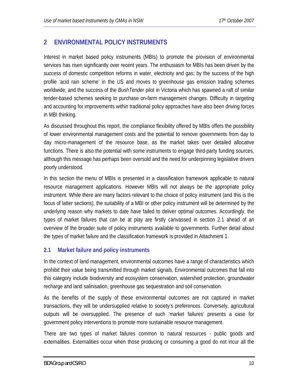# <span id="page-9-0"></span>**2 ENVIRONMENTAL POLICY INSTRUMENTS**

Interest in market based policy instruments (MBIs) to promote the provision of environmental services has risen significantly over recent years. The enthusiasm for MBIs has been driven by the success of domestic competition reforms in water, electricity and gas; by the success of the high profile 'acid rain scheme' in the US and moves to greenhouse gas emission trading schemes worldwide; and the success of the *BushTender* pilot in Victoria which has spawned a raft of similar tender-based schemes seeking to purchase on-farm management changes. Difficulty in targeting and accounting for improvements within traditional policy approaches have also been driving forces in MBI thinking.

As discussed throughout this report, the compliance flexibility offered by MBIs offers the possibility of lower environmental management costs and the potential to remove governments from day to day micro-management of the resource base, as the market takes over detailed allocative functions. There is also the potential with some instruments to engage third-party funding sources, although this message has perhaps been oversold and the need for underpinning legislative drivers poorly understood.

In this section the menu of MBIs is presented in a classification framework applicable to natural resource management applications. However MBIs will not always be the appropriate policy instrument. While there are many factors relevant to the choice of policy instrument (and this is the focus of latter sections), the suitability of a MBI or other policy instrument will be determined by the underlying reason why markets to date have failed to deliver optimal outcomes. Accordingly, the types of market failures that can be at play are firstly canvassed in section 2.1 ahead of an overview of the broader suite of policy instruments available to governments. Further detail about the types of market failure and the classification framework is provided in Attachment 1.

#### **2.1 Market failure and policy instruments**

In the context of land management, environmental outcomes have a range of characteristics which prohibit their value being transmitted through market signals. Environmental outcomes that fall into this category include biodiversity and ecosystem conservation, watershed protection, groundwater recharge and land salinisation, greenhouse gas sequestration and soil conservation.

As the benefits of the supply of these environmental outcomes are not captured in market transactions, they will be undersupplied relative to society's preferences. Conversely, agricultural outputs will be oversupplied. The presence of such 'market failures' presents a case for government policy interventions to promote more sustainable resource management.

There are two types of market failures common to natural resources - public goods and externalities. Externalities occur when those producing or consuming a good do not incur all the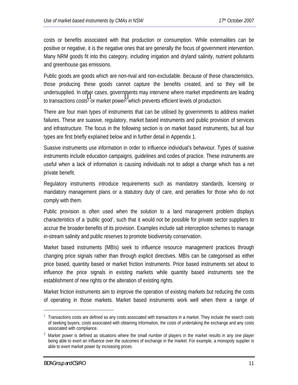costs or benefits associated with that production or consumption. While externalities can be positive or negative, it is the negative ones that are generally the focus of government intervention. Many NRM goods fit into this category, including irrigation and dryland salinity, nutrient pollutants and greenhouse gas emissions.

Public goods are goods which are non-rival and non-excludable. Because of these characteristics, those producing these goods cannot capture the benefits created, and so they will be undersupplied. In other cases, governments may intervene where market impediments are leading to transactions costs<sup>1</sup> or market power<sup>2</sup> which prevents efficient levels of production.

There are four main types of instruments that can be utilised by governments to address market failures. These are suasive, regulatory, market based instruments and public provision of services and infrastructure. The focus in the following section is on market based instruments, but all four types are first briefly explained below and in further detail in Appendix 1.

Suasive instruments use information in order to influence individual's behaviour. Types of suasive instruments include education campaigns, guidelines and codes of practice. These instruments are useful when a lack of information is causing individuals not to adopt a change which has a net private benefit.

Regulatory instruments introduce requirements such as mandatory standards, licensing or mandatory management plans or a statutory duty of care, and penalties for those who do not comply with them.

Public provision is often used when the solution to a land management problem displays characteristics of a 'public good', such that it would not be possible for private sector suppliers to accrue the broader benefits of its provision. Examples include salt interception schemes to manage in-stream salinity and public reserves to promote biodiversity conservation.

Market based instruments (MBIs) seek to influence resource management practices through changing price signals rather than through explicit directives. MBIs can be categorised as either price based, quantity based or market friction instruments. Price based instruments set about to influence the price signals in existing markets while quantity based instruments see the establishment of new rights or the alteration of existing rights.

Market friction instruments aim to improve the operation of existing markets but reducing the costs of operating in those markets. Market based instruments work well when there a range of

<u>.</u>

<sup>1</sup> Transactions costs are defined as any costs associated with transactions in a market. They include the search costs of seeking buyers, costs associated with obtaining information, the costs of undertaking the exchange and any costs associated with compliance.

 $2$  Market power is defined as situations where the small number of players in the market results in any one player being able to exert an influence over the outcomes of exchange in the market. For example, a monopoly supplier is able to exert market power by increasing prices.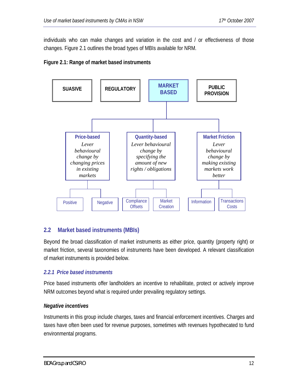<span id="page-11-0"></span>individuals who can make changes and variation in the cost and / or effectiveness of those changes. Figure 2.1 outlines the broad types of MBIs available for NRM.





#### **2.2 Market based instruments (MBIs)**

Beyond the broad classification of market instruments as either price, quantity (property right) or market friction, several taxonomies of instruments have been developed. A relevant classification of market instruments is provided below.

#### *2.2.1 Price based instruments*

Price based instruments offer landholders an incentive to rehabilitate, protect or actively improve NRM outcomes beyond what is required under prevailing regulatory settings.

#### *Negative incentives*

Instruments in this group include charges, taxes and financial enforcement incentives. Charges and taxes have often been used for revenue purposes, sometimes with revenues hypothecated to fund environmental programs.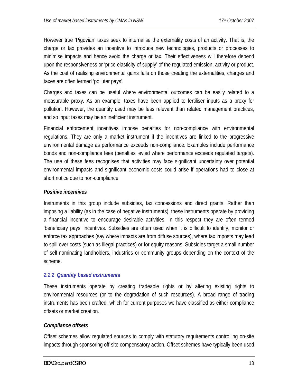However true 'Pigovian' taxes seek to internalise the externality costs of an activity. That is, the charge or tax provides an incentive to introduce new technologies, products or processes to minimise impacts and hence avoid the charge or tax. Their effectiveness will therefore depend upon the responsiveness or 'price elasticity of supply' of the regulated emission, activity or product. As the cost of realising environmental gains falls on those creating the externalities, charges and taxes are often termed 'polluter pays'.

Charges and taxes can be useful where environmental outcomes can be easily related to a measurable proxy. As an example, taxes have been applied to fertiliser inputs as a proxy for pollution. However, the quantity used may be less relevant than related management practices, and so input taxes may be an inefficient instrument.

Financial enforcement incentives impose penalties for non-compliance with environmental regulations. They are only a market instrument if the incentives are linked to the progressive environmental damage as performance exceeds non-compliance. Examples include performance bonds and non-compliance fees (penalties levied where performance exceeds regulated targets). The use of these fees recognises that activities may face significant uncertainty over potential environmental impacts and significant economic costs could arise if operations had to close at short notice due to non-compliance.

#### *Positive incentives*

Instruments in this group include subsidies, tax concessions and direct grants. Rather than imposing a liability (as in the case of negative instruments), these instruments operate by providing a financial incentive to encourage desirable activities. In this respect they are often termed 'beneficiary pays' incentives. Subsidies are often used when it is difficult to identify, monitor or enforce tax approaches (say where impacts are from diffuse sources), where tax imposts may lead to spill over costs (such as illegal practices) or for equity reasons. Subsidies target a small number of self-nominating landholders, industries or community groups depending on the context of the scheme.

#### *2.2.2 Quantity based instruments*

These instruments operate by creating tradeable rights or by altering existing rights to environmental resources (or to the degradation of such resources). A broad range of trading instruments has been crafted, which for current purposes we have classified as either compliance offsets or market creation.

#### *Compliance offsets*

Offset schemes allow regulated sources to comply with statutory requirements controlling on-site impacts through sponsoring off-site compensatory action. Offset schemes have typically been used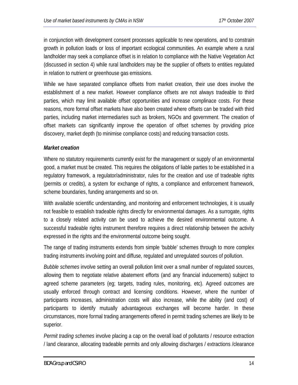in conjunction with development consent processes applicable to new operations, and to constrain growth in pollution loads or loss of important ecological communities. An example where a rural landholder may seek a compliance offset is in relation to compliance with the Native Vegetation Act (discussed in section 4) while rural landholders may be the supplier of offsets to entities regulated in relation to nutrient or greenhouse gas emissions.

While we have separated compliance offsets from market creation, their use does involve the establishment of a new market. However compliance offsets are not always tradeable to third parties, which may limit available offset opportunities and increase complinace costs. For these reasons, more formal offset markets have also been created where offsets can be traded with third parties, including market intermediaries such as brokers, NGOs and government. The creation of offset markets can significantly improve the operation of offset schemes by providing price discovery, market depth (to minimise compliance costs) and reducing transaction costs.

#### *Market creation*

Where no statutory requirements currently exist for the management or supply of an environmental good, a market must be created. This requires the obligations of liable parties to be established in a regulatory framework, a regulator/administrator, rules for the creation and use of tradeable rights (permits or credits), a system for exchange of rights, a compliance and enforcement framework, scheme boundaries, funding arrangements and so on.

With available scientific understanding, and monitoring and enforcement technologies, it is usually not feasible to establish tradeable rights directly for environmental damages. As a surrogate, rights to a closely related activity can be used to achieve the desired environmental outcome. A successful tradeable rights instrument therefore requires a direct relationship between the activity expressed in the rights and the environmental outcome being sought.

The range of trading instruments extends from simple 'bubble' schemes through to more complex trading instruments involving point and diffuse, regulated and unregulated sources of pollution.

*Bubble schemes* involve setting an overall pollution limit over a small number of regulated sources, allowing them to negotiate relative abatement efforts (and any financial inducements) subject to agreed scheme parameters (eg; targets, trading rules, monitoring, etc). Agreed outcomes are usually enforced through contract and licensing conditions. However, where the number of participants increases, administration costs will also increase, while the ability (and cost) of participants to identify mutually advantageous exchanges will become harder. In these circumstances, more formal trading arrangements offered in permit trading schemes are likely to be superior.

*Permit trading schemes* involve placing a cap on the overall load of pollutants / resource extraction / land clearance, allocating tradeable permits and only allowing discharges / extractions /clearance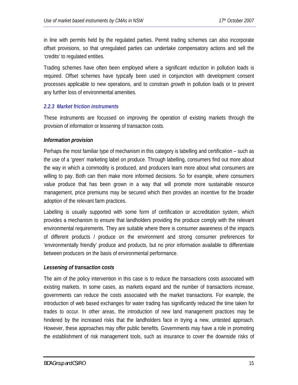in line with permits held by the regulated parties. Permit trading schemes can also incorporate offset provisions, so that unregulated parties can undertake compensatory actions and sell the 'credits' to regulated entities.

Trading schemes have often been employed where a significant *reduction* in pollution loads is required. Offset schemes have typically been used in conjunction with development consent processes applicable to new operations, and to constrain *growth* in pollution loads or to prevent any further loss of environmental amenities.

#### *2.2.3 Market friction instruments*

These instruments are focussed on improving the operation of existing markets through the provision of information or lessening of transaction costs.

#### *Information provision*

Perhaps the most familiar type of mechanism in this category is labelling and certification – such as the use of a 'green' marketing label on produce. Through labelling, consumers find out more about the way in which a commodity is produced, and producers learn more about what consumers are willing to pay. Both can then make more informed decisions. So for example, where consumers value produce that has been grown in a way that will promote more sustainable resource management, price premiums may be secured which then provides an incentive for the broader adoption of the relevant farm practices.

Labelling is usually supported with some form of certification or accreditation system, which provides a mechanism to ensure that landholders providing the produce comply with the relevant environmental requirements. They are suitable where there is consumer awareness of the impacts of different products / produce on the environment and strong consumer preferences for 'environmentally friendly' produce and products, but no prior information available to differentiate between producers on the basis of environmental performance.

#### *Lessening of transaction costs*

The aim of the policy intervention in this case is to reduce the transactions costs associated with existing markets. In some cases, as markets expand and the number of transactions increase, governments can reduce the costs associated with the market transactions. For example, the introduction of web based exchanges for water trading has significantly reduced the time taken for trades to occur. In other areas, the introduction of new land management practices may be hindered by the increased risks that the landholders face in trying a new, untested approach. However, these approaches may offer public benefits. Governments may have a role in promoting the establishment of risk management tools, such as insurance to cover the downside risks of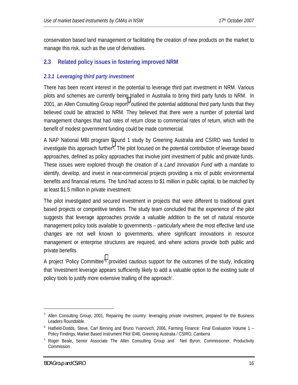<span id="page-15-0"></span>conservation based land management or facilitating the creation of new products on the market to manage this risk, such as the use of derivatives.

### **2.3 Related policy issues in fostering improved NRM**

#### *2.3.1 Leveraging third party investment*

There has been recent interest in the potential to leverage third part investment in NRM. Various pilots and schemes are currently being trialled in Australia to bring third party funds to NRM. In 2001, an Allen Consulting Group report<sup>3</sup> outlined the potential additional third party funds that they believed could be attracted to NRM. They believed that there were a number of potential land management changes that had rates of return close to commercial rates of return, which with the benefit of modest government funding could be made commercial.

A NAP National MBI program Round 1 study by Greening Australia and CSIRO was funded to investigate this approach further4. The pilot focused on the potential contribution of leverage based approaches, defined as policy approaches that involve joint investment of public and private funds. These issues were explored through the creation of a *Land Innovation Fund* with a mandate to identify, develop, and invest in near-commercial projects providing a mix of public environmental benefits and financial returns. The fund had access to \$1 million in public capital, to be matched by at least \$1.5 million in private investment.

The pilot investigated and secured investment in projects that were different to traditional grant based projects or competitive tenders. The study team concluded that the experience of the pilot suggests that leverage approaches provide a valuable addition to the set of natural resource management policy tools available to governments – particularly where the most effective land use changes are not well known to governments, where significant innovations in resource management or enterprise structures are required, and where actions provide both public and private benefits.

A project 'Policy Committee'5 provided cautious support for the outcomes of the study, indicating that 'investment leverage appears sufficiently likely to add a valuable option to the existing suite of policy tools to justify more extensive trialling of the approach'.

1

<sup>&</sup>lt;sup>3</sup> Allen Consulting Group, 2001, Repairing the country: leveraging private investment, prepared for the Business Leaders Roundtable.

<sup>&</sup>lt;sup>4</sup> Hatfield-Dodds, Steve, Carl Binning and Bruno Yvanovich, 2006, Farming Finance: Final Evaluation Volume 1 -Policy Findings, Market Based Instrument Pilot ID46, Greening Australia / CSIRO, Canberra

<sup>&</sup>lt;sup>5</sup> Roger Beale, Senior Associate The Allen Consulting Group and Neil Byron, Commissioner, Productivity Commission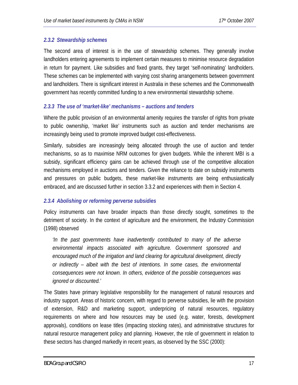#### *2.3.2 Stewardship schemes*

The second area of interest is in the use of stewardship schemes. They generally involve landholders entering agreements to implement certain measures to minimise resource degradation in return for payment. Like subsidies and fixed grants, they target 'self-nominating' landholders. These schemes can be implemented with varying cost sharing arrangements between government and landholders. There is significant interest in Australia in these schemes and the Commonwealth government has recently committed funding to a new environmental stewardship scheme.

#### *2.3.3 The use of 'market-like' mechanisms – auctions and tenders*

Where the public provision of an environmental amenity requires the transfer of rights from private to public ownership, 'market like' instruments such as auction and tender mechanisms are increasingly being used to promote improved budget cost-effectiveness.

Similarly, subsidies are increasingly being allocated through the use of auction and tender mechanisms, so as to maximise NRM outcomes for given budgets. While the inherent MBI is a subsidy, significant efficiency gains can be achieved through use of the competitive allocation mechanisms employed in auctions and tenders. Given the reliance to date on subsidy instruments and pressures on public budgets, these market-like instruments are being enthusiastically embraced, and are discussed further in section 3.3.2 and experiences with them in Section 4.

#### *2.3.4 Abolishing or reforming perverse subsidies*

Policy instruments can have broader impacts than those directly sought, sometimes to the detriment of society. In the context of agriculture and the environment, the Industry Commission (1998) observed

*'In the past governments have inadvertently contributed to many of the adverse environmental impacts associated with agriculture. Government sponsored and encouraged much of the irrigation and land clearing for agricultural development, directly or indirectly – albeit with the best of intentions. In some cases, the environmental consequences were not known. In others, evidence of the possible consequences was ignored or discounted.'* 

The States have primary legislative responsibility for the management of natural resources and industry support. Areas of historic concern, with regard to perverse subsidies, lie with the provision of extension, R&D and marketing support, underpricing of natural resources, regulatory requirements on where and how resources may be used (e.g. water, forests, development approvals), conditions on lease titles (impacting stocking rates), and administrative structures for natural resource management policy and planning. However, the role of government in relation to these sectors has changed markedly in recent years, as observed by the SSC (2000):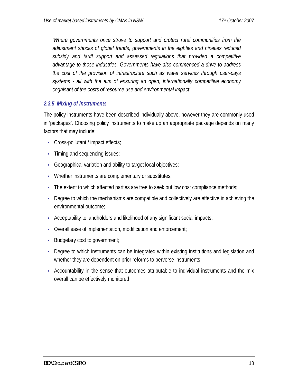*'Where governments once strove to support and protect rural communities from the adjustment shocks of global trends, governments in the eighties and nineties reduced subsidy and tariff support and assessed regulations that provided a competitive advantage to those industries. Governments have also commenced a drive to address the cost of the provision of infrastructure such as water services through user-pays systems - all with the aim of ensuring an open, internationally competitive economy cognisant of the costs of resource use and environmental impact'.* 

#### *2.3.5 Mixing of instruments*

The policy instruments have been described individually above, however they are commonly used in 'packages'. Choosing policy instruments to make up an appropriate package depends on many factors that may include:

- Cross-pollutant / impact effects;
- Timing and sequencing issues;
- Geographical variation and ability to target local objectives;
- Whether instruments are complementary or substitutes;
- The extent to which affected parties are free to seek out low cost compliance methods;
- Degree to which the mechanisms are compatible and collectively are effective in achieving the environmental outcome;
- Acceptability to landholders and likelihood of any significant social impacts;
- Overall ease of implementation, modification and enforcement;
- Budgetary cost to government;
- Degree to which instruments can be integrated within existing institutions and legislation and whether they are dependent on prior reforms to perverse instruments;
- Accountability in the sense that outcomes attributable to individual instruments and the mix overall can be effectively monitored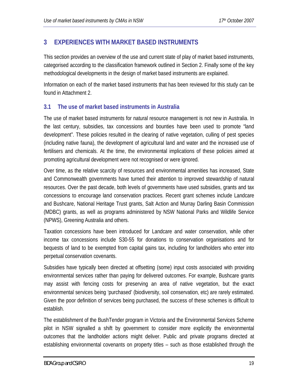# <span id="page-18-0"></span>**3 EXPERIENCES WITH MARKET BASED INSTRUMENTS**

This section provides an overview of the use and current state of play of market based instruments, categorised according to the classification framework outlined in Section 2. Finally some of the key methodological developments in the design of market based instruments are explained.

Information on each of the market based instruments that has been reviewed for this study can be found in Attachment 2.

#### **3.1 The use of market based instruments in Australia**

The use of market based instruments for natural resource management is not new in Australia. In the last century, subsidies, tax concessions and bounties have been used to promote "land development". These policies resulted in the clearing of native vegetation, culling of pest species (including native fauna), the development of agricultural land and water and the increased use of fertilisers and chemicals. At the time, the environmental implications of these policies aimed at promoting agricultural development were not recognised or were ignored.

Over time, as the relative scarcity of resources and environmental amenities has increased, State and Commonwealth governments have turned their attention to improved stewardship of natural resources. Over the past decade, both levels of governments have used subsidies, grants and tax concessions to encourage land conservation practices. Recent grant schemes include Landcare and Bushcare, National Heritage Trust grants, Salt Action and Murray Darling Basin Commission (MDBC) grants, as well as programs administered by NSW National Parks and Wildlife Service (NPWS), Greening Australia and others.

Taxation concessions have been introduced for Landcare and water conservation, while other income tax concessions include S30-55 for donations to conservation organisations and for bequests of land to be exempted from capital gains tax, including for landholders who enter into perpetual conservation covenants.

Subsidies have typically been directed at offsetting (some) input costs associated with providing environmental services rather than paying for delivered outcomes. For example, Bushcare grants may assist with fencing costs for preserving an area of native vegetation, but the exact environmental services being 'purchased' (biodiversity, soil conservation, etc) are rarely estimated. Given the poor definition of services being purchased, the success of these schemes is difficult to establish.

The establishment of the BushTender program in Victoria and the Environmental Services Scheme pilot in NSW signalled a shift by government to consider more explicitly the environmental outcomes that the landholder actions might deliver. Public and private programs directed at establishing environmental covenants on property titles – such as those established through the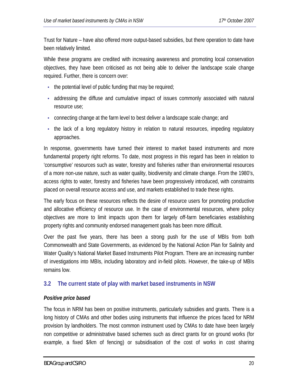<span id="page-19-0"></span>Trust for Nature – have also offered more output-based subsidies, but there operation to date have been relatively limited.

While these programs are credited with increasing awareness and promoting local conservation objectives, they have been criticised as not being able to deliver the landscape scale change required. Further, there is concern over:

- $\bullet$  the potential level of public funding that may be required;
- addressing the diffuse and cumulative impact of issues commonly associated with natural resource use;
- connecting change at the farm level to best deliver a landscape scale change; and
- the lack of a long regulatory history in relation to natural resources, impeding regulatory approaches.

In response, governments have turned their interest to market based instruments and more fundamental property right reforms. To date, most progress in this regard has been in relation to 'consumptive' resources such as water, forestry and fisheries rather than environmental resources of a more non-use nature, such as water quality, biodiversity and climate change. From the 1980's, access rights to water, forestry and fisheries have been progressively introduced, with constraints placed on overall resource access and use, and markets established to trade these rights.

The early focus on these resources reflects the desire of resource users for promoting productive and allocative efficiency of resource use. In the case of environmental resources, where policy objectives are more to limit impacts upon them for largely off-farm beneficiaries establishing property rights and community endorsed management goals has been more difficult.

Over the past five years, there has been a strong push for the use of MBIs from both Commonwealth and State Governments, as evidenced by the National Action Plan for Salinity and Water Quality's National Market Based Instruments Pilot Program. There are an increasing number of investigations into MBIs, including laboratory and in-field pilots. However, the take-up of MBIs remains low.

#### **3.2 The current state of play with market based instruments in NSW**

#### *Positive price based*

The focus in NRM has been on positive instruments, particularly subsidies and grants. There is a long history of CMAs and other bodies using instruments that influence the prices faced for NRM provision by landholders. The most common instrument used by CMAs to date have been largely non competitive or administrative based schemes such as direct grants for on ground works (for example, a fixed \$/km of fencing) or subsidisation of the cost of works in cost sharing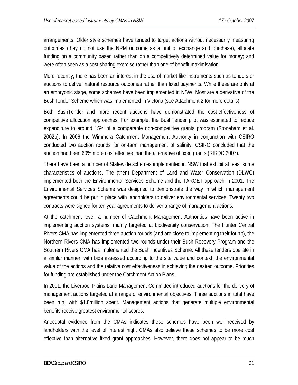arrangements. Older style schemes have tended to target actions without necessarily measuring outcomes (they do not use the NRM outcome as a unit of exchange and purchase), allocate funding on a community based rather than on a competitively determined value for money; and were often seen as a cost sharing exercise rather than one of benefit maximisation.

More recently, there has been an interest in the use of market-like instruments such as tenders or auctions to deliver natural resource outcomes rather than fixed payments. While these are only at an embryonic stage, some schemes have been implemented in NSW. Most are a derivative of the BushTender Scheme which was implemented in Victoria (see Attachment 2 for more details).

Both BushTender and more recent auctions have demonstrated the cost-effectiveness of competitive allocation approaches. For example, the BushTender pilot was estimated to reduce expenditure to around 15% of a comparable non-competitive grants program (Stoneham et al. 2002b). In 2006 the Wimmera Catchment Management Authority in conjunction with CSIRO conducted two auction rounds for on-farm management of salinity. CSIRO concluded that the auction had been 60% more cost effective than the alternative of fixed grants (RIRDC 2007).

There have been a number of Statewide schemes implemented in NSW that exhibit at least some characteristics of auctions. The (then) Department of Land and Water Conservation (DLWC) implemented both the Environmental Services Scheme and the TARGET approach in 2001. The Environmental Services Scheme was designed to demonstrate the way in which management agreements could be put in place with landholders to deliver environmental services. Twenty two contracts were signed for ten year agreements to deliver a range of management actions.

At the catchment level, a number of Catchment Management Authorities have been active in implementing auction systems, mainly targeted at biodiversity conservation. The Hunter Central Rivers CMA has implemented three auction rounds (and are close to implementing their fourth), the Northern Rivers CMA has implemented two rounds under their Bush Recovery Program and the Southern Rivers CMA has implemented the Bush Incentives Scheme. All these tenders operate in a similar manner, with bids assessed according to the site value and context, the environmental value of the actions and the relative cost effectiveness in achieving the desired outcome. Priorities for funding are established under the Catchment Action Plans.

In 2001, the Liverpool Plains Land Management Committee introduced auctions for the delivery of management actions targeted at a range of environmental objectives. Three auctions in total have been run, with \$1.8million spent. Management actions that generate multiple environmental benefits receive greatest environmental scores.

Anecdotal evidence from the CMAs indicates these schemes have been well received by landholders with the level of interest high. CMAs also believe these schemes to be more cost effective than alternative fixed grant approaches. However, there does not appear to be much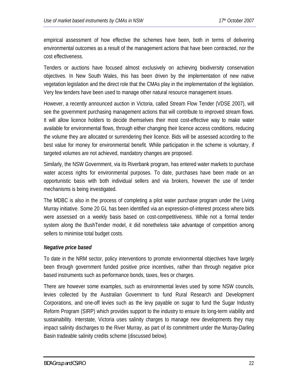empirical assessment of how effective the schemes have been, both in terms of delivering environmental outcomes as a result of the management actions that have been contracted, nor the cost effectiveness.

Tenders or auctions have focused almost exclusively on achieving biodiversity conservation objectives. In New South Wales, this has been driven by the implementation of new native vegetation legislation and the direct role that the CMAs play in the implementation of the legislation. Very few tenders have been used to manage other natural resource management issues.

However, a recently announced auction in Victoria, called Stream Flow Tender (VDSE 2007), will see the government purchasing management actions that will contribute to improved stream flows. It will allow licence holders to decide themselves their most cost-effective way to make water available for environmental flows, through either changing their licence access conditions, reducing the volume they are allocated or surrendering their licence. Bids will be assessed according to the best value for money for environmental benefit. While participation in the scheme is voluntary, if targeted volumes are not achieved, mandatory changes are proposed.

Similarly, the NSW Government, via its Riverbank program, has entered water markets to purchase water access rights for environmental purposes. To date, purchases have been made on an opportunistic basis with both individual sellers and via brokers, however the use of tender mechanisms is being investigated.

The MDBC is also in the process of completing a pilot water purchase program under the Living Murray initiative. Some 20 GL has been identified via an expression-of-interest process where bids were assessed on a weekly basis based on cost-competitiveness. While not a formal tender system along the BushTender model, it did nonetheless take advantage of competition among sellers to minimise total budget costs.

#### *Negative price based*

To date in the NRM sector, policy interventions to promote environmental objectives have largely been through government funded positive price incentives, rather than through negative price based instruments such as performance bonds, taxes, fees or charges.

There are however some examples, such as environmental levies used by some NSW councils, levies collected by the Australian Government to fund Rural Research and Development Corporations, and one-off levies such as the levy payable on sugar to fund the Sugar Industry Reform Program (SIRP) which provides support to the industry to ensure its long-term viability and sustainability. Interstate, Victoria uses salinity charges to manage new developments they may impact salinity discharges to the River Murray, as part of its commitment under the Murray-Darling Basin tradeable salinity credits scheme (discussed below).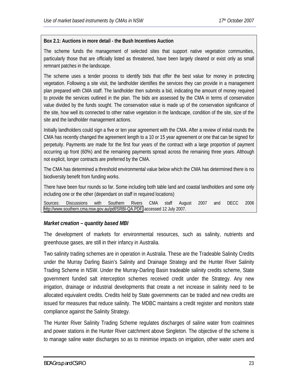#### **Box 2.1: Auctions in more detail - the Bush Incentives Auction**

The scheme funds the management of selected sites that support native vegetation communities, particularly those that are officially listed as threatened, have been largely cleared or exist only as small remnant patches in the landscape.

The scheme uses a tender process to identify bids that offer the best value for money in protecting vegetation. Following a site visit, the landholder identifies the services they can provide in a management plan prepared with CMA staff. The landholder then submits a bid, indicating the amount of money required to provide the services outlined in the plan. The bids are assessed by the CMA in terms of conservation value divided by the funds sought. The conservation value is made up of the conservation significance of the site, how well its connected to other native vegetation in the landscape, condition of the site, size of the site and the landholder management actions.

Initially landholders could sign a five or ten year agreement with the CMA. After a review of initial rounds the CMA has recently changed the agreement length to a 10 or 15 year agreement or one that can be signed for perpetuity. Payments are made for the first four years of the contract with a large proportion of payment occurring up front (60%) and the remaining payments spread across the remaining three years. Although not explicit, longer contracts are preferred by the CMA.

The CMA has determined a threshold environmental value below which the CMA has determined there is no biodiversity benefit from funding works.

There have been four rounds so far. Some including both table land and coastal landholders and some only including one or the other (dependant on staff in required locations)

Sources: Discussions with Southern Rivers CMA staff August 2007 and DECC 2006 [http://www.southern.cma.nsw.gov.au/pdf/SRBI-QA.PDF,](http://www.southern.cma.nsw.gov.au/pdf/SRBI-QA.PDF) accessed 12 July 2007.

#### *Market creation – quantity based MBI*

The development of markets for environmental resources, such as salinity, nutrients and greenhouse gases, are still in their infancy in Australia.

Two salinity trading schemes are in operation in Australia. These are the Tradeable Salinity Credits under the Murray Darling Basin's Salinity and Drainage Strategy and the Hunter River Salinity Trading Scheme in NSW. Under the Murray-Darling Basin tradeable salinity credits scheme, State government funded salt interception schemes received credit under the Strategy. Any new irrigation, drainage or industrial developments that create a net increase in salinity need to be allocated equivalent credits. Credits held by State governments can be traded and new credits are issued for measures that reduce salinity. The MDBC maintains a credit register and monitors state compliance against the Salinity Strategy.

The Hunter River Salinity Trading Scheme regulates discharges of saline water from coalmines and power stations in the Hunter River catchment above Singleton. The objective of the scheme is to manage saline water discharges so as to minimise impacts on irrigation, other water users and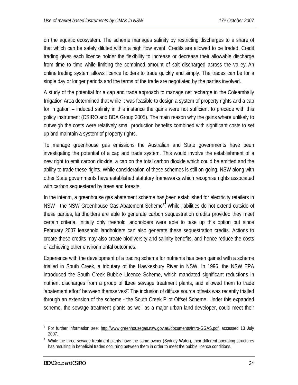on the aquatic ecosystem. The scheme manages salinity by restricting discharges to a share of that which can be safely diluted within a high flow event. Credits are allowed to be traded. Credit trading gives each licence holder the flexibility to increase or decrease their allowable discharge from time to time while limiting the combined amount of salt discharged across the valley. An online trading system allows licence holders to trade quickly and simply. The trades can be for a single day or longer periods and the terms of the trade are negotiated by the parties involved.

A study of the potential for a cap and trade approach to manage net recharge in the Coleambally Irrigation Area determined that while it was feasible to design a system of property rights and a cap for irrigation – induced salinity in this instance the gains were not sufficient to precede with this policy instrument (CSIRO and BDA Group 2005). The main reason why the gains where unlikely to outweigh the costs were relatively small production benefits combined with significant costs to set up and maintain a system of property rights.

To manage greenhouse gas emissions the Australian and State governments have been investigating the potential of a cap and trade system. This would involve the establishment of a new right to emit carbon dioxide, a cap on the total carbon dioxide which could be emitted and the ability to trade these rights. While consideration of these schemes is still on-going, NSW along with other State governments have established statutory frameworks which recognise rights associated with carbon sequestered by trees and forests.

In the interim, a greenhouse gas abatement scheme has been established for electricity retailers in NSW - the NSW Greenhouse Gas Abatement Scheme6. While liabilities do not extend outside of these parties, landholders are able to generate carbon sequestration credits provided they meet certain criteria. Initially only freehold landholders were able to take up this option but since February 2007 leasehold landholders can also generate these sequestration credits. Actions to create these credits may also create biodiversity and salinity benefits, and hence reduce the costs of achieving other environmental outcomes.

Experience with the development of a trading scheme for nutrients has been gained with a scheme trialled in South Creek, a tributary of the Hawkesbury River in NSW. In 1996, the NSW EPA introduced the South Creek Bubble Licence Scheme, which mandated significant reductions in nutrient discharges from a group of three sewage treatment plants, and allowed them to trade 'abatement effort' between themselves7. The inclusion of diffuse source offsets was recently trialled through an extension of the scheme - the South Creek Pilot Offset Scheme. Under this expanded scheme, the sewage treatment plants as well as a major urban land developer, could meet their

<u>.</u>

<sup>&</sup>lt;sup>6</sup> For further information see: http://www.greenhousegas.nsw.gov.au/documents/Intro-GGAS.pdf, accessed 13 July 2007.

 $7$  While the three sewage treatment plants have the same owner (Sydney Water), their different operating structures has resulting in beneficial trades occurring between them in order to meet the bubble licence conditions.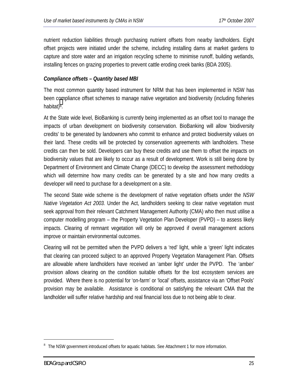nutrient reduction liabilities through purchasing nutrient offsets from nearby landholders. Eight offset projects were initiated under the scheme, including installing dams at market gardens to capture and store water and an irrigation recycling scheme to minimise runoff, building wetlands, installing fences on grazing properties to prevent cattle eroding creek banks (BDA 2005).

#### *Compliance offsets – Quantity based MBI*

The most common quantity based instrument for NRM that has been implemented in NSW has been compliance offset schemes to manage native vegetation and biodiversity (including fisheries habitat)<sup>8</sup>.

At the State wide level, BioBanking is currently being implemented as an offset tool to manage the impacts of urban development on biodiversity conservation. BioBanking will allow 'biodiversity credits' to be generated by landowners who commit to enhance and protect biodiversity values on their land. These credits will be protected by conservation agreements with landholders. These credits can then be sold. Developers can buy these credits and use them to offset the impacts on biodiversity values that are likely to occur as a result of development. Work is still being done by Department of Environment and Climate Change (DECC) to develop the assessment methodology which will determine how many credits can be generated by a site and how many credits a developer will need to purchase for a development on a site.

The second State wide scheme is the development of native vegetation offsets under the *NSW Native Vegetation Act 2003.* Under the Act, landholders seeking to clear native vegetation must seek approval from their relevant Catchment Management Authority (CMA) who then must utilise a computer modelling program – the Property Vegetation Plan Developer (PVPD) – to assess likely impacts. Clearing of remnant vegetation will only be approved if overall management actions improve or maintain environmental outcomes.

Clearing will not be permitted when the PVPD delivers a 'red' light, while a 'green' light indicates that clearing can proceed subject to an approved Property Vegetation Management Plan. Offsets are allowable where landholders have received an 'amber light' under the PVPD. The 'amber' provision allows clearing on the condition suitable offsets for the lost ecosystem services are provided. Where there is no potential for 'on-farm' or 'local' offsets, assistance via an 'Offset Pools' provision may be available. Assistance is conditional on satisfying the relevant CMA that the landholder will suffer relative hardship and real financial loss due to not being able to clear.

<u>.</u>

<sup>&</sup>lt;sup>8</sup> The NSW government introduced offsets for aquatic habitats. See Attachment 1 for more information.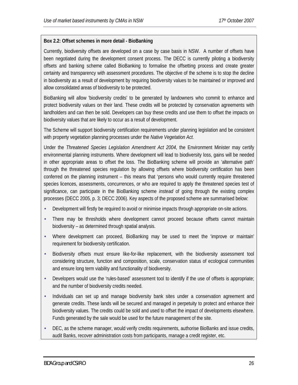#### **Box 2.2: Offset schemes in more detail - BioBanking**

Currently, biodiversity offsets are developed on a case by case basis in NSW. A number of offsets have been negotiated during the development consent process. The DECC is currently piloting a biodiversity offsets and banking scheme called BioBanking to formalise the offsetting process and create greater certainty and transparency with assessment procedures. The objective of the scheme is to stop the decline in biodiversity as a result of development by requiring biodiversity values to be maintained or improved and allow consolidated areas of biodiversity to be protected.

BioBanking will allow 'biodiversity credits' to be generated by landowners who commit to enhance and protect biodiversity values on their land. These credits will be protected by conservation agreements with landholders and can then be sold. Developers can buy these credits and use them to offset the impacts on biodiversity values that are likely to occur as a result of development.

The Scheme will support biodiversity certification requirements under planning legislation and be consistent with property vegetation planning processes under the *Native Vegetation Act*.

Under the *Threatened Species Legislation Amendment Act 2004*, the Environment Minister may certify environmental planning instruments. Where development will lead to biodiversity loss, gains will be needed in other appropriate areas to offset the loss. The BioBanking scheme will provide an 'alternative path' through the threatened species regulation by allowing offsets where biodiversity certification has been conferred on the planning instrument – this means that 'persons who would currently require threatened species licences, assessments, concurrences, or who are required to apply the threatened species test of significance, can participate in the BioBanking scheme *instead* of going through the existing complex processes (DECC 2005, p. 3; DECC 2006). Key aspects of the proposed scheme are summarised below:

- Development will firstly be required to avoid or minimise impacts through appropriate on-site actions.
- There may be thresholds where development cannot proceed because offsets cannot maintain biodiversity – as determined through spatial analysis.
- Where development can proceed, BioBanking may be used to meet the 'improve or maintain' requirement for biodiversity certification.
- Biodiversity offsets must ensure like-for-like replacement, with the biodiversity assessment tool considering structure, function and composition, scale, conservation status of ecological communities and ensure long term viability and functionality of biodiversity.
- Developers would use the 'rules-based' assessment tool to identify if the use of offsets is appropriate; and the number of biodiversity credits needed.
- Individuals can set up and manage biodiversity bank sites under a conservation agreement and generate credits. These lands will be secured and managed in perpetuity to protect and enhance their biodiversity values. The credits could be sold and used to offset the impact of developments elsewhere. Funds generated by the sale would be used for the future management of the site.
- DEC, as the scheme manager, would verify credits requirements, authorise BioBanks and issue credits, audit Banks, recover administration costs from participants, manage a credit register, etc.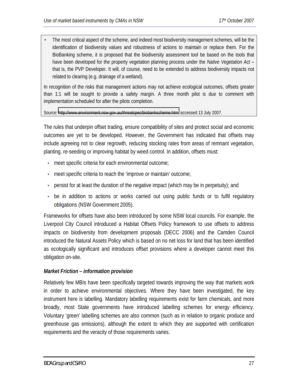• The most critical aspect of the scheme, and indeed most biodiversity management schemes, will be the identification of biodiversity values and robustness of actions to maintain or replace them. For the BioBanking scheme, it is proposed that the biodiversity assessment tool be based on the tools that have been developed for the property vegetation planning process under the *Native Vegetation Act* – that is, the PVP Developer. It will, of course, need to be extended to address biodiversity impacts not related to clearing (e.g. drainage of a wetland).

In recognition of the risks that management actions may not achieve ecological outcomes, offsets greater than 1:1 will be sought to provide a safety margin. A three month pilot is due to comment with implementation scheduled for after the pilots completion.

Source: [http://www.environment.nsw.gov.au/threatspec/biobankscheme.htm,](http://www.environment.nsw.gov.au/threatspec/biobankscheme.htm) accessed 13 July 2007.

The rules that underpin offset trading, ensure compatibility of sites and protect social and economic outcomes are yet to be developed. However, the Government has indicated that offsets may include agreeing not to clear regrowth, reducing stocking rates from areas of remnant vegetation, planting, re-seeding or improving habitat by weed control. In addition, offsets must:

- meet specific criteria for each environmental outcome;
- meet specific criteria to reach the 'improve or maintain' outcome;
- persist for at least the duration of the negative impact (which may be in perpetuity); and
- be in addition to actions or works carried out using public funds or to fulfil regulatory obligations (NSW Government 2005).

Frameworks for offsets have also been introduced by some NSW local councils. For example, the Liverpool City Council introduced a Habitat Offsets Policy framework to use offsets to address impacts on biodiversity from development proposals (DECC 2006) and the Camden Council introduced the Natural Assets Policy which is based on no net loss for land that has been identified as ecologically significant and introduces offset provisions where a developer cannot meet this obligation on-site.

#### *Market Friction – information provision*

Relatively few MBIs have been specifically targeted towards improving the way that markets work in order to achieve environmental objectives. Where they have been investigated, the key instrument here is labelling. Mandatory labelling requirements exist for farm chemicals, and more broadly, most State governments have introduced labelling schemes for energy efficiency. Voluntary 'green' labelling schemes are also common (such as in relation to organic produce and greenhouse gas emissions), although the extent to which they are supported with certification requirements and the veracity of those requirements varies.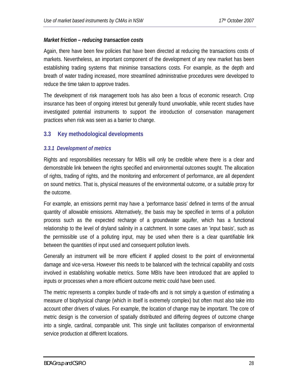#### <span id="page-27-0"></span>*Market friction – reducing transaction costs*

Again, there have been few policies that have been directed at reducing the transactions costs of markets. Nevertheless, an important component of the development of any new market has been establishing trading systems that minimise transactions costs. For example, as the depth and breath of water trading increased, more streamlined administrative procedures were developed to reduce the time taken to approve trades.

The development of risk management tools has also been a focus of economic research. Crop insurance has been of ongoing interest but generally found unworkable, while recent studies have investigated potential instruments to support the introduction of conservation management practices when risk was seen as a barrier to change.

#### **3.3 Key methodological developments**

#### *3.3.1 Development of metrics*

Rights and responsibilities necessary for MBIs will only be credible where there is a clear and demonstrable link between the rights specified and environmental outcomes sought. The allocation of rights, trading of rights, and the monitoring and enforcement of performance, are all dependent on sound metrics. That is, physical measures of the environmental outcome, or a suitable proxy for the outcome.

For example, an emissions permit may have a 'performance basis' defined in terms of the annual quantity of allowable emissions. Alternatively, the basis may be specified in terms of a pollution process such as the expected recharge of a groundwater aquifer, which has a functional relationship to the level of dryland salinity in a catchment. In some cases an 'input basis', such as the permissible use of a polluting input, may be used when there is a clear quantifiable link between the quantities of input used and consequent pollution levels.

Generally an instrument will be more efficient if applied closest to the point of environmental damage and vice-versa. However this needs to be balanced with the technical capability and costs involved in establishing workable metrics. Some MBIs have been introduced that are applied to inputs or processes when a more efficient outcome metric could have been used.

The metric represents a complex bundle of trade-offs and is not simply a question of estimating a measure of biophysical change (which in itself is extremely complex) but often must also take into account other drivers of values. For example, the location of change may be important. The core of metric design is the conversion of spatially distributed and differing degrees of outcome change into a single, cardinal, comparable unit. This single unit facilitates comparison of environmental service production at different locations.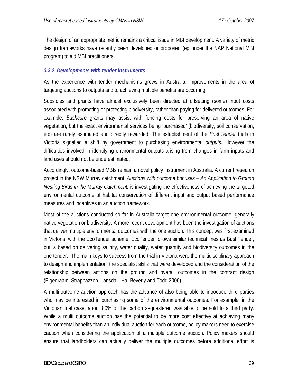The design of an appropriate metric remains a critical issue in MBI development. A variety of metric design frameworks have recently been developed or proposed (eg under the NAP National MBI program) to aid MBI practitioners.

#### *3.3.2 Developments with tender instruments*

As the experience with tender mechanisms grows in Australia, improvements in the area of targeting auctions to outputs and to achieving multiple benefits are occurring.

Subsidies and grants have almost exclusively been directed at offsetting (some) input costs associated with promoting or protecting biodiversity, rather than paying for delivered outcomes. For example, *Bushcare* grants may assist with fencing costs for preserving an area of native vegetation, but the exact environmental services being 'purchased' (biodiversity, soil conservation, etc) are rarely estimated and directly rewarded. The establishment of the *BushTender* trials in Victoria signalled a shift by government to purchasing environmental *outputs*. However the difficulties involved in identifying environmental outputs arising from changes in farm inputs and land uses should not be underestimated.

Accordingly, outcome-based MBIs remain a novel policy instrument in Australia. A current research project in the NSW Murray catchment, *Auctions with outcome bonuses – An Application to Ground Nesting Birds in the Murray Catchment,* is investigating the effectiveness of achieving the targeted environmental outcome of habitat conservation of different input and output based performance measures and incentives in an auction framework.

Most of the auctions conducted so far in Australia target one environmental outcome, generally native vegetation or biodiversity. A more recent development has been the investigation of auctions that deliver multiple environmental outcomes with the one auction. This concept was first examined in Victoria, with the EcoTender scheme. EcoTender follows similar technical lines as BushTender, but is based on delivering salinity, water quality, water quantity and biodiversity outcomes in the one tender. The main keys to success from the trial in Victoria were the multidisciplinary approach to design and implementation, the specialist skills that were developed and the consideration of the relationship between actions on the ground and overall outcomes in the contract design (Eigenraam, Strappazzon, Lansdall, Ha, Beverly and Todd 2006).

A multi-outcome auction approach has the advance of also being able to introduce third parties who may be interested in purchasing some of the environmental outcomes. For example, in the Victorian trial case, about 80% of the carbon sequestered was able to be sold to a third party. While a multi outcome auction has the potential to be more cost effective at achieving many environmental benefits than an individual auction for each outcome, policy makers need to exercise caution when considering the application of a multiple outcome auction. Policy makers should ensure that landholders can actually deliver the multiple outcomes before additional effort is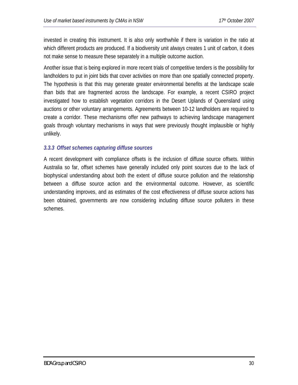invested in creating this instrument. It is also only worthwhile if there is variation in the ratio at which different products are produced. If a biodiversity unit always creates 1 unit of carbon, it does not make sense to measure these separately in a multiple outcome auction.

Another issue that is being explored in more recent trials of competitive tenders is the possibility for landholders to put in joint bids that cover activities on more than one spatially connected property. The hypothesis is that this may generate greater environmental benefits at the landscape scale than bids that are fragmented across the landscape. For example, a recent CSIRO project investigated how to establish vegetation corridors in the Desert Uplands of Queensland using auctions or other voluntary arrangements. Agreements between 10-12 landholders are required to create a corridor. These mechanisms offer new pathways to achieving landscape management goals through voluntary mechanisms in ways that were previously thought implausible or highly unlikely.

#### *3.3.3 Offset schemes capturing diffuse sources*

A recent development with compliance offsets is the inclusion of diffuse source offsets. Within Australia so far, offset schemes have generally included only point sources due to the lack of biophysical understanding about both the extent of diffuse source pollution and the relationship between a diffuse source action and the environmental outcome. However, as scientific understanding improves, and as estimates of the cost effectiveness of diffuse source actions has been obtained, governments are now considering including diffuse source polluters in these schemes.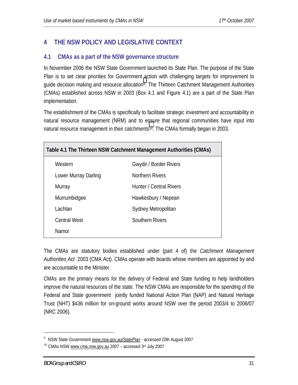# <span id="page-30-0"></span>**4 THE NSW POLICY AND LEGISLATIVE CONTEXT**

#### **4.1 CMAs as a part of the NSW governance structure**

In November 2006 the NSW State Government launched its State Plan. The purpose of the State Plan is to set clear priorities for Government action with challenging targets for improvement to guide decision making and resource allocation9. The Thirteen Catchment Management Authorities (CMAs) established across NSW in 2003 (Box 4.1 and Figure 4.1) are a part of the State Plan implementation.

The establishment of the CMAs is specifically to facilitate strategic investment and accountability in natural resource management (NRM) and to ensure that regional communities have input into natural resource management in their catchments<sup>10</sup>. The CMAs formally began in 2003.

| Table 4.1 The Thirteen NSW Catchment Management Authorities (CMAs) |                               |  |  |  |  |
|--------------------------------------------------------------------|-------------------------------|--|--|--|--|
| Western                                                            | <b>Gwydir / Border Rivers</b> |  |  |  |  |
| Lower Murray Darling                                               | <b>Northern Rivers</b>        |  |  |  |  |
| Murray                                                             | Hunter / Central Rivers       |  |  |  |  |
| Murrumbidgee                                                       | Hawkesbury / Nepean           |  |  |  |  |
| Lachlan                                                            | Sydney Metropolitan           |  |  |  |  |
| <b>Central West</b>                                                | Southern Rivers               |  |  |  |  |
| Namoi                                                              |                               |  |  |  |  |

The CMAs are statutory bodies established under (part 4 of) the *Catchment Management Authorities Act* 2003 (CMA Act). CMAs operate with boards whose members are appointed by and are accountable to the Minister.

CMAs are the primary means for the delivery of Federal and State funding to help landholders improve the natural resources of the state. The NSW CMAs are responsible for the spending of the Federal and State government jointly funded National Action Plan (NAP) and Natural Heritage Trust (NHT) \$436 million for on-ground works around NSW over the period 2003/4 to 2006/07 (NRC 2006).

1

<sup>&</sup>lt;sup>9</sup> NSW State Government www.nsw.gov.au/StatePlan - accessed 20th August 2007

<sup>&</sup>lt;sup>10</sup> CMAs NSW www.cma.nsw.gov.au 2007 - accessed 3rd July 2007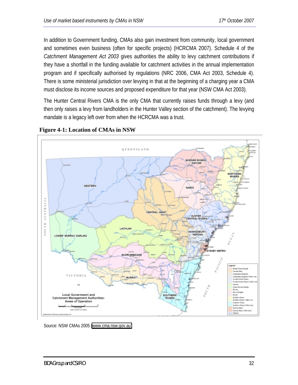In addition to Government funding, CMAs also gain investment from community, local government and sometimes even business (often for specific projects) (HCRCMA 2007). Schedule 4 of the *Catchment Management Act 2003* gives authorities the ability to levy catchment contributions if they have a shortfall in the funding available for catchment activities in the annual implementation program and if specifically authorised by regulations (NRC 2006, CMA Act 2003, Schedule 4). There is some ministerial jurisdiction over levying in that at the beginning of a charging year a CMA must disclose its income sources and proposed expenditure for that year (NSW CMA Act 2003).

The Hunter Central Rivers CMA is the only CMA that currently raises funds through a levy (and then only raises a levy from landholders in the Hunter Valley section of the catchment). The levying mandate is a legacy left over from when the HCRCMA was a trust.



**Figure 4-1: Location of CMAs in NSW**

Source: NSW CMAs 2005 [\(www.cma.nsw.gov.au\)](http://www.cma.nsw.gov.au/)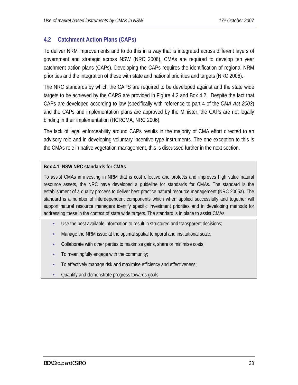## <span id="page-32-0"></span>**4.2 Catchment Action Plans (CAPs)**

To deliver NRM improvements and to do this in a way that is integrated across different layers of government and strategic across NSW (NRC 2006), CMAs are required to develop ten year catchment action plans (CAPs). Developing the CAPs requires the identification of regional NRM priorities and the integration of these with state and national priorities and targets (NRC 2006).

The NRC standards by which the CAPS are required to be developed against and the state wide targets to be achieved by the CAPS are provided in Figure 4.2 and Box 4.2. Despite the fact that CAPs are developed according to law (specifically with reference to part 4 of the *CMA Act 2003*) and the CAPs and implementation plans are approved by the Minister, the CAPs are not legally binding in their implementation (HCRCMA, NRC 2006).

The lack of legal enforceability around CAPs results in the majority of CMA effort directed to an advisory role and in developing voluntary incentive type instruments. The one exception to this is the CMAs role in native vegetation management, this is discussed further in the next section.

#### **Box 4.1: NSW NRC standards for CMAs**

To assist CMAs in investing in NRM that is cost effective and protects and improves high value natural resource assets, the NRC have developed a guideline for standards for CMAs. The standard is the establishment of a quality process to deliver best practice natural resource management (NRC 2005a). The standard is a number of interdependent components which when applied successfully and together will support natural resource managers identify specific investment priorities and in developing methods for addressing these in the context of state wide targets. The standard is in place to assist CMAs:

- Use the best available information to result in structured and transparent decisions;
- Manage the NRM issue at the optimal spatial temporal and institutional scale;
- Collaborate with other parties to maximise gains, share or minimise costs;
- To meaningfully engage with the community;
- To effectively manage risk and maximise efficiency and effectiveness;
- Quantify and demonstrate progress towards goals.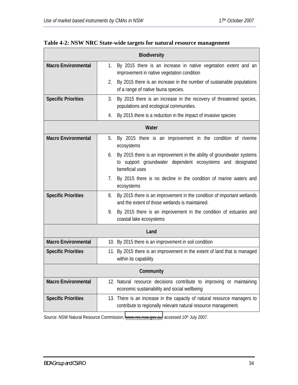| <b>Biodiversity</b>        |                                                                                                                                                              |  |  |  |  |
|----------------------------|--------------------------------------------------------------------------------------------------------------------------------------------------------------|--|--|--|--|
| <b>Macro Environmental</b> | By 2015 there is an increase in native vegetation extent and an<br>1.<br>improvement in native vegetation condition                                          |  |  |  |  |
|                            | By 2015 there is an increase in the number of sustainable populations<br>2.<br>of a range of native fauna species.                                           |  |  |  |  |
| <b>Specific Priorities</b> | By 2015 there is an increase in the recovery of threatened species,<br>3.<br>populations and ecological communities.                                         |  |  |  |  |
|                            | By 2015 there is a reduction in the impact of invasive species<br>4.                                                                                         |  |  |  |  |
| Water                      |                                                                                                                                                              |  |  |  |  |
| <b>Macro Environmental</b> | By 2015 there is an improvement in the condition of riverine<br>5.<br>ecosystems                                                                             |  |  |  |  |
|                            | By 2015 there is an improvement in the ability of groundwater systems<br>6.<br>to support groundwater dependent ecosystems and designated<br>beneficial uses |  |  |  |  |
|                            | 7.<br>By 2015 there is no decline in the condition of marine waters and<br>ecosystems                                                                        |  |  |  |  |
| <b>Specific Priorities</b> | By 2015 there is an improvement in the condition of important wetlands<br>8.<br>and the extent of those wetlands is maintained.                              |  |  |  |  |
|                            | By 2015 there is an improvement in the condition of estuaries and<br>9.<br>coastal lake ecosystems                                                           |  |  |  |  |
|                            | Land                                                                                                                                                         |  |  |  |  |
| <b>Macro Environmental</b> | 10. By 2015 there is an improvement in soil condition                                                                                                        |  |  |  |  |
| <b>Specific Priorities</b> | 11. By 2015 there is an improvement in the extent of land that is managed<br>within its capability                                                           |  |  |  |  |
| Community                  |                                                                                                                                                              |  |  |  |  |
| <b>Macro Environmental</b> | 12. Natural resource decisions contribute to improving or maintaining<br>economic sustainability and social wellbeing                                        |  |  |  |  |
| <b>Specific Priorities</b> | 13. There is an increase in the capacity of natural resource managers to<br>contribute to regionally relevant natural resource management.                   |  |  |  |  |

# **Table 4-2: NSW NRC State-wide targets for natural resource management**

Source: NSW Natural Resource Commission, [www.nrc.nsw.gov.au,](http://www.nrc.nsw.gov.au/) accessed 10<sup>th</sup> July 2007.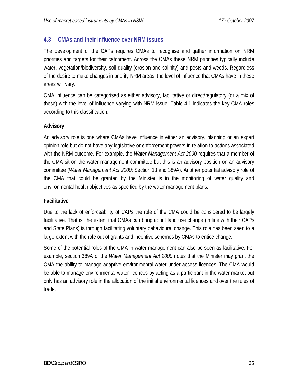## <span id="page-34-0"></span>**4.3 CMAs and their influence over NRM issues**

The development of the CAPs requires CMAs to recognise and gather information on NRM priorities and targets for their catchment. Across the CMAs these NRM priorities typically include water, vegetation/biodiversity, soil quality (erosion and salinity) and pests and weeds. Regardless of the desire to make changes in priority NRM areas, the level of influence that CMAs have in these areas will vary.

CMA influence can be categorised as either advisory, facilitative or direct/regulatory (or a mix of these) with the level of influence varying with NRM issue. Table 4.1 indicates the key CMA roles according to this classification.

#### **Advisory**

An advisory role is one where CMAs have influence in either an advisory, planning or an expert opinion role but do not have any legislative or enforcement powers in relation to actions associated with the NRM outcome. For example, the *Water Management Act 2000* requires that a member of the CMA sit on the water management committee but this is an advisory position on an advisory committee (*Water Management Act 2000*: Section 13 and 389A). Another potential advisory role of the CMA that could be granted by the Minister is in the monitoring of water quality and environmental health objectives as specified by the water management plans.

#### **Facilitative**

Due to the lack of enforceability of CAPs the role of the CMA could be considered to be largely facilitative. That is, the extent that CMAs can bring about land use change (in line with their CAPs and State Plans) is through facilitating voluntary behavioural change. This role has been seen to a large extent with the role out of grants and incentive schemes by CMAs to entice change.

Some of the potential roles of the CMA in water management can also be seen as facilitative. For example, section 389A of the *Water Management Act 2000* notes that the Minister may grant the CMA the ability to manage adaptive environmental water under access licences. The CMA would be able to manage environmental water licences by acting as a participant in the water market but only has an advisory role in the allocation of the initial environmental licences and over the rules of trade.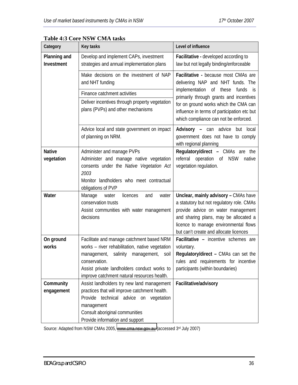| Category                          | <b>Key tasks</b>                                                                                                                                                                                                         | Level of influence                                                                                                                                                                                                                                  |  |
|-----------------------------------|--------------------------------------------------------------------------------------------------------------------------------------------------------------------------------------------------------------------------|-----------------------------------------------------------------------------------------------------------------------------------------------------------------------------------------------------------------------------------------------------|--|
| <b>Planning and</b><br>Investment | Develop and implement CAPs, investment<br>strategies and annual implementation plans                                                                                                                                     | Facilitative - developed according to<br>law but not legally binding/enforceable                                                                                                                                                                    |  |
|                                   | Make decisions on the investment of NAP<br>and NHT funding                                                                                                                                                               | Facilitative - because most CMAs are<br>delivering NAP and NHT funds. The                                                                                                                                                                           |  |
|                                   | Finance catchment activities                                                                                                                                                                                             | implementation of<br>these<br>funds<br>is.<br>primarily through grants and incentives<br>for on ground works which the CMA can<br>influence in terms of participation etc but<br>which compliance can not be enforced.                              |  |
|                                   | Deliver incentives through property vegetation<br>plans (PVPs) and other mechanisms                                                                                                                                      |                                                                                                                                                                                                                                                     |  |
|                                   | Advice local and state government on impact<br>of planning on NRM.                                                                                                                                                       | <b>Advisory -</b> can advice<br>but<br>local<br>government does not have to comply<br>with regional planning                                                                                                                                        |  |
| <b>Native</b><br>vegetation       | Administer and manage PVPs<br>Administer and manage native vegetation<br>consents under the Native Vegetation Act<br>2003<br>Monitor landholders who meet contractual<br>obligations of PVP                              | <b>Regulatory/direct - CMAs are the</b><br>referral<br>operation of<br><b>NSW</b><br>native<br>vegetation regulation.                                                                                                                               |  |
| Water                             | Manage<br>licences<br>water<br>and<br>water<br>conservation trusts<br>Assist communities with water management<br>decisions                                                                                              | Unclear, mainly advisory - CMAs have<br>a statutory but not regulatory role. CMAs<br>provide advice on water management<br>and sharing plans, may be allocated a<br>licence to manage environmental flows<br>but can't create and allocate licences |  |
| On ground                         | Facilitate and manage catchment based NRM                                                                                                                                                                                | Facilitative - incentive schemes are                                                                                                                                                                                                                |  |
| works                             | works - river rehabilitation, native vegetation<br>salinity management,<br>management,<br>soil<br>conservation.<br>Assist private landholders conduct works to<br>improve catchment natural resources health.            | voluntary.<br>Regulatory/direct - CMAs can set the<br>rules and requirements for incentive<br>participants (within boundaries)                                                                                                                      |  |
| Community<br>engagement           | Assist landholders try new land management<br>practices that will improve catchment health.<br>Provide technical advice on vegetation<br>management<br>Consult aboriginal communities<br>Provide information and support | Facilitative/advisory                                                                                                                                                                                                                               |  |

#### **Table 4:3 Core NSW CMA tasks**

Source: Adapted from NSW CMAs 2005, [www.cma.nsw.gov.au](http://www.cma.nsw.gov.au/) (accessed 3rd July 2007)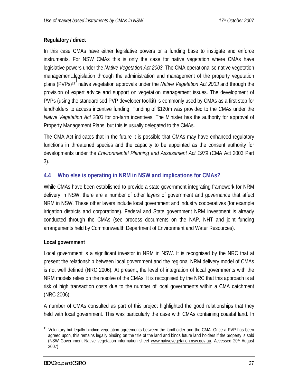# **Regulatory / direct**

In this case CMAs have either legislative powers or a funding base to instigate and enforce instruments. For NSW CMAs this is only the case for native vegetation where CMAs have legislative powers under the *Native Vegetation Act 2003*. The CMA operationalise native vegetation management legislation through the administration and management of the property vegetation plans (PVPs)11, native vegetation approvals under the *Native Vegetation Act 2003* and through the provision of expert advice and support on vegetation management issues. The development of PVPs (using the standardised PVP developer toolkit) is commonly used by CMAs as a first step for landholders to access incentive funding. Funding of \$120m was provided to the CMAs under the *Native Vegetation Act 2003* for on-farm incentives. The Minister has the authority for approval of Property Management Plans, but this is usually delegated to the CMAs.

The CMA Act indicates that in the future it is possible that CMAs may have enhanced regulatory functions in threatened species and the capacity to be appointed as the consent authority for developments under the *Environmental Planning and Assessment Act 1979* (CMA Act 2003 Part 3).

# **4.4 Who else is operating in NRM in NSW and implications for CMAs?**

While CMAs have been established to provide a state government integrating framework for NRM delivery in NSW, there are a number of other layers of government and governance that affect NRM in NSW. These other layers include local government and industry cooperatives (for example irrigation districts and corporations). Federal and State government NRM investment is already conducted through the CMAs (see process documents on the NAP, NHT and joint funding arrangements held by Commonwealth Department of Environment and Water Resources).

## **Local government**

Local government is a significant investor in NRM in NSW. It is recognised by the NRC that at present the relationship between local government and the regional NRM delivery model of CMAs is not well defined (NRC 2006). At present, the level of integration of local governments with the NRM models relies on the resolve of the CMAs. It is recognised by the NRC that this approach is at risk of high transaction costs due to the number of local governments within a CMA catchment (NRC 2006).

A number of CMAs consulted as part of this project highlighted the good relationships that they held with local government. This was particularly the case with CMAs containing coastal land. In

<u>.</u>

<sup>&</sup>lt;sup>11</sup> Voluntary but legally binding vegetation agreements between the landholder and the CMA. Once a PVP has been agreed upon, this remains legally binding on the title of the land and binds future land holders if the property is sold (NSW Government Native vegetation information sheet www.nativevegetation.nsw.gov.au. Accessed 20th August 2007)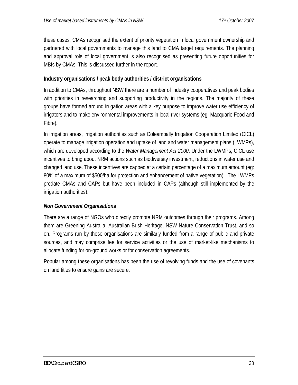these cases, CMAs recognised the extent of priority vegetation in local government ownership and partnered with local governments to manage this land to CMA target requirements. The planning and approval role of local government is also recognised as presenting future opportunities for MBIs by CMAs. This is discussed further in the report.

# **Industry organisations / peak body authorities / district organisations**

In addition to CMAs, throughout NSW there are a number of industry cooperatives and peak bodies with priorities in researching and supporting productivity in the regions. The majority of these groups have formed around irrigation areas with a key purpose to improve water use efficiency of irrigators and to make environmental improvements in local river systems (eg: Macquarie Food and Fibre).

In irrigation areas, irrigation authorities such as Coleambally Irrigation Cooperation Limited (CICL) operate to manage irrigation operation and uptake of land and water management plans (LWMPs), which are developed according to the *Water Management Act 2000*. Under the LWMPs, CICL use incentives to bring about NRM actions such as biodiversity investment, reductions in water use and changed land use. These incentives are capped at a certain percentage of a maximum amount (eg: 80% of a maximum of \$500/ha for protection and enhancement of native vegetation). The LWMPs predate CMAs and CAPs but have been included in CAPs (although still implemented by the irrigation authorities).

# *Non Government Organisations*

There are a range of NGOs who directly promote NRM outcomes through their programs. Among them are Greening Australia, Australian Bush Heritage, NSW Nature Conservation Trust, and so on. Programs run by these organisations are similarly funded from a range of public and private sources, and may comprise fee for service activities or the use of market-like mechanisms to allocate funding for on-ground works or for conservation agreements.

Popular among these organisations has been the use of revolving funds and the use of covenants on land titles to ensure gains are secure.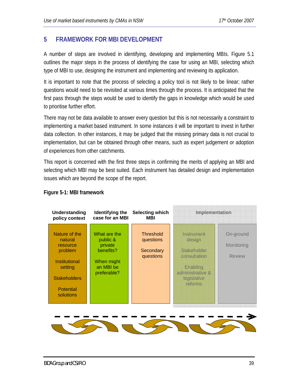# **5 FRAMEWORK FOR MBI DEVELOPMENT**

A number of steps are involved in identifying, developing and implementing MBIs. Figure 5.1 outlines the major steps in the process of identifying the case for using an MBI, selecting which type of MBI to use, designing the instrument and implementing and reviewing its application.

It is important to note that the process of selecting a policy tool is not likely to be linear; rather questions would need to be revisited at various times through the process. It is anticipated that the first pass through the steps would be used to identify the gaps in knowledge which would be used to prioritise further effort.

There may not be data available to answer every question but this is not necessarily a constraint to implementing a market based instrument. In some instances it will be important to invest in further data collection. In other instances, it may be judged that the missing primary data is not crucial to implementation, but can be obtained through other means, such as expert judgement or adoption of experiences from other catchments.

This report is concerned with the first three steps in confirming the merits of applying an MBI and selecting which MBI may be best suited. Each instrument has detailed design and implementation issues which are beyond the scope of the report.



## **Figure 5-1: MBI framework**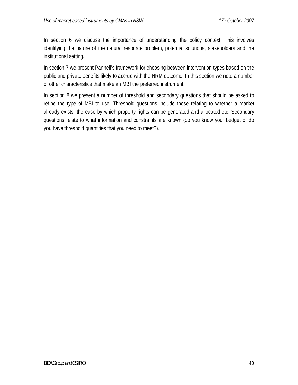In section 6 we discuss the importance of understanding the policy context. This involves identifying the nature of the natural resource problem, potential solutions, stakeholders and the institutional setting.

In section 7 we present Pannell's framework for choosing between intervention types based on the public and private benefits likely to accrue with the NRM outcome. In this section we note a number of other characteristics that make an MBI the preferred instrument.

In section 8 we present a number of threshold and secondary questions that should be asked to refine the type of MBI to use. Threshold questions include those relating to whether a market already exists, the ease by which property rights can be generated and allocated etc. Secondary questions relate to what information and constraints are known (do you know your budget or do you have threshold quantities that you need to meet?).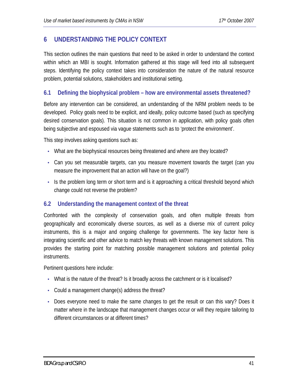# **6 UNDERSTANDING THE POLICY CONTEXT**

This section outlines the main questions that need to be asked in order to understand the context within which an MBI is sought. Information gathered at this stage will feed into all subsequent steps. Identifying the policy context takes into consideration the nature of the natural resource problem, potential solutions, stakeholders and institutional setting.

# **6.1 Defining the biophysical problem – how are environmental assets threatened?**

Before any intervention can be considered, an understanding of the NRM problem needs to be developed. Policy goals need to be explicit, and ideally, policy outcome based (such as specifying desired conservation goals). This situation is not common in application, with policy goals often being subjective and espoused via vague statements such as to 'protect the environment'.

This step involves asking questions such as:

- What are the biophysical resources being threatened and where are they located?
- Can you set measurable targets, can you measure movement towards the target (can you measure the improvement that an action will have on the goal?)
- Is the problem long term or short term and is it approaching a critical threshold beyond which change could not reverse the problem?

# **6.2 Understanding the management context of the threat**

Confronted with the complexity of conservation goals, and often multiple threats from geographically and economically diverse sources, as well as a diverse mix of current policy instruments, this is a major and ongoing challenge for governments. The key factor here is integrating scientific and other advice to match key threats with known management solutions. This provides the starting point for matching possible management solutions and potential policy instruments.

Pertinent questions here include:

- What is the nature of the threat? Is it broadly across the catchment or is it localised?
- Could a management change(s) address the threat?
- Does everyone need to make the same changes to get the result or can this vary? Does it matter where in the landscape that management changes occur or will they require tailoring to different circumstances or at different times?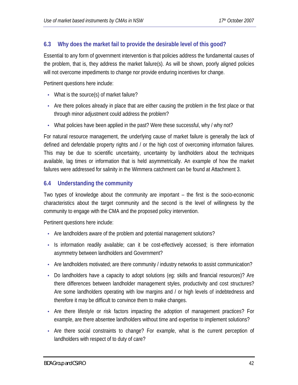# **6.3 Why does the market fail to provide the desirable level of this good?**

Essential to any form of government intervention is that policies address the fundamental causes of the problem, that is, they address the market failure(s). As will be shown, poorly aligned policies will not overcome impediments to change nor provide enduring incentives for change.

Pertinent questions here include:

- What is the source(s) of market failure?
- Are there polices already in place that are either causing the problem in the first place or that through minor adjustment could address the problem?
- What policies have been applied in the past? Were these successful, why / why not?

For natural resource management, the underlying cause of market failure is generally the lack of defined and defendable property rights and / or the high cost of overcoming information failures. This may be due to scientific uncertainty, uncertainty by landholders about the techniques available, lag times or information that is held asymmetrically. An example of how the market failures were addressed for salinity in the Wimmera catchment can be found at Attachment 3.

# **6.4 Understanding the community**

Two types of knowledge about the community are important – the first is the socio-economic characteristics about the target community and the second is the level of willingness by the community to engage with the CMA and the proposed policy intervention.

Pertinent questions here include:

- Are landholders aware of the problem and potential management solutions?
- Is information readily available; can it be cost-effectively accessed; is there information asymmetry between landholders and Government?
- Are landholders motivated; are there community / industry networks to assist communication?
- Do landholders have a capacity to adopt solutions (eq: skills and financial resources)? Are there differences between landholder management styles, productivity and cost structures? Are some landholders operating with low margins and / or high levels of indebtedness and therefore it may be difficult to convince them to make changes.
- Are there lifestyle or risk factors impacting the adoption of management practices? For example, are there absentee landholders without time and expertise to implement solutions?
- Are there social constraints to change? For example, what is the current perception of landholders with respect of to duty of care?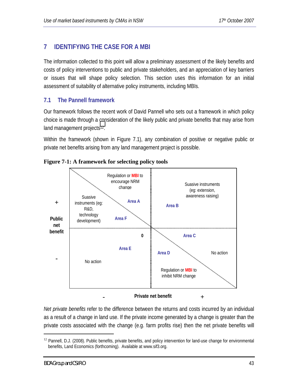# **7 IDENTIFYING THE CASE FOR A MBI**

The information collected to this point will allow a preliminary assessment of the likely benefits and costs of policy interventions to public and private stakeholders, and an appreciation of key barriers or issues that will shape policy selection. This section uses this information for an initial assessment of suitability of alternative policy instruments, including MBIs.

# **7.1 The Pannell framework**

Our framework follows the recent work of David Pannell who sets out a framework in which policy choice is made through a consideration of the likely public and private benefits that may arise from land management projects<sup>12</sup>.

Within the framework (shown in Figure 7.1), any combination of positive or negative public or private net benefits arising from any land management project is possible.



## **Figure 7-1: A framework for selecting policy tools**

*Net private benefits* refer to the difference between the returns and costs incurred by an individual as a result of a change in land use. If the private income generated by a change is greater than the private costs associated with the change (e.g. farm profits rise) then the net private benefits will

1

<sup>&</sup>lt;sup>12</sup> Pannell, D.J. (2008). Public benefits, private benefits, and policy intervention for land-use change for environmental benefits, Land Economics (forthcoming). Available at www.sif3.org.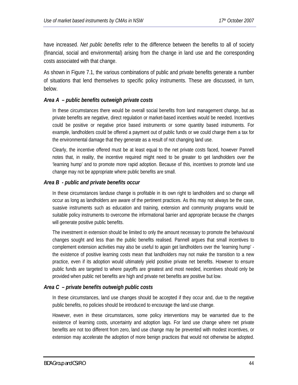have increased. *Net public benefits* refer to the difference between the benefits to all of society (financial, social and environmental) arising from the change in land use and the corresponding costs associated with that change.

As shown in Figure 7.1, the various combinations of public and private benefits generate a number of situations that lend themselves to specific policy instruments. These are discussed, in turn, below.

#### *Area A – public benefits outweigh private costs*

In these circumstances there would be overall social benefits from land management change, but as private benefits are negative, direct regulation or market-based incentives would be needed. Incentives could be positive or negative price based instruments or some quantity based instruments. For example, landholders could be offered a payment out of public funds or we could charge them a tax for the environmental damage that they generate as a result of not changing land use.

Clearly, the incentive offered must be at least equal to the net private costs faced, however Pannell notes that, in reality, the incentive required might need to be greater to get landholders over the 'learning hump' and to promote more rapid adoption. Because of this, incentives to promote land use change may not be appropriate where public benefits are small.

#### *Area B - public and private benefits occur*

In these circumstances landuse change is profitable in its own right to landholders and so change will occur as long as landholders are aware of the pertinent practices. As this may not always be the case, suasive instruments such as education and training, extension and community programs would be suitable policy instruments to overcome the informational barrier and appropriate because the changes will generate positive public benefits.

The investment in extension should be limited to only the amount necessary to promote the behavioural changes sought and less than the public benefits realised. Pannell argues that small incentives to complement extension activities may also be useful to again get landholders over the 'learning hump' the existence of positive learning costs mean that landholders may not make the transition to a new practice, even if its adoption would ultimately yield positive private net benefits. However to ensure public funds are targeted to where payoffs are greatest and most needed, incentives should only be provided when public net benefits are high and private net benefits are positive but low.

## *Area C – private benefits outweigh public costs*

In these circumstances, land use changes should be accepted if they occur and, due to the negative public benefits, no policies should be introduced to encourage the land use change.

However, even in these circumstances, some policy interventions may be warranted due to the existence of learning costs, uncertainty and adoption lags. For land use change where net private benefits are not too different from zero, land use change may be prevented with modest incentives, or extension may accelerate the adoption of more benign practices that would not otherwise be adopted.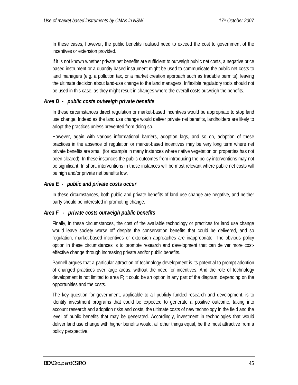In these cases, however, the public benefits realised need to exceed the cost to government of the incentives or extension provided.

If it is not known whether private net benefits are sufficient to outweigh public net costs, a negative price based instrument or a quantity based instrument might be used to communicate the public net costs to land managers (e.g. a pollution tax, or a market creation approach such as tradable permits), leaving the ultimate decision about land-use change to the land managers. Inflexible regulatory tools should not be used in this case, as they might result in changes where the overall costs outweigh the benefits.

## *Area D - public costs outweigh private benefits*

In these circumstances direct regulation or market-based incentives would be appropriate to stop land use change. Indeed as the land use change would deliver private net benefits, landholders are likely to adopt the practices unless prevented from doing so.

However, again with various informational barriers, adoption lags, and so on, adoption of these practices in the absence of regulation or market-based incentives may be very long term where net private benefits are small (for example in many instances where native vegetation on properties has not been cleared). In these instances the public outcomes from introducing the policy interventions may not be significant. In short, interventions in these instances will be most relevant where public net costs will be high and/or private net benefits low.

#### *Area E - public and private costs occur*

In these circumstances, both public and private benefits of land use change are negative, and neither party should be interested in promoting change.

#### *Area F - private costs outweigh public benefits*

Finally, in these circumstances, the cost of the available technology or practices for land use change would leave society worse off despite the conservation benefits that could be delivered, and so regulation, market-based incentives or extension approaches are inappropriate. The obvious policy option in these circumstances is to promote research and development that can deliver more costeffective change through increasing private and/or public benefits.

Pannell argues that a particular attraction of technology development is its potential to prompt adoption of changed practices over large areas, without the need for incentives. And the role of technology development is not limited to area F; it could be an option in any part of the diagram, depending on the opportunities and the costs.

The key question for government, applicable to all publicly funded research and development, is to identify investment programs that could be expected to generate a positive outcome, taking into account research and adoption risks and costs, the ultimate costs of new technology in the field and the level of public benefits that may be generated. Accordingly, investment in technologies that would deliver land use change with higher benefits would, all other things equal, be the most attractive from a policy perspective.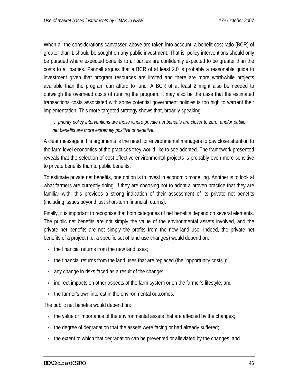When all the considerations canvassed above are taken into account, a benefit-cost ratio (BCR) of greater than 1 should be sought on any public investment. That is, policy interventions should only be pursued where expected benefits to all parties are confidently expected to be greater than the costs to all parties. Pannell argues that a BCR of at least 2.0 is probably a reasonable guide to investment given that program resources are limited and there are more worthwhile projects available than the program can afford to fund. A BCR of at least 2 might also be needed to outweigh the overhead costs of running the program. It may also be the case that the estimated transactions costs associated with some potential government policies is too high to warrant their implementation. This more targeted strategy shows that, broadly speaking:

*… priority policy interventions are those where private net benefits are closer to zero, and/or public net benefits are more extremely positive or negative.* 

A clear message in his arguments is the need for environmental managers to pay close attention to the farm-level economics of the practices they would like to see adopted. The framework presented reveals that the selection of cost-effective environmental projects is probably even more sensitive to private benefits than to public benefits.

To estimate private net benefits, one option is to invest in economic modelling. Another is to look at what farmers are currently doing. If they are choosing not to adopt a proven practice that they are familiar with, this provides a strong indication of their assessment of its private net benefits (including issues beyond just short-term financial returns).

Finally, it is important to recognise that both categories of net benefits depend on several elements. The public net benefits are not simply the value of the environmental assets involved, and the private net benefits are not simply the profits from the new land use. Indeed, the private net benefits of a project (i.e. a specific set of land-use changes) would depend on:

- $\bullet$  the financial returns from the new land uses:
- the financial returns from the land uses that are replaced (the "opportunity costs");
- any change in risks faced as a result of the change;
- indirect impacts on other aspects of the farm system or on the farmer's lifestyle; and
- the farmer's own interest in the environmental outcomes.

The public net benefits would depend on:

- the value or importance of the environmental assets that are affected by the changes;
- the degree of degradation that the assets were facing or had already suffered;
- the extent to which that degradation can be prevented or alleviated by the changes; and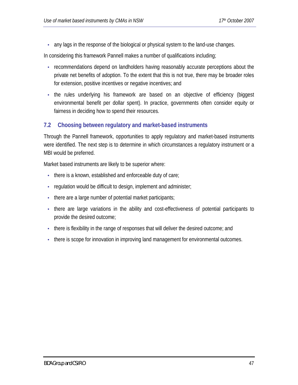• any lags in the response of the biological or physical system to the land-use changes.

In considering this framework Pannell makes a number of qualifications including;

- recommendations depend on landholders having reasonably accurate perceptions about the private net benefits of adoption. To the extent that this is not true, there may be broader roles for extension, positive incentives or negative incentives; and
- the rules underlying his framework are based on an objective of efficiency (biggest environmental benefit per dollar spent). In practice, governments often consider equity or fairness in deciding how to spend their resources.

# **7.2 Choosing between regulatory and market-based instruments**

Through the Pannell framework, opportunities to apply regulatory and market-based instruments were identified. The next step is to determine in which circumstances a regulatory instrument or a MBI would be preferred.

Market based instruments are likely to be superior where:

- there is a known, established and enforceable duty of care;
- regulation would be difficult to design, implement and administer;
- there are a large number of potential market participants;
- there are large variations in the ability and cost-effectiveness of potential participants to provide the desired outcome;
- there is flexibility in the range of responses that will deliver the desired outcome; and
- there is scope for innovation in improving land management for environmental outcomes.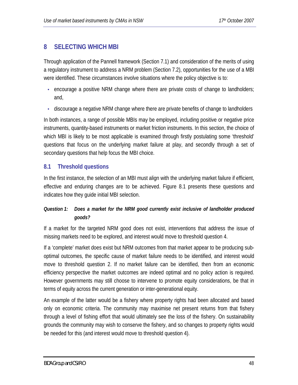# **8 SELECTING WHICH MBI**

Through application of the Pannell framework (Section 7.1) and consideration of the merits of using a regulatory instrument to address a NRM problem (Section 7.2), opportunities for the use of a MBI were identified. These circumstances involve situations where the policy objective is to:

- encourage a positive NRM change where there are private costs of change to landholders; and,
- discourage a negative NRM change where there are private benefits of change to landholders

In both instances, a range of possible MBIs may be employed, including positive or negative price instruments, quantity-based instruments or market friction instruments. In this section, the choice of which MBI is likely to be most applicable is examined through firstly postulating some 'threshold' questions that focus on the underlying market failure at play, and secondly through a set of secondary questions that help focus the MBI choice.

# **8.1 Threshold questions**

In the first instance, the selection of an MBI must align with the underlying market failure if efficient, effective and enduring changes are to be achieved. Figure 8.1 presents these questions and indicates how they guide initial MBI selection.

# *Question 1: Does a market for the NRM good currently exist inclusive of landholder produced goods?*

If a market for the targeted NRM good does not exist, interventions that address the issue of missing markets need to be explored, and interest would move to threshold question 4.

If a 'complete' market does exist but NRM outcomes from that market appear to be producing suboptimal outcomes, the specific cause of market failure needs to be identified, and interest would move to threshold question 2. If no market failure can be identified, then from an economic efficiency perspective the market outcomes are indeed optimal and no policy action is required. However governments may still choose to intervene to promote equity considerations, be that in terms of equity across the current generation or inter-generational equity.

An example of the latter would be a fishery where property rights had been allocated and based only on economic criteria. The community may maximise net present returns from that fishery through a level of fishing effort that would ultimately see the loss of the fishery. On sustainability grounds the community may wish to conserve the fishery, and so changes to property rights would be needed for this (and interest would move to threshold question 4).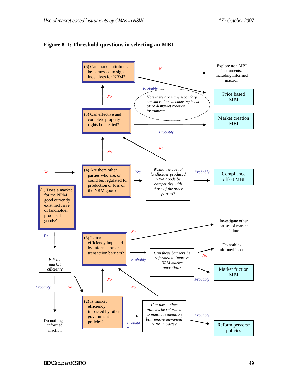

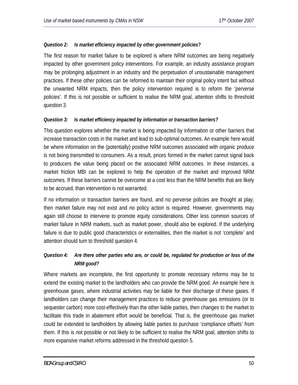#### *Question 2: Is market efficiency impacted by other government policies?*

The first reason for market failure to be explored is where NRM outcomes are being negatively impacted by other government policy interventions. For example, an industry assistance program may be prolonging adjustment in an industry and the perpetuation of unsustainable management practices. If these other policies can be reformed to maintain their original policy intent but without the unwanted NRM impacts, then the policy intervention required is to reform the 'perverse policies'. If this is not possible or sufficient to realise the NRM goal, attention shifts to threshold question 3.

#### *Question 3: Is market efficiency impacted by information or transaction barriers?*

This question explores whether the market is being impacted by information or other barriers that increase transaction costs in the market and lead to sub-optimal outcomes. An example here would be where information on the (potentially) positive NRM outcomes associated with organic produce is not being transmitted to consumers. As a result, prices formed in the market cannot signal back to producers the value being placed on the associated NRM outcomes. In these instances, a market friction MBI can be explored to help the operation of the market and improved NRM outcomes. If these barriers cannot be overcome at a cost less than the NRM benefits that are likely to be accrued, than intervention is not warranted.

If no information or transaction barriers are found, and no perverse policies are thought at play, then market failure may not exist and no policy action is required. However, governments may again still choose to intervene to promote equity considerations. Other less common sources of market failure in NRM markets, such as market power, should also be explored. If the underlying failure is due to public good characteristics or externalities, then the market is not 'complete' and attention should turn to threshold question 4.

# *Question 4: Are there other parties who are, or could be, regulated for production or loss of the NRM good?*

Where markets are incomplete, the first opportunity to promote necessary reforms may be to extend the existing market to the landholders who can provide the NRM good. An example here is greenhouse gases, where industrial activities may be liable for their discharge of these gases. If landholders can change their management practices to reduce greenhouse gas emissions (or to sequester carbon) more cost-effectively than the other liable parties, then changes to the market to facilitate this trade in abatement effort would be beneficial. That is, the greenhouse gas market could be extended to landholders by allowing liable parties to purchase 'compliance offsets' from them. If this is not possible or not likely to be sufficient to realise the NRM goal, attention shifts to more expansive market reforms addressed in the threshold question 5.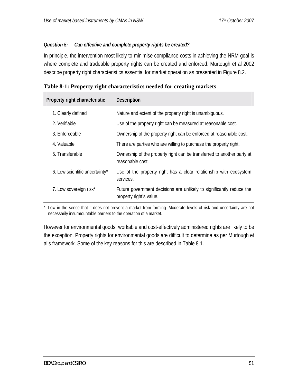#### *Question 5: Can effective and complete property rights be created?*

In principle, the intervention most likely to minimise compliance costs in achieving the NRM goal is where complete and tradeable property rights can be created and enforced. Murtough et al 2002 describe property right characteristics essential for market operation as presented in Figure 8.2.

| Property right characteristic  | <b>Description</b>                                                                              |
|--------------------------------|-------------------------------------------------------------------------------------------------|
| 1. Clearly defined             | Nature and extent of the property right is unambiguous.                                         |
| 2. Verifiable                  | Use of the property right can be measured at reasonable cost.                                   |
| 3. Enforceable                 | Ownership of the property right can be enforced at reasonable cost.                             |
| 4. Valuable                    | There are parties who are willing to purchase the property right.                               |
| 5. Transferable                | Ownership of the property right can be transferred to another party at<br>reasonable cost.      |
| 6. Low scientific uncertainty* | Use of the property right has a clear relationship with ecosystem<br>services.                  |
| 7. Low sovereign risk*         | Future government decisions are unlikely to significantly reduce the<br>property right's value. |

|  |  |  | Table 8-1: Property right characteristics needed for creating markets |
|--|--|--|-----------------------------------------------------------------------|
|--|--|--|-----------------------------------------------------------------------|

\* Low in the sense that it does not prevent a market from forming. Moderate levels of risk and uncertainty are not necessarily insurmountable barriers to the operation of a market.

However for environmental goods, workable and cost-effectively administered rights are likely to be the exception. Property rights for environmental goods are difficult to determine as per Murtough et al's framework. Some of the key reasons for this are described in Table 8.1.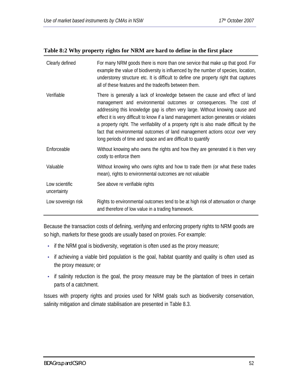#### **Table 8:2 Why property rights for NRM are hard to define in the first place**

| Clearly defined               | For many NRM goods there is more than one service that make up that good. For<br>example the value of biodiversity is influenced by the number of species, location,<br>understorey structure etc. It is difficult to define one property right that captures<br>all of these features and the tradeoffs between them.                                                                                                                                                                                                                                             |  |
|-------------------------------|--------------------------------------------------------------------------------------------------------------------------------------------------------------------------------------------------------------------------------------------------------------------------------------------------------------------------------------------------------------------------------------------------------------------------------------------------------------------------------------------------------------------------------------------------------------------|--|
| Verifiable                    | There is generally a lack of knowledge between the cause and effect of land<br>management and environmental outcomes or consequences. The cost of<br>addressing this knowledge gap is often very large. Without knowing cause and<br>effect it is very difficult to know if a land management action generates or violates<br>a property right. The verifiability of a property right is also made difficult by the<br>fact that environmental outcomes of land management actions occur over very<br>long periods of time and space and are difficult to quantify |  |
| Enforceable                   | Without knowing who owns the rights and how they are generated it is then very<br>costly to enforce them                                                                                                                                                                                                                                                                                                                                                                                                                                                           |  |
| Valuable                      | Without knowing who owns rights and how to trade them (or what these trades<br>mean), rights to environmental outcomes are not valuable                                                                                                                                                                                                                                                                                                                                                                                                                            |  |
| Low scientific<br>uncertainty | See above re verifiable rights                                                                                                                                                                                                                                                                                                                                                                                                                                                                                                                                     |  |
| Low sovereign risk            | Rights to environmental outcomes tend to be at high risk of attenuation or change<br>and therefore of low value in a trading framework.                                                                                                                                                                                                                                                                                                                                                                                                                            |  |

Because the transaction costs of defining, verifying and enforcing property rights to NRM goods are so high, markets for these goods are usually based on proxies. For example:

- if the NRM goal is biodiversity, vegetation is often used as the proxy measure;
- if achieving a viable bird population is the goal, habitat quantity and quality is often used as the proxy measure; or
- if salinity reduction is the goal, the proxy measure may be the plantation of trees in certain parts of a catchment.

Issues with property rights and proxies used for NRM goals such as biodiversity conservation, salinity mitigation and climate stabilisation are presented in Table 8.3.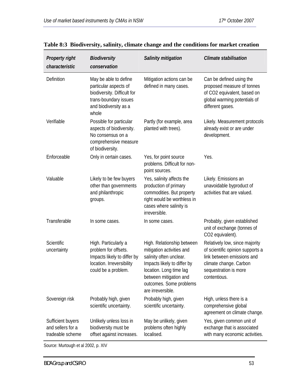| <b>Property right</b><br>characteristic                    | <b>Biodiversity</b><br>conservation                                                                                                      | <b>Salinity mitigation</b>                                                                                                                                                                                             | <b>Climate stabilisation</b>                                                                                                                                        |
|------------------------------------------------------------|------------------------------------------------------------------------------------------------------------------------------------------|------------------------------------------------------------------------------------------------------------------------------------------------------------------------------------------------------------------------|---------------------------------------------------------------------------------------------------------------------------------------------------------------------|
| Definition                                                 | May be able to define<br>particular aspects of<br>biodiversity. Difficult for<br>trans-boundary issues<br>and biodiversity as a<br>whole | Mitigation actions can be<br>defined in many cases.                                                                                                                                                                    | Can be defined using the<br>proposed measure of tonnes<br>of CO2 equivalent, based on<br>global warming potentials of<br>different gases.                           |
| Verifiable                                                 | Possible for particular<br>aspects of biodiversity.<br>No consensus on a<br>comprehensive measure<br>of biodiversity.                    | Partly (for example, area<br>planted with trees).                                                                                                                                                                      | Likely. Measurement protocols<br>already exist or are under<br>development.                                                                                         |
| Enforceable                                                | Only in certain cases.                                                                                                                   | Yes, for point source<br>problems. Difficult for non-<br>point sources.                                                                                                                                                | Yes.                                                                                                                                                                |
| Valuable                                                   | Likely to be few buyers<br>other than governments<br>and philanthropic<br>groups.                                                        | Yes, salinity affects the<br>production of primary<br>commodities. But property<br>right would be worthless in<br>cases where salinity is<br>irreversible.                                                             | Likely. Emissions an<br>unavoidable byproduct of<br>activities that are valued.                                                                                     |
| Transferable                                               | In some cases.                                                                                                                           | In some cases.                                                                                                                                                                                                         | Probably, given established<br>unit of exchange (tonnes of<br>CO2 equivalent).                                                                                      |
| Scientific<br>uncertainty                                  | High. Particularly a<br>problem for offsets.<br>Impacts likely to differ by<br>location. Irreversibility<br>could be a problem.          | High. Relationship between<br>mitigation activities and<br>salinity often unclear.<br>Impacts likely to differ by<br>location. Long time lag<br>between mitigation and<br>outcomes. Some problems<br>are irreversible. | Relatively low, since majority<br>of scientific opinion supports a<br>link between emissions and<br>climate change. Carbon<br>sequestration is more<br>contentious. |
| Sovereign risk                                             | Probably high, given<br>scientific uncertainty.                                                                                          | Probably high, given<br>scientific uncertainty.                                                                                                                                                                        | High, unless there is a<br>comprehensive global<br>agreement on climate change.                                                                                     |
| Sufficient buyers<br>and sellers for a<br>tradeable scheme | Unlikely unless loss in<br>biodiversity must be<br>offset against increases.                                                             | May be unlikely, given<br>problems often highly<br>localised.                                                                                                                                                          | Yes, given common unit of<br>exchange that is associated<br>with many economic activities.                                                                          |

# **Table 8:3 Biodiversity, salinity, climate change and the conditions for market creation**

Source: Murtough et al 2002, p. XIV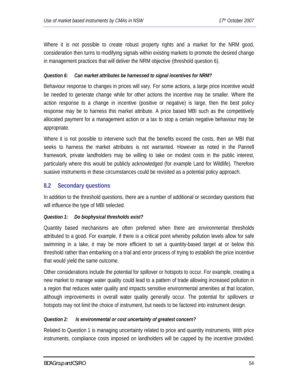Where it is not possible to create robust property rights and a market for the NRM good, consideration then turns to modifying signals within existing markets to promote the desired change in management practices that will deliver the NRM objective (threshold question 6).

## *Question 6: Can market attributes be harnessed to signal incentives for NRM?*

Behaviour response to changes in prices will vary. For some actions, a large price incentive would be needed to generate change while for other actions the incentive may be smaller. Where the action response to a change in incentive (positive or negative) is large, then the best policy response may be to harness this market attribute. A price based MBI such as the competitively allocated payment for a management action or a tax to stop a certain negative behaviour may be appropriate.

Where it is not possible to intervene such that the benefits exceed the costs, then an MBI that seeks to harness the market attributes is not warranted. However as noted in the Pannell framework, private landholders may be willing to take on modest costs in the public interest, particularly where this would be publicly acknowledged (for example Land for Wildlife). Therefore suasive instruments in these circumstances could be revisited as a potential policy approach.

# **8.2 Secondary questions**

In addition to the threshold questions, there are a number of additional or secondary questions that will influence the type of MBI selected.

## *Question 1: Do biophysical thresholds exist?*

Quantity based mechanisms are often preferred when there are environmental thresholds attributed to a good. For example, if there is a critical point whereby pollution levels allow for safe swimming in a lake, it may be more efficient to set a quantity-based target at or below this threshold rather than embarking on a trial and error process of trying to establish the price incentive that would yield the same outcome.

Other considerations include the potential for spillover or hotspots to occur. For example, creating a new market to manage water quality could lead to a pattern of trade allowing increased pollution in a region that reduces water quality and impacts sensitive environmental amenities at that location, although improvements in overall water quality generally occur. The potential for spillovers or hotspots may not limit the choice of instrument, but needs to be factored into instrument design.

# *Question 2: Is environmental or cost uncertainty of greatest concern?*

Related to Question 1 is managing uncertainty related to price and quantity instruments. With price instruments, compliance costs imposed on landholders will be capped by the incentive provided.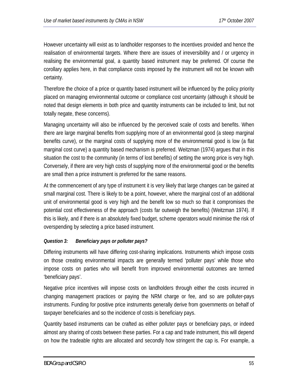However uncertainty will exist as to landholder responses to the incentives provided and hence the realisation of environmental targets. Where there are issues of irreversibility and / or urgency in realising the environmental goal, a quantity based instrument may be preferred. Of course the corollary applies here, in that compliance costs imposed by the instrument will not be known with certainty.

Therefore the choice of a price or quantity based instrument will be influenced by the policy priority placed on managing environmental outcome or compliance cost uncertainty (although it should be noted that design elements in both price and quantity instruments can be included to limit, but not totally negate, these concerns).

Managing uncertainty will also be influenced by the perceived scale of costs and benefits. When there are large marginal benefits from supplying more of an environmental good (a steep marginal benefits curve), or the marginal costs of supplying more of the environmental good is low (a flat marginal cost curve) a quantity based mechanism is preferred. Weitzman (1974) argues that in this situation the cost to the community (in terms of lost benefits) of setting the wrong price is very high. Conversely, if there are very high costs of supplying more of the environmental good or the benefits are small then a price instrument is preferred for the same reasons.

At the commencement of any type of instrument it is very likely that large changes can be gained at small marginal cost. There is likely to be a point, however, where the marginal cost of an additional unit of environmental good is very high and the benefit low so much so that it compromises the potential cost effectiveness of the approach (costs far outweigh the benefits) (Weitzman 1974). If this is likely, and if there is an absolutely fixed budget, scheme operators would minimise the risk of overspending by selecting a price based instrument.

# *Question 3: Beneficiary pays or polluter pays?*

Differing instruments will have differing cost-sharing implications. Instruments which impose costs on those creating environmental impacts are generally termed 'polluter pays' while those who impose costs on parties who will benefit from improved environmental outcomes are termed 'beneficiary pays'.

Negative price incentives will impose costs on landholders through either the costs incurred in changing management practices or paying the NRM charge or fee, and so are polluter-pays instruments. Funding for positive price instruments generally derive from governments on behalf of taxpayer beneficiaries and so the incidence of costs is beneficiary pays.

Quantity based instruments can be crafted as either polluter pays or beneficiary pays, or indeed almost any sharing of costs between these parties. For a cap and trade instrument, this will depend on how the tradeable rights are allocated and secondly how stringent the cap is. For example, a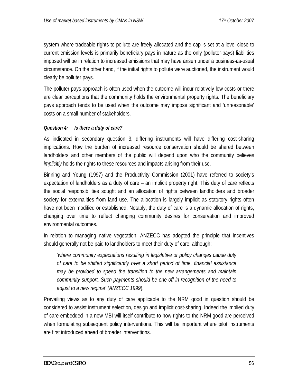system where tradeable rights to pollute are freely allocated and the cap is set at a level close to current emission levels is primarily beneficiary pays in nature as the only (polluter-pays) liabilities imposed will be in relation to increased emissions that may have arisen under a business-as-usual circumstance. On the other hand, if the initial rights to pollute were auctioned, the instrument would clearly be polluter pays.

The polluter pays approach is often used when the outcome will incur relatively low costs or there are clear perceptions that the community holds the environmental property rights. The beneficiary pays approach tends to be used when the outcome may impose significant and 'unreasonable' costs on a small number of stakeholders.

# *Question 4: Is there a duty of care?*

As indicated in secondary question 3, differing instruments will have differing cost-sharing implications. How the burden of increased resource conservation should be shared between landholders and other members of the public will depend upon who the community believes *implicitly* holds the rights to these resources and impacts arising from their use.

Binning and Young (1997) and the Productivity Commission (2001) have referred to society's expectation of landholders as a duty of care – an implicit property right. This duty of care reflects the social responsibilities sought and an allocation of rights between landholders and broader society for externalities from land use. The allocation is largely implicit as statutory rights often have not been modified or established. Notably, the duty of care is a dynamic allocation of rights, changing over time to reflect changing community desires for conservation and improved environmental outcomes.

In relation to managing native vegetation, ANZECC has adopted the principle that incentives should generally not be paid to landholders to meet their duty of care, although:

*'where community expectations resulting in legislative or policy changes cause duty of care to be shifted significantly over a short period of time, financial assistance may be provided to speed the transition to the new arrangements and maintain community support. Such payments should be one-off in recognition of the need to adjust to a new regime' (ANZECC 1999*).

Prevailing views as to any duty of care applicable to the NRM good in question should be considered to assist instrument selection, design and implicit cost-sharing. Indeed the implied duty of care embedded in a new MBI will itself contribute to how rights to the NRM good are perceived when formulating subsequent policy interventions. This will be important where pilot instruments are first introduced ahead of broader interventions.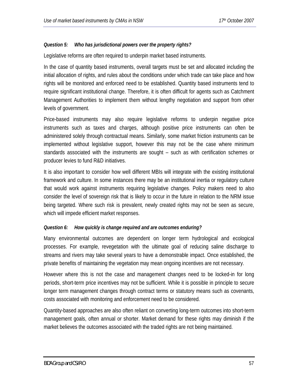#### *Question 5: Who has jurisdictional powers over the property rights?*

Legislative reforms are often required to underpin market based instruments.

In the case of quantity based instruments, overall targets must be set and allocated including the initial allocation of rights, and rules about the conditions under which trade can take place and how rights will be monitored and enforced need to be established. Quantity based instruments tend to require significant institutional change. Therefore, it is often difficult for agents such as Catchment Management Authorities to implement them without lengthy negotiation and support from other levels of government.

Price-based instruments may also require legislative reforms to underpin negative price instruments such as taxes and charges, although positive price instruments can often be administered solely through contractual means. Similarly, some market friction instruments can be implemented without legislative support, however this may not be the case where minimum standards associated with the instruments are sought – such as with certification schemes or producer levies to fund R&D initiatives.

It is also important to consider how well different MBIs will integrate with the existing institutional framework and culture. In some instances there may be an institutional inertia or regulatory culture that would work against instruments requiring legislative changes. Policy makers need to also consider the level of sovereign risk that is likely to occur in the future in relation to the NRM issue being targeted. Where such risk is prevalent, newly created rights may not be seen as secure, which will impede efficient market responses.

#### *Question 6: How quickly is change required and are outcomes enduring?*

Many environmental outcomes are dependent on longer term hydrological and ecological processes. For example, revegetation with the ultimate goal of reducing saline discharge to streams and rivers may take several years to have a demonstrable impact. Once established, the private benefits of maintaining the vegetation may mean ongoing incentives are not necessary.

However where this is not the case and management changes need to be locked-in for long periods, short-term price incentives may not be sufficient. While it is possible in principle to secure longer term management changes through contract terms or statutory means such as covenants, costs associated with monitoring and enforcement need to be considered.

Quantity-based approaches are also often reliant on converting long-term outcomes into short-term management goals, often annual or shorter. Market demand for these rights may diminish if the market believes the outcomes associated with the traded rights are not being maintained.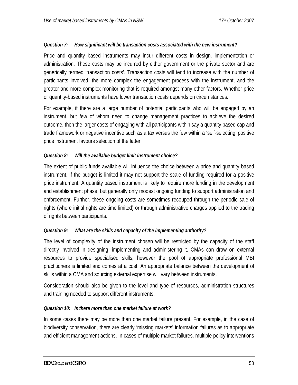#### *Question 7: How significant will be transaction costs associated with the new instrument?*

Price and quantity based instruments may incur different costs in design, implementation or administration. These costs may be incurred by either government or the private sector and are generically termed 'transaction costs'. Transaction costs will tend to increase with the number of participants involved, the more complex the engagement process with the instrument, and the greater and more complex monitoring that is required amongst many other factors. Whether price or quantity-based instruments have lower transaction costs depends on circumstances.

For example, if there are a large number of potential participants who will be engaged by an instrument, but few of whom need to change management practices to achieve the desired outcome, then the larger costs of engaging with all participants within say a quantity based cap and trade framework or negative incentive such as a tax versus the few within a 'self-selecting' positive price instrument favours selection of the latter.

#### *Question 8: Will the available budget limit instrument choice?*

The extent of public funds available will influence the choice between a price and quantity based instrument. If the budget is limited it may not support the scale of funding required for a positive price instrument. A quantity based instrument is likely to require more funding in the development and establishment phase, but generally only modest ongoing funding to support administration and enforcement. Further, these ongoing costs are sometimes recouped through the periodic sale of rights (where initial rights are time limited) or through administrative charges applied to the trading of rights between participants.

## *Question 9: What are the skills and capacity of the implementing authority?*

The level of complexity of the instrument chosen will be restricted by the capacity of the staff directly involved in designing, implementing and administering it. CMAs can draw on external resources to provide specialised skills, however the pool of appropriate professional MBI practitioners is limited and comes at a cost. An appropriate balance between the development of skills within a CMA and sourcing external expertise will vary between instruments.

Consideration should also be given to the level and type of resources, administration structures and training needed to support different instruments.

## *Question 10: Is there more than one market failure at work?*

In some cases there may be more than one market failure present. For example, in the case of biodiversity conservation, there are clearly 'missing markets' information failures as to appropriate and efficient management actions. In cases of multiple market failures, multiple policy interventions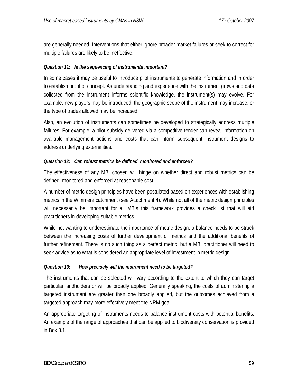are generally needed. Interventions that either ignore broader market failures or seek to correct for multiple failures are likely to be ineffective.

#### *Question 11: Is the sequencing of instruments important?*

In some cases it may be useful to introduce pilot instruments to generate information and in order to establish proof of concept. As understanding and experience with the instrument grows and data collected from the instrument informs scientific knowledge, the instrument(s) may evolve. For example, new players may be introduced, the geographic scope of the instrument may increase, or the type of trades allowed may be increased.

Also, an evolution of instruments can sometimes be developed to strategically address multiple failures. For example, a pilot subsidy delivered via a competitive tender can reveal information on available management actions and costs that can inform subsequent instrument designs to address underlying externalities.

#### *Question 12: Can robust metrics be defined, monitored and enforced?*

The effectiveness of any MBI chosen will hinge on whether direct and robust metrics can be defined, monitored and enforced at reasonable cost.

A number of metric design principles have been postulated based on experiences with establishing metrics in the Wimmera catchment (see Attachment 4). While not all of the metric design principles will necessarily be important for all MBIs this framework provides a check list that will aid practitioners in developing suitable metrics.

While not wanting to underestimate the importance of metric design, a balance needs to be struck between the increasing costs of further development of metrics and the additional benefits of further refinement. There is no such thing as a perfect metric, but a MBI practitioner will need to seek advice as to what is considered an appropriate level of investment in metric design.

#### *Question 13: How precisely will the instrument need to be targeted?*

The instruments that can be selected will vary according to the extent to which they can target particular landholders or will be broadly applied. Generally speaking, the costs of administering a targeted instrument are greater than one broadly applied, but the outcomes achieved from a targeted approach may more effectively meet the NRM goal.

An appropriate targeting of instruments needs to balance instrument costs with potential benefits. An example of the range of approaches that can be applied to biodiversity conservation is provided in Box 8.1.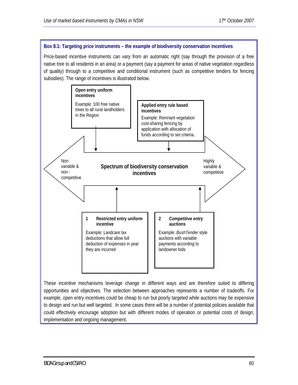#### **Box 8.1: Targeting price instruments – the example of biodiversity conservation incentives**

Price-based incentive instruments can vary from an automatic right (say through the provision of a free native tree to all residents in an area) or a payment (say a payment for areas of native vegetation regardless of quality) through to a competitive and conditional instrument (such as competitive tenders for fencing subsidies). The range of incentives is illustrated below.



These incentive mechanisms leverage change in different ways and are therefore suited to differing opportunities and objectives. The selection between approaches represents a number of tradeoffs. For example, open entry incentives could be cheap to run but poorly targeted while auctions may be expensive to design and run but well targeted. In some cases there will be a number of potential policies available that could effectively encourage adoption but with different modes of operation or potential costs of design, implementation and ongoing management.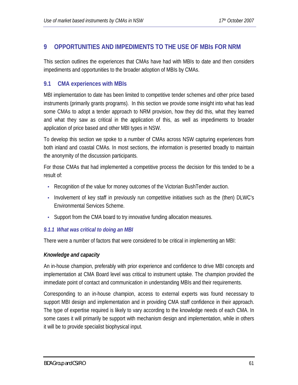# **9 OPPORTUNITIES AND IMPEDIMENTS TO THE USE OF MBIs FOR NRM**

This section outlines the experiences that CMAs have had with MBIs to date and then considers impediments and opportunities to the broader adoption of MBIs by CMAs.

# **9.1 CMA experiences with MBIs**

MBI implementation to date has been limited to competitive tender schemes and other price based instruments (primarily grants programs). In this section we provide some insight into what has lead some CMAs to adopt a tender approach to NRM provision, how they did this, what they learned and what they saw as critical in the application of this, as well as impediments to broader application of price based and other MBI types in NSW.

To develop this section we spoke to a number of CMAs across NSW capturing experiences from both inland and coastal CMAs. In most sections, the information is presented broadly to maintain the anonymity of the discussion participants.

For those CMAs that had implemented a competitive process the decision for this tended to be a result of:

- Recognition of the value for money outcomes of the Victorian BushTender auction.
- Involvement of key staff in previously run competitive initiatives such as the (then) DLWC's Environmental Services Scheme.
- Support from the CMA board to try innovative funding allocation measures.

## *9.1.1 What was critical to doing an MBI*

There were a number of factors that were considered to be critical in implementing an MBI:

## *Knowledge and capacity*

An in-house champion, preferably with prior experience and confidence to drive MBI concepts and implementation at CMA Board level was critical to instrument uptake. The champion provided the immediate point of contact and communication in understanding MBIs and their requirements.

Corresponding to an in-house champion, access to external experts was found necessary to support MBI design and implementation and in providing CMA staff confidence in their approach. The type of expertise required is likely to vary according to the knowledge needs of each CMA. In some cases it will primarily be support with mechanism design and implementation, while in others it will be to provide specialist biophysical input.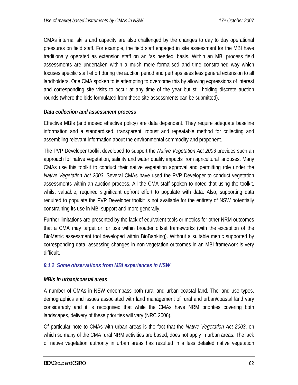CMAs internal skills and capacity are also challenged by the changes to day to day operational pressures on field staff. For example, the field staff engaged in site assessment for the MBI have traditionally operated as extension staff on an 'as needed' basis. Within an MBI process field assessments are undertaken within a much more formalised and time constrained way which focuses specific staff effort during the auction period and perhaps sees less general extension to all landholders. One CMA spoken to is attempting to overcome this by allowing expressions of interest and corresponding site visits to occur at any time of the year but still holding discrete auction rounds (where the bids formulated from these site assessments can be submitted).

## *Data collection and assessment process*

Effective MBIs (and indeed effective policy) are data dependent. They require adequate baseline information and a standardised, transparent, robust and repeatable method for collecting and assembling relevant information about the environmental commodity and proponent.

The PVP Developer toolkit developed to support the *Native Vegetation Act 2003* provides such an approach for native vegetation, salinity and water quality impacts from agricultural landuses. Many CMAs use this toolkit to conduct their native vegetation approval and permitting role under the *Native Vegetation Act 2003.* Several CMAs have used the PVP Developer to conduct vegetation assessments within an auction process. All the CMA staff spoken to noted that using the toolkit, whilst valuable, required significant upfront effort to populate with data. Also, supporting data required to populate the PVP Developer toolkit is not available for the entirety of NSW potentially constraining its use in MBI support and more generally.

Further limitations are presented by the lack of equivalent tools or metrics for other NRM outcomes that a CMA may target or for use within broader offset frameworks (with the exception of the BioMetric assessment tool developed within BioBanking). Without a suitable metric supported by corresponding data, assessing changes in non-vegetation outcomes in an MBI framework is very difficult.

## *9.1.2 Some observations from MBI experiences in NSW*

#### *MBIs in urban/coastal areas*

A number of CMAs in NSW encompass both rural and urban coastal land. The land use types, demographics and issues associated with land management of rural and urban/coastal land vary considerably and it is recognised that while the CMAs have NRM priorities covering both landscapes, delivery of these priorities will vary (NRC 2006).

Of particular note to CMAs with urban areas is the fact that the *Native Vegetation Act 2003*, on which so many of the CMA rural NRM activities are based, does not apply in urban areas. The lack of native vegetation authority in urban areas has resulted in a less detailed native vegetation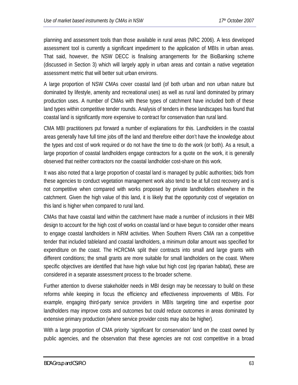planning and assessment tools than those available in rural areas (NRC 2006). A less developed assessment tool is currently a significant impediment to the application of MBIs in urban areas. That said, however, the NSW DECC is finalising arrangements for the BioBanking scheme (discussed in Section 3) which will largely apply in urban areas and contain a native vegetation assessment metric that will better suit urban environs.

A large proportion of NSW CMAs cover coastal land (of both urban and non urban nature but dominated by lifestyle, amenity and recreational uses) as well as rural land dominated by primary production uses. A number of CMAs with these types of catchment have included both of these land types within competitive tender rounds. Analysis of tenders in these landscapes has found that coastal land is significantly more expensive to contract for conservation than rural land.

CMA MBI practitioners put forward a number of explanations for this. Landholders in the coastal areas generally have full time jobs off the land and therefore either don't have the knowledge about the types and cost of work required or do not have the time to do the work (or both). As a result, a large proportion of coastal landholders engage contractors for a quote on the work, it is generally observed that neither contractors nor the coastal landholder cost-share on this work.

It was also noted that a large proportion of coastal land is managed by public authorities; bids from these agencies to conduct vegetation management work also tend to be at full cost recovery and is not competitive when compared with works proposed by private landholders elsewhere in the catchment. Given the high value of this land, it is likely that the opportunity cost of vegetation on this land is higher when compared to rural land.

CMAs that have coastal land within the catchment have made a number of inclusions in their MBI design to account for the high cost of works on coastal land or have begun to consider other means to engage coastal landholders in NRM activities. When Southern Rivers CMA ran a competitive tender that included tableland and coastal landholders, a minimum dollar amount was specified for expenditure on the coast. The HCRCMA split their contracts into small and large grants with different conditions; the small grants are more suitable for small landholders on the coast. Where specific objectives are identified that have high value but high cost (eg riparian habitat), these are considered in a separate assessment process to the broader scheme.

Further attention to diverse stakeholder needs in MBI design may be necessary to build on these reforms while keeping in focus the efficiency and effectiveness improvements of MBIs. For example, engaging third-party service providers in MBIs targeting time and expertise poor landholders may improve costs and outcomes but could reduce outcomes in areas dominated by extensive primary production (where service provider costs may also be higher).

With a large proportion of CMA priority 'significant for conservation' land on the coast owned by public agencies, and the observation that these agencies are not cost competitive in a broad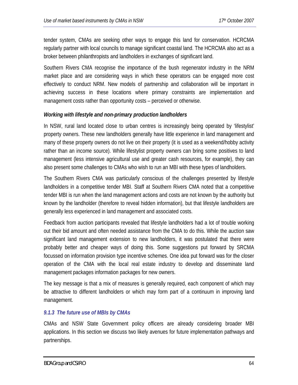tender system, CMAs are seeking other ways to engage this land for conservation. HCRCMA regularly partner with local councils to manage significant coastal land. The HCRCMA also act as a broker between philanthropists and landholders in exchanges of significant land.

Southern Rivers CMA recognise the importance of the bush regenerator industry in the NRM market place and are considering ways in which these operators can be engaged more cost effectively to conduct NRM. New models of partnership and collaboration will be important in achieving success in these locations where primary constraints are implementation and management costs rather than opportunity costs – perceived or otherwise.

#### *Working with lifestyle and non-primary production landholders*

In NSW, rural land located close to urban centres is increasingly being operated by 'lifestylist' property owners. These new landholders generally have little experience in land management and many of these property owners do not live on their property (it is used as a weekend/hobby activity rather than an income source). While lifestylist property owners can bring some positives to land management (less intensive agricultural use and greater cash resources, for example), they can also present some challenges to CMAs who wish to run an MBI with these types of landholders.

The Southern Rivers CMA was particularly conscious of the challenges presented by lifestyle landholders in a competitive tender MBI. Staff at Southern Rivers CMA noted that a competitive tender MBI is run when the land management actions and costs are not known by the authority but known by the landholder (therefore to reveal hidden information), but that lifestyle landholders are generally less experienced in land management and associated costs.

Feedback from auction participants revealed that lifestyle landholders had a lot of trouble working out their bid amount and often needed assistance from the CMA to do this. While the auction saw significant land management extension to new landholders, it was postulated that there were probably better and cheaper ways of doing this. Some suggestions put forward by SRCMA focussed on information provision type incentive schemes. One idea put forward was for the closer operation of the CMA with the local real estate industry to develop and disseminate land management packages information packages for new owners.

The key message is that a mix of measures is generally required, each component of which may be attractive to different landholders or which may form part of a continuum in improving land management.

## *9.1.3 The future use of MBIs by CMAs*

CMAs and NSW State Government policy officers are already considering broader MBI applications. In this section we discuss two likely avenues for future implementation pathways and partnerships.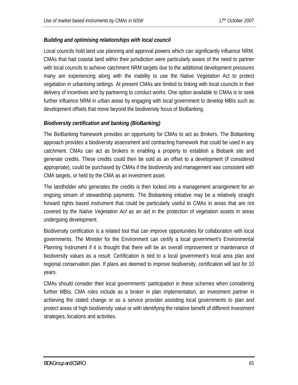# *Building and optimising relationships with local council*

Local councils hold land use planning and approval powers which can significantly influence NRM. CMAs that had coastal land within their jurisdiction were particularly aware of the need to partner with local councils to achieve catchment NRM targets due to the additional development pressures many are experiencing along with the inability to use the Native Vegetation Act to protect vegetation in urbanising settings. At present CMAs are limited to linking with local councils in their delivery of incentives and by partnering to conduct works. One option available to CMAs is to seek further influence NRM in urban areas by engaging with local government to develop MBIs such as development offsets that move beyond the biodiversity focus of BioBanking.

# *Biodiversity certification and banking (BioBanking)*

The BioBanking framework provides an opportunity for CMAs to act as Brokers. The Biobanking approach provides a biodiversity assessment and contracting framework that could be used in any catchment. CMAs can act as brokers in enabling a property to establish a Biobank site and generate credits. These credits could then be sold as an offset to a development (if considered appropriate), could be purchased by CMAs if the biodiversity and management was consistent with CMA targets, or held by the CMA as an investment asset.

The landholder who generates the credits is then locked into a management arrangement for an ongoing stream of stewardship payments. The Biobanking initiative may be a relatively straight forward rights based instrument that could be particularly useful to CMAs in areas that are not covered by the *Native Vegetation Act* as an aid in the protection of vegetation assets in areas undergoing development.

Biodiversity certification is a related tool that can improve opportunities for collaboration with local governments. The Minister for the Environment can certify a local government's Environmental Planning Instrument if it is thought that there will be an overall improvement or maintenance of biodiversity values as a result. Certification is tied to a local government's local area plan and regional conservation plan. If plans are deemed to improve biodiversity, certification will last for 10 years.

CMAs should consider their local governments' participation in these schemes when considering further MBIs. CMA roles include as a broker in plan implementation, an investment partner in achieving the stated change or as a service provider assisting local governments to plan and protect areas of high biodiversity value or with identifying the relative benefit of different investment strategies, locations and activities.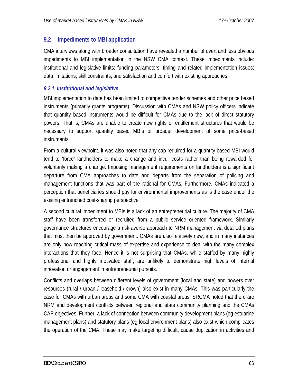# **9.2 Impediments to MBI application**

CMA interviews along with broader consultation have revealed a number of overt and less obvious impediments to MBI implementation in the NSW CMA context. These impediments include: institutional and legislative limits; funding parameters; timing and related implementation issues; data limitations; skill constraints; and satisfaction and comfort with existing approaches.

# *9.2.1 Institutional and legislative*

MBI implementation to date has been limited to competitive tender schemes and other price based instruments (primarily grants programs). Discussion with CMAs and NSW policy officers indicate that quantity based instruments would be difficult for CMAs due to the lack of direct statutory powers. That is, CMAs are unable to create new rights or entitlement structures that would be necessary to support quantity based MBIs or broader development of some price-based instruments.

From a cultural viewpoint, it was also noted that any cap required for a quantity based MBI would tend to 'force' landholders to make a change and incur costs rather than being rewarded for voluntarily making a change. Imposing management requirements on landholders is a significant departure from CMA approaches to date and departs from the separation of policing and management functions that was part of the rational for CMAs. Furthermore, CMAs indicated a perception that beneficiaries should pay for environmental improvements as is the case under the existing entrenched cost-sharing perspective.

A second cultural impediment to MBIs is a lack of an entrepreneurial culture. The majority of CMA staff have been transferred or recruited from a public service oriented framework. Similarly governance structures encourage a risk-averse approach to NRM management via detailed plans that must then be approved by government. CMAs are also relatively new, and in many instances are only now reaching critical mass of expertise and experience to deal with the many complex interactions that they face. Hence it is not surprising that CMAs, while staffed by many highly professional and highly motivated staff, are unlikely to demonstrate high levels of internal innovation or engagement in entrepreneurial pursuits.

Conflicts and overlaps between different levels of government (local and state) and powers over resources (rural / urban / leasehold / crown) also exist in many CMAs. This was particularly the case for CMAs with urban areas and some CMA with coastal areas. SRCMA noted that there are NRM and development conflicts between regional and state community planning and the CMAs CAP objectives. Further, a lack of connection between community development plans (eg estuarine management plans) and statutory plans (eg local environment plans) also exist which complicates the operation of the CMA. These may make targeting difficult, cause duplication in activities and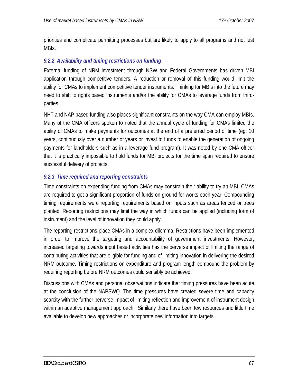priorities and complicate permitting processes but are likely to apply to all programs and not just MBIs.

# *9.2.2 Availability and timing restrictions on funding*

External funding of NRM investment through NSW and Federal Governments has driven MBI application through competitive tenders. A reduction or removal of this funding would limit the ability for CMAs to implement competitive tender instruments. Thinking for MBIs into the future may need to shift to rights based instruments and/or the ability for CMAs to leverage funds from thirdparties.

NHT and NAP based funding also places significant constraints on the way CMA can employ MBIs. Many of the CMA officers spoken to noted that the annual cycle of funding for CMAs limited the ability of CMAs to make payments for outcomes at the end of a preferred period of time (eg: 10 years, continuously over a number of years or invest to funds to enable the generation of ongoing payments for landholders such as in a leverage fund program). It was noted by one CMA officer that it is practically impossible to hold funds for MBI projects for the time span required to ensure successful delivery of projects.

# *9.2.3 Time required and reporting constraints*

Time constraints on expending funding from CMAs may constrain their ability to try an MBI. CMAs are required to get a significant proportion of funds on ground for works each year. Compounding timing requirements were reporting requirements based on inputs such as areas fenced or trees planted. Reporting restrictions may limit the way in which funds can be applied (including form of instrument) and the level of innovation they could apply.

The reporting restrictions place CMAs in a complex dilemma. Restrictions have been implemented in order to improve the targeting and accountability of government investments. However, increased targeting towards input based activities has the perverse impact of limiting the range of contributing activities that are eligible for funding and of limiting innovation in delivering the desired NRM outcome. Timing restrictions on expenditure and program length compound the problem by requiring reporting before NRM outcomes could sensibly be achieved.

Discussions with CMAs and personal observations indicate that timing pressures have been acute at the conclusion of the NAPSWQ. The time pressures have created severe time and capacity scarcity with the further perverse impact of limiting reflection and improvement of instrument design within an adaptive management approach. Similarly there have been few resources and little time available to develop new approaches or incorporate new information into targets.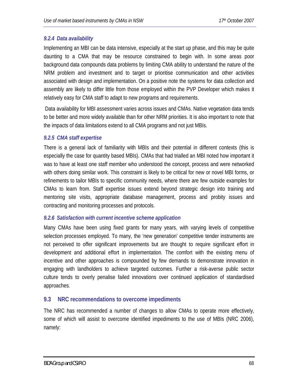# *9.2.4 Data availability*

Implementing an MBI can be data intensive, especially at the start up phase, and this may be quite daunting to a CMA that may be resource constrained to begin with. In some areas poor background data compounds data problems by limiting CMA ability to understand the nature of the NRM problem and investment and to target or prioritise communication and other activities associated with design and implementation. On a positive note the systems for data collection and assembly are likely to differ little from those employed within the PVP Developer which makes it relatively easy for CMA staff to adapt to new programs and requirements.

 Data availability for MBI assessment varies across issues and CMAs. Native vegetation data tends to be better and more widely available than for other NRM priorities. It is also important to note that the impacts of data limitations extend to all CMA programs and not just MBIs.

## *9.2.5 CMA staff expertise*

There is a general lack of familiarity with MBIs and their potential in different contexts (this is especially the case for quantity based MBIs). CMAs that had trialled an MBI noted how important it was to have at least one staff member who understood the concept, process and were networked with others doing similar work. This constraint is likely to be critical for new or novel MBI forms, or refinements to tailor MBIs to specific community needs, where there are few outside examples for CMAs to learn from. Staff expertise issues extend beyond strategic design into training and mentoring site visits, appropriate database management, process and probity issues and contracting and monitoring processes and protocols.

## *9.2.6 Satisfaction with current incentive scheme application*

Many CMAs have been using fixed grants for many years, with varying levels of competitive selection processes employed. To many, the 'new generation' competitive tender instruments are not perceived to offer significant improvements but are thought to require significant effort in development and additional effort in implementation. The comfort with the existing menu of incentive and other approaches is compounded by few demands to demonstrate innovation in engaging with landholders to achieve targeted outcomes. Further a risk-averse public sector culture tends to overly penalise failed innovations over continued application of standardised approaches.

# **9.3 NRC recommendations to overcome impediments**

The NRC has recommended a number of changes to allow CMAs to operate more effectively, some of which will assist to overcome identified impediments to the use of MBIs (NRC 2006), namely: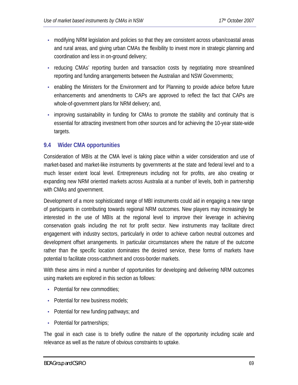- modifying NRM legislation and policies so that they are consistent across urban/coastal areas and rural areas, and giving urban CMAs the flexibility to invest more in strategic planning and coordination and less in on-ground delivery;
- reducing CMAs' reporting burden and transaction costs by negotiating more streamlined reporting and funding arrangements between the Australian and NSW Governments;
- enabling the Ministers for the Environment and for Planning to provide advice before future enhancements and amendments to CAPs are approved to reflect the fact that CAPs are whole-of-government plans for NRM delivery; and,
- improving sustainability in funding for CMAs to promote the stability and continuity that is essential for attracting investment from other sources and for achieving the 10-year state-wide targets.

# **9.4 Wider CMA opportunities**

Consideration of MBIs at the CMA level is taking place within a wider consideration and use of market-based and market-like instruments by governments at the state and federal level and to a much lesser extent local level. Entrepreneurs including not for profits, are also creating or expanding new NRM oriented markets across Australia at a number of levels, both in partnership with CMAs and government.

Development of a more sophisticated range of MBI instruments could aid in engaging a new range of participants in contributing towards regional NRM outcomes. New players may increasingly be interested in the use of MBIs at the regional level to improve their leverage in achieving conservation goals including the not for profit sector. New instruments may facilitate direct engagement with industry sectors, particularly in order to achieve carbon neutral outcomes and development offset arrangements. In particular circumstances where the nature of the outcome rather than the specific location dominates the desired service, these forms of markets have potential to facilitate cross-catchment and cross-border markets.

With these aims in mind a number of opportunities for developing and delivering NRM outcomes using markets are explored in this section as follows:

- Potential for new commodities:
- Potential for new business models;
- Potential for new funding pathways; and
- Potential for partnerships;

The goal in each case is to briefly outline the nature of the opportunity including scale and relevance as well as the nature of obvious constraints to uptake.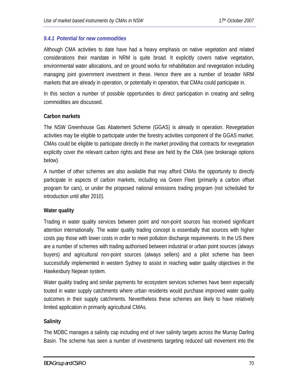## *9.4.1 Potential for new commodities*

Although CMA activities to date have had a heavy emphasis on native vegetation and related considerations their mandate in NRM is quite broad. It explicitly covers native vegetation, environmental water allocations, and on ground works for rehabilitation and revegetation including managing joint government investment in these. Hence there are a number of broader NRM markets that are already in operation, or potentially in operation, that CMAs could participate in.

In this section a number of possible opportunities to direct participation in creating and selling commodities are discussed.

## **Carbon markets**

The NSW Greenhouse Gas Abatement Scheme (GGAS) is already in operation. Revegetation activities may be eligible to participate under the forestry activities component of the GGAS market. CMAs could be eligible to participate directly in the market providing that contracts for revegetation explicitly cover the relevant carbon rights and these are held by the CMA (see brokerage options below).

A number of other schemes are also available that may afford CMAs the opportunity to directly participate in aspects of carbon markets, including via Green Fleet (primarily a carbon offset program for cars), or under the proposed national emissions trading program (not scheduled for introduction until after 2010).

## **Water quality**

Trading in water quality services between point and non-point sources has received significant attention internationally. The water quality trading concept is essentially that sources with higher costs pay those with lower costs in order to meet pollution discharge requirements. In the US there are a number of schemes with trading authorised between industrial or urban point sources (always buyers) and agricultural non-point sources (always sellers) and a pilot scheme has been successfully implemented in western Sydney to assist in reaching water quality objectives in the Hawkesbury Nepean system.

Water quality trading and similar payments for ecosystem services schemes have been especially touted in water supply catchments where urban residents would purchase improved water quality outcomes in their supply catchments. Nevertheless these schemes are likely to have relatively limited application in primarily agricultural CMAs.

## **Salinity**

The MDBC manages a salinity cap including end of river salinity targets across the Murray Darling Basin. The scheme has seen a number of investments targeting reduced salt movement into the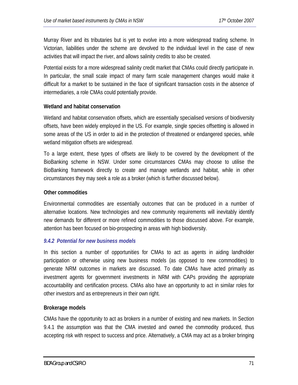Murray River and its tributaries but is yet to evolve into a more widespread trading scheme. In Victorian, liabilities under the scheme are devolved to the individual level in the case of new activities that will impact the river, and allows salinity credits to also be created.

Potential exists for a more widespread salinity credit market that CMAs could directly participate in. In particular, the small scale impact of many farm scale management changes would make it difficult for a market to be sustained in the face of significant transaction costs in the absence of intermediaries, a role CMAs could potentially provide.

#### **Wetland and habitat conservation**

Wetland and habitat conservation offsets, which are essentially specialised versions of biodiversity offsets, have been widely employed in the US. For example, single species offsetting is allowed in some areas of the US in order to aid in the protection of threatened or endangered species, while wetland mitigation offsets are widespread.

To a large extent, these types of offsets are likely to be covered by the development of the BioBanking scheme in NSW. Under some circumstances CMAs may choose to utilise the BioBanking framework directly to create and manage wetlands and habitat, while in other circumstances they may seek a role as a broker (which is further discussed below).

#### **Other commodities**

Environmental commodities are essentially outcomes that can be produced in a number of alternative locations. New technologies and new community requirements will inevitably identify new demands for different or more refined commodities to those discussed above. For example, attention has been focused on bio-prospecting in areas with high biodiversity.

## *9.4.2 Potential for new business models*

In this section a number of opportunities for CMAs to act as agents in aiding landholder participation or otherwise using new business models (as opposed to new commodities) to generate NRM outcomes in markets are discussed. To date CMAs have acted primarily as investment agents for government investments in NRM with CAPs providing the appropriate accountability and certification process. CMAs also have an opportunity to act in similar roles for other investors and as entrepreneurs in their own right.

#### **Brokerage models**

CMAs have the opportunity to act as brokers in a number of existing and new markets. In Section 9.4.1 the assumption was that the CMA invested and owned the commodity produced, thus accepting risk with respect to success and price. Alternatively, a CMA may act as a broker bringing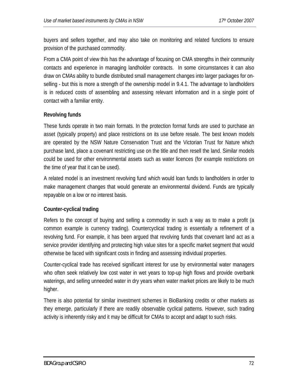buyers and sellers together, and may also take on monitoring and related functions to ensure provision of the purchased commodity.

From a CMA point of view this has the advantage of focusing on CMA strengths in their community contacts and experience in managing landholder contracts. In some circumstances it can also draw on CMAs ability to bundle distributed small management changes into larger packages for onselling - but this is more a strength of the ownership model in 9.4.1. The advantage to landholders is in reduced costs of assembling and assessing relevant information and in a single point of contact with a familiar entity.

# **Revolving funds**

These funds operate in two main formats. In the protection format funds are used to purchase an asset (typically property) and place restrictions on its use before resale. The best known models are operated by the NSW Nature Conservation Trust and the Victorian Trust for Nature which purchase land, place a covenant restricting use on the title and then resell the land. Similar models could be used for other environmental assets such as water licences (for example restrictions on the time of year that it can be used).

A related model is an investment revolving fund which would loan funds to landholders in order to make management changes that would generate an environmental dividend. Funds are typically repayable on a low or no interest basis.

# **Counter-cyclical trading**

Refers to the concept of buying and selling a commodity in such a way as to make a profit (a common example is currency trading). Countercyclical trading is essentially a refinement of a revolving fund. For example, it has been argued that revolving funds that covenant land act as a service provider identifying and protecting high value sites for a specific market segment that would otherwise be faced with significant costs in finding and assessing individual properties.

Counter-cyclical trade has received significant interest for use by environmental water managers who often seek relatively low cost water in wet years to top-up high flows and provide overbank waterings, and selling unneeded water in dry years when water market prices are likely to be much higher.

There is also potential for similar investment schemes in BioBanking credits or other markets as they emerge, particularly if there are readily observable cyclical patterns. However, such trading activity is inherently risky and it may be difficult for CMAs to accept and adapt to such risks.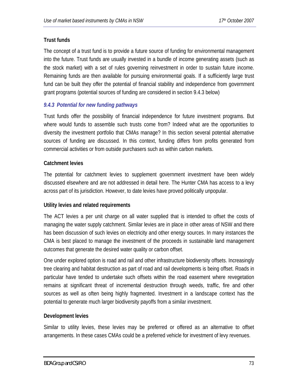### **Trust funds**

The concept of a trust fund is to provide a future source of funding for environmental management into the future. Trust funds are usually invested in a bundle of income generating assets (such as the stock market) with a set of rules governing reinvestment in order to sustain future income. Remaining funds are then available for pursuing environmental goals. If a sufficiently large trust fund can be built they offer the potential of financial stability and independence from government grant programs (potential sources of funding are considered in section 9.4.3 below)

### *9.4.3 Potential for new funding pathways*

Trust funds offer the possibility of financial independence for future investment programs. But where would funds to assemble such trusts come from? Indeed what are the opportunities to diversity the investment portfolio that CMAs manage? In this section several potential alternative sources of funding are discussed. In this context, funding differs from profits generated from commercial activities or from outside purchasers such as within carbon markets.

### **Catchment levies**

The potential for catchment levies to supplement government investment have been widely discussed elsewhere and are not addressed in detail here. The Hunter CMA has access to a levy across part of its jurisdiction. However, to date levies have proved politically unpopular.

### **Utility levies and related requirements**

The ACT levies a per unit charge on all water supplied that is intended to offset the costs of managing the water supply catchment. Similar levies are in place in other areas of NSW and there has been discussion of such levies on electricity and other energy sources. In many instances the CMA is best placed to manage the investment of the proceeds in sustainable land management outcomes that generate the desired water quality or carbon offset.

One under explored option is road and rail and other infrastructure biodiversity offsets. Increasingly tree clearing and habitat destruction as part of road and rail developments is being offset. Roads in particular have tended to undertake such offsets within the road easement where revegetation remains at significant threat of incremental destruction through weeds, traffic, fire and other sources as well as often being highly fragmented. Investment in a landscape context has the potential to generate much larger biodiversity payoffs from a similar investment.

### **Development levies**

Similar to utility levies, these levies may be preferred or offered as an alternative to offset arrangements. In these cases CMAs could be a preferred vehicle for investment of levy revenues.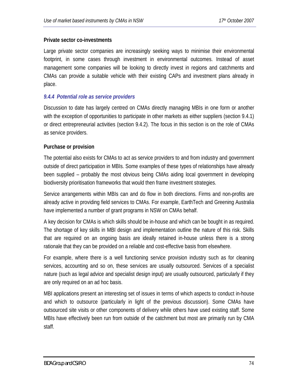### **Private sector co-investments**

Large private sector companies are increasingly seeking ways to minimise their environmental footprint, in some cases through investment in environmental outcomes. Instead of asset management some companies will be looking to directly invest in regions and catchments and CMAs can provide a suitable vehicle with their existing CAPs and investment plans already in place.

### *9.4.4 Potential role as service providers*

Discussion to date has largely centred on CMAs directly managing MBIs in one form or another with the exception of opportunities to participate in other markets as either suppliers (section 9.4.1) or direct entrepreneurial activities (section 9.4.2). The focus in this section is on the role of CMAs as service providers.

#### **Purchase or provision**

The potential also exists for CMAs to act as service providers to and from industry and government outside of direct participation in MBIs. Some examples of these types of relationships have already been supplied – probably the most obvious being CMAs aiding local government in developing biodiversity prioritisation frameworks that would then frame investment strategies.

Service arrangements within MBIs can and do flow in both directions. Firms and non-profits are already active in providing field services to CMAs. For example, EarthTech and Greening Australia have implemented a number of grant programs in NSW on CMAs behalf.

A key decision for CMAs is which skills should be in-house and which can be bought in as required. The shortage of key skills in MBI design and implementation outline the nature of this risk. Skills that are required on an ongoing basis are ideally retained in-house unless there is a strong rationale that they can be provided on a reliable and cost-effective basis from elsewhere.

For example, where there is a well functioning service provision industry such as for cleaning services, accounting and so on, these services are usually outsourced. Services of a specialist nature (such as legal advice and specialist design input) are usually outsourced, particularly if they are only required on an ad hoc basis.

MBI applications present an interesting set of issues in terms of which aspects to conduct in-house and which to outsource (particularly in light of the previous discussion). Some CMAs have outsourced site visits or other components of delivery while others have used existing staff. Some MBIs have effectively been run from outside of the catchment but most are primarily run by CMA staff.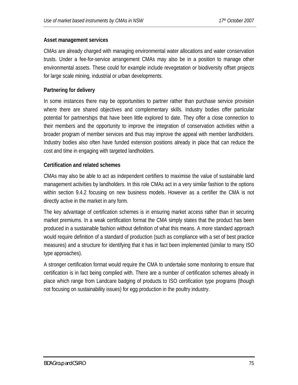### **Asset management services**

CMAs are already charged with managing environmental water allocations and water conservation trusts. Under a fee-for-service arrangement CMAs may also be in a position to manage other environmental assets. These could for example include revegetation or biodiversity offset projects for large scale mining, industrial or urban developments.

### **Partnering for delivery**

In some instances there may be opportunities to partner rather than purchase service provision where there are shared objectives and complementary skills. Industry bodies offer particular potential for partnerships that have been little explored to date. They offer a close connection to their members and the opportunity to improve the integration of conservation activities within a broader program of member services and thus may improve the appeal with member landholders. Industry bodies also often have funded extension positions already in place that can reduce the cost and time in engaging with targeted landholders.

### **Certification and related schemes**

CMAs may also be able to act as independent certifiers to maximise the value of sustainable land management activities by landholders. In this role CMAs act in a very similar fashion to the options within section 9.4.2 focusing on new business models. However as a certifier the CMA is not directly active in the market in any form.

The key advantage of certification schemes is in ensuring market access rather than in securing market premiums. In a weak certification format the CMA simply states that the product has been produced in a sustainable fashion without definition of what this means. A more standard approach would require definition of a standard of production (such as compliance with a set of best practice measures) and a structure for identifying that it has in fact been implemented (similar to many ISO type approaches).

A stronger certification format would require the CMA to undertake some monitoring to ensure that certification is in fact being complied with. There are a number of certification schemes already in place which range from Landcare badging of products to ISO certification type programs (though not focusing on sustainability issues) for egg production in the poultry industry.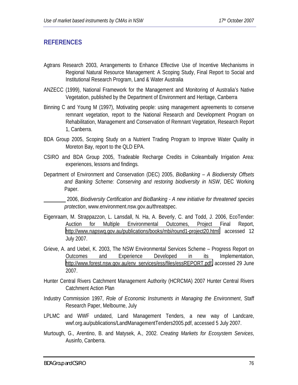## **REFERENCES**

- Agtrans Research 2003, Arrangements to Enhance Effective Use of Incentive Mechanisms in Regional Natural Resource Management: A Scoping Study, Final Report to Social and Institutional Research Program, Land & Water Australia
- ANZECC (1999), National Framework for the Management and Monitoring of Australia's Native Vegetation, published by the Department of Environment and Heritage, Canberra
- Binning C and Young M (1997), Motivating people: using management agreements to conserve remnant vegetation, report to the National Research and Development Program on Rehabilitation, Management and Conservation of Remnant Vegetation, Research Report 1, Canberra.
- BDA Group 2005, Scoping Study on a Nutrient Trading Program to Improve Water Quality in Moreton Bay, report to the QLD EPA.
- CSIRO and BDA Group 2005, Tradeable Recharge Credits in Coleambally Irrigation Area: experiences, lessons and findings.
- Department of Environment and Conservation (DEC) 2005, *BioBanking A Biodiversity Offsets and Banking Scheme: Conserving and restoring biodiversity in NSW*, DEC Working Paper.

 2006, *Biodiversity Certification and BioBanking - A new initiative for threatened species protection*, www.environment.nsw.gov.au/threatspec.

- Eigenraam, M. Strappazzon, L. Lansdall, N. Ha, A. Beverly, C. and Todd, J. 2006, EcoTender: Auction for Multiple Environmental Outcomes, Project Final Report, [http://www.napswq.gov.au/publications/books/mbi/round1-project20.html,](http://www.napswq.gov.au/publications/books/mbi/round1-project20.html) accessed 12 July 2007.
- Grieve, A. and Uebel, K. 2003, The NSW Environmental Services Scheme Progress Report on Outcomes and Experience Developed in its Implementation, [http://www.forest.nsw.gov.au/env\\_services/ess/files/essREPORT.pdf,](http://www.forest.nsw.gov.au/env_services/ess/files/essREPORT.pdf) accessed 29 June 2007.
- Hunter Central Rivers Catchment Management Authority (HCRCMA) 2007 Hunter Central Rivers Catchment Action Plan
- Industry Commission 1997, *Role of Economic Instruments in Managing the Environment*, Staff Research Paper, Melbourne, July
- LPLMC and WWF undated, Land Management Tenders, a new way of Landcare, wwf.org.au/publications/LandManagementTenders2005.pdf, accessed 5 July 2007.
- Murtough, G., Arentino, B. and Matysek, A., 2002. *Creating Markets for Ecosystem Services*, Ausinfo, Canberra.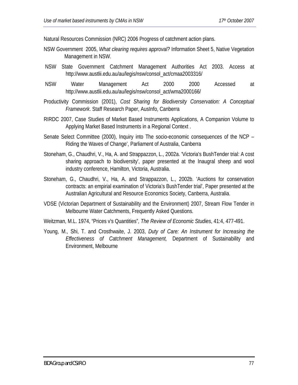Natural Resources Commission (NRC) 2006 Progress of catchment action plans.

- NSW Government 2005, *What clearing requires approval?* Information Sheet 5, Native Vegetation Management in NSW.
- NSW State Government Catchment Management Authorities Act 2003. Access at http://www.austlii.edu.au/au/legis/nsw/consol\_act/cmaa2003316/
- NSW Water Management Act 2000 2000 Accessed at http://www.austlii.edu.au/au/legis/nsw/consol\_act/wma2000166/
- Productivity Commission (2001), *Cost Sharing for Biodiversity Conservation: A Conceptual Framework*. Staff Research Paper, AusInfo, Canberra
- RIRDC 2007, Case Studies of Market Based Instruments Applications, A Companion Volume to Applying Market Based Instruments in a Regional Context .
- Senate Select Committee (2000), Inquiry into The socio-economic consequences of the NCP Riding the Waves of Change', Parliament of Australia, Canberra
- Stoneham, G., Chaudhri, V., Ha, A. and Strappazzon, L., 2002a. 'Victoria's BushTender trial: A cost sharing approach to biodiversity', paper presented at the Inaugral sheep and wool industry conference, Hamilton, Victoria, Australia.
- Stoneham, G., Chaudhri, V., Ha, A. and Strappazzon, L., 2002b. 'Auctions for conservation contracts: an empirial examination of Victoria's BushTender trial', Paper presented at the Australian Agricultural and Resource Economics Society, Canberra, Australia.
- VDSE (Victorian Department of Sustainability and the Environment) 2007, Stream Flow Tender in Melbourne Water Catchments, Frequently Asked Questions.
- Weitzman, M.L. 1974, "Prices v's Quantities", *The Review of Economic Studies*, 41:4, 477-491.
- Young, M., Shi, T. and Crosthwaite, J. 2003, *Duty of Care: An Instrument for Increasing the Effectiveness of Catchment Management,* Department of Sustainability and Environment, Melbourne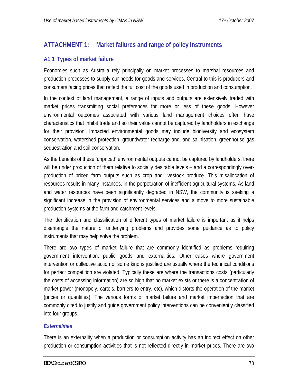## **ATTACHMENT 1: Market failures and range of policy instruments**

## **A1.1 Types of market failure**

Economies such as Australia rely principally on market processes to marshal resources and production processes to supply our needs for goods and services. Central to this is producers and consumers facing prices that reflect the full cost of the goods used in production and consumption.

In the context of land management, a range of inputs and outputs are extensively traded with market prices transmitting social preferences for more or less of these goods. However environmental outcomes associated with various land management choices often have characteristics that inhibit trade and so their value cannot be captured by landholders in exchange for their provision. Impacted environmental goods may include biodiversity and ecosystem conservation, watershed protection, groundwater recharge and land salinisation, greenhouse gas sequestration and soil conservation.

As the benefits of these 'unpriced' environmental outputs cannot be captured by landholders, there will be under production of them relative to socially desirable levels – and a correspondingly overproduction of priced farm outputs such as crop and livestock produce. This misallocation of resources results in many instances, in the perpetuation of inefficient agricultural systems. As land and water resources have been significantly degraded in NSW, the community is seeking a significant increase in the provision of environmental services and a move to more sustainable production systems at the farm and catchment levels.

The identification and classification of different types of market failure is important as it helps disentangle the nature of underlying problems and provides some guidance as to policy instruments that may help solve the problem.

There are two types of market failure that are commonly identified as problems requiring government intervention: public goods and externalities. Other cases where government intervention or collective action of some kind is justified are usually where the technical conditions for perfect competition are violated. Typically these are where the transactions costs (particularly the costs of accessing information) are so high that no market exists or there is a concentration of market power (monopoly, cartels, barriers to entry, etc), which distorts the operation of the market (prices or quantities). The various forms of market failure and market imperfection that are commonly cited to justify and guide government policy interventions can be conveniently classified into four groups.

### *Externalities*

There is an externality when a production or consumption activity has an indirect effect on other production or consumption activities that is not reflected directly in market prices. There are two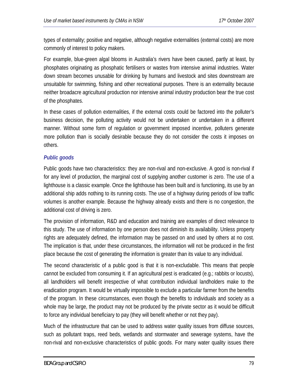types of externality; positive and negative, although negative externalities (external costs) are more commonly of interest to policy makers.

For example, blue-green algal blooms in Australia's rivers have been caused, partly at least, by phosphates originating as phosphatic fertilisers or wastes from intensive animal industries. Water down stream becomes unusable for drinking by humans and livestock and sites downstream are unsuitable for swimming, fishing and other recreational purposes. There is an externality because neither broadacre agricultural production nor intensive animal industry production bear the true cost of the phosphates.

In these cases of pollution externalities, if the external costs could be factored into the polluter's business decision, the polluting activity would not be undertaken or undertaken in a different manner. Without some form of regulation or government imposed incentive, polluters generate more pollution than is socially desirable because they do not consider the costs it imposes on others.

## *Public goods*

Public goods have two characteristics: they are non-rival and non-exclusive. A good is non-rival if for any level of production, the marginal cost of supplying another customer is zero. The use of a lighthouse is a classic example. Once the lighthouse has been built and is functioning, its use by an additional ship adds nothing to its running costs. The use of a highway during periods of low traffic volumes is another example. Because the highway already exists and there is no congestion, the additional cost of driving is zero.

The provision of information, R&D and education and training are examples of direct relevance to this study. The use of information by one person does not diminish its availability. Unless property rights are adequately defined, the information may be passed on and used by others at no cost. The implication is that, under these circumstances, the information will not be produced in the first place because the cost of generating the information is greater than its value to any individual.

The second characteristic of a public good is that it is non-excludable. This means that people cannot be excluded from consuming it. If an agricultural pest is eradicated (e.g.; rabbits or locusts), all landholders will benefit irrespective of what contribution individual landholders make to the eradication program. It would be virtually impossible to exclude a particular farmer from the benefits of the program. In these circumstances, even though the benefits to individuals and society as a whole may be large, the product may not be produced by the private sector as it would be difficult to force any individual beneficiary to pay (they will benefit whether or not they pay).

Much of the infrastructure that can be used to address water quality issues from diffuse sources, such as pollutant traps, reed beds, wetlands and stormwater and sewerage systems, have the non-rival and non-exclusive characteristics of public goods. For many water quality issues there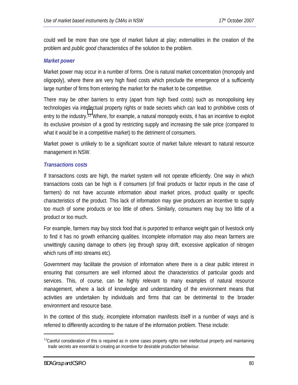could well be more than one type of market failure at play; *externalities* in the creation of the problem and *public good* characteristics of the solution to the problem.

### *Market power*

Market power may occur in a number of forms. One is natural market concentration (monopoly and oligopoly), where there are very high fixed costs which preclude the emergence of a sufficiently large number of firms from entering the market for the market to be competitive.

There may be other barriers to entry (apart from high fixed costs) such as monopolising key technologies via intellectual property rights or trade secrets which can lead to prohibitive costs of entry to the industry.13 Where, for example, a natural monopoly exists, it has an incentive to exploit its exclusive provision of a good by restricting supply and increasing the sale price (compared to what it would be in a competitive market) to the detriment of consumers.

Market power is unlikely to be a significant source of market failure relevant to natural resource management in NSW.

### *Transactions costs*

If transactions costs are high, the market system will not operate efficiently. One way in which transactions costs can be high is if consumers (of final products or factor inputs in the case of farmers) do not have accurate information about market prices, product quality or specific characteristics of the product. This lack of information may give producers an incentive to supply too much of some products or too little of others. Similarly, consumers may buy too little of a product or too much.

For example, farmers may buy stock food that is purported to enhance weight gain of livestock only to find it has no growth enhancing qualities. Incomplete information may also mean farmers are unwittingly causing damage to others (eg through spray drift, excessive application of nitrogen which runs off into streams etc).

Government may facilitate the provision of information where there is a clear public interest in ensuring that consumers are well informed about the characteristics of particular goods and services. This, of course, can be highly relevant to many examples of natural resource management, where a lack of knowledge and understanding of the environment means that activities are undertaken by individuals and firms that can be detrimental to the broader environment and resource base.

In the context of this study, incomplete information manifests itself in a number of ways and is referred to differently according to the nature of the information problem. These include:

<sup>&</sup>lt;sup>13</sup>Careful consideration of this is required as in some cases property rights over intellectual property and maintaining trade secrets are essential to creating an incentive for desirable production behaviour.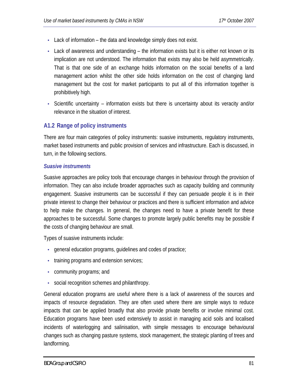- Lack of information the data and knowledge simply does not exist.
- Lack of awareness and understanding the information exists but it is either not known or its implication are not understood. The information that exists may also be held asymmetrically. That is that one side of an exchange holds information on the social benefits of a land management action whilst the other side holds information on the cost of changing land management but the cost for market participants to put all of this information together is prohibitively high.
- Scientific uncertainty information exists but there is uncertainty about its veracity and/or relevance in the situation of interest.

## **A1.2 Range of policy instruments**

There are four main categories of policy instruments: suasive instruments, regulatory instruments, market based instruments and public provision of services and infrastructure. Each is discussed, in turn, in the following sections.

### *Suasive instruments*

Suasive approaches are policy tools that encourage changes in behaviour through the provision of information. They can also include broader approaches such as capacity building and community engagement. Suasive instruments can be successful if they can persuade people it is in their private interest to change their behaviour or practices and there is sufficient information and advice to help make the changes. In general, the changes need to have a private benefit for these approaches to be successful. Some changes to promote largely public benefits may be possible if the costs of changing behaviour are small.

Types of suasive instruments include:

- general education programs, guidelines and codes of practice;
- training programs and extension services;
- community programs; and
- social recognition schemes and philanthropy.

General education programs are useful where there is a lack of awareness of the sources and impacts of resource degradation. They are often used where there are simple ways to reduce impacts that can be applied broadly that also provide private benefits or involve minimal cost. Education programs have been used extensively to assist in managing acid soils and localised incidents of waterlogging and salinisation, with simple messages to encourage behavioural changes such as changing pasture systems, stock management, the strategic planting of trees and landforming.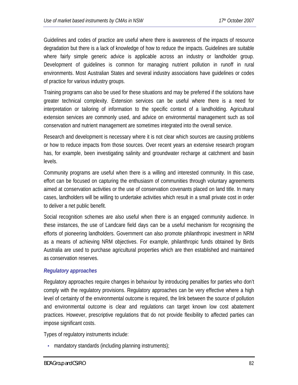Guidelines and codes of practice are useful where there is awareness of the impacts of resource degradation but there is a lack of knowledge of how to reduce the impacts. Guidelines are suitable where fairly simple generic advice is applicable across an industry or landholder group. Development of guidelines is common for managing nutrient pollution in runoff in rural environments. Most Australian States and several industry associations have guidelines or codes of practice for various industry groups.

Training programs can also be used for these situations and may be preferred if the solutions have greater technical complexity. Extension services can be useful where there is a need for interpretation or tailoring of information to the specific context of a landholding. Agricultural extension services are commonly used, and advice on environmental management such as soil conservation and nutrient management are sometimes integrated into the overall service.

Research and development is necessary where it is not clear which sources are causing problems or how to reduce impacts from those sources. Over recent years an extensive research program has, for example, been investigating salinity and groundwater recharge at catchment and basin levels.

Community programs are useful when there is a willing and interested community. In this case, effort can be focused on capturing the enthusiasm of communities through voluntary agreements aimed at conservation activities or the use of conservation covenants placed on land title. In many cases, landholders will be willing to undertake activities which result in a small private cost in order to deliver a net public benefit.

Social recognition schemes are also useful when there is an engaged community audience. In these instances, the use of Landcare field days can be a useful mechanism for recognising the efforts of pioneering landholders. Government can also promote philanthropic investment in NRM as a means of achieving NRM objectives. For example, philanthropic funds obtained by Birds Australia are used to purchase agricultural properties which are then established and maintained as conservation reserves.

### *Regulatory approaches*

Regulatory approaches require changes in behaviour by introducing penalties for parties who don't comply with the regulatory provisions. Regulatory approaches can be very effective where a high level of certainty of the environmental outcome is required, the link between the source of pollution and environmental outcome is clear and regulations can target known low cost abatement practices. However, prescriptive regulations that do not provide flexibility to affected parties can impose significant costs.

Types of regulatory instruments include:

• mandatory standards (including planning instruments);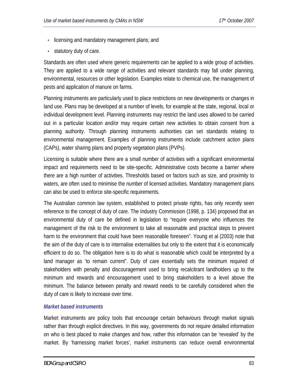- licensing and mandatory management plans; and
- statutory duty of care.

Standards are often used where generic requirements can be applied to a wide group of activities. They are applied to a wide range of activities and relevant standards may fall under planning, environmental, resources or other legislation. Examples relate to chemical use, the management of pests and application of manure on farms.

Planning instruments are particularly used to place restrictions on new developments or changes in land use. Plans may be developed at a number of levels, for example at the state, regional, local or individual development level. Planning instruments may restrict the land uses allowed to be carried out in a particular location and/or may require certain new activities to obtain consent from a planning authority. Through planning instruments authorities can set standards relating to environmental management. Examples of planning instruments include catchment action plans (CAPs), water sharing plans and property vegetation plans (PVPs).

Licensing is suitable where there are a small number of activities with a significant environmental impact and requirements need to be site-specific. Administrative costs become a barrier where there are a high number of activities. Thresholds based on factors such as size, and proximity to waters, are often used to minimise the number of licensed activities. Mandatory management plans can also be used to enforce site-specific requirements.

The Australian common law system, established to protect private rights, has only recently seen reference to the concept of duty of care. The Industry Commission (1998, p. 134) proposed that an environmental duty of care be defined in legislation to "require everyone who influences the management of the risk to the environment to take all reasonable and practical steps to prevent harm to the environment that could have been reasonable foreseen". Young et al (2003) note that the aim of the duty of care is to internalise externalities but only to the extent that it is economically efficient to do so. The obligation here is to do what is reasonable which could be interpreted by a land manager as 'to remain current". Duty of care essentially sets the minimum required of stakeholders with penalty and discouragement used to bring recalcitrant landholders up to the minimum and rewards and encouragement used to bring stakeholders to a level above the minimum. The balance between penalty and reward needs to be carefully considered when the duty of care is likely to increase over time.

### *Market based instruments*

Market instruments are policy tools that encourage certain behaviours through market signals rather than through explicit directives. In this way, governments do not require detailed information on who is best placed to make changes and how, rather this information can be 'revealed' by the market. By 'harnessing market forces', market instruments can reduce overall environmental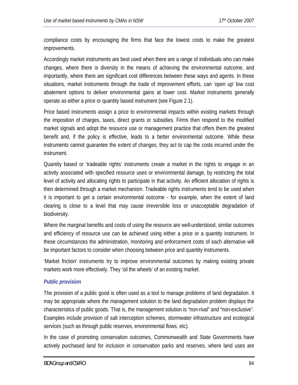compliance costs by encouraging the firms that face the lowest costs to make the greatest improvements.

Accordingly market instruments are best used when there are a range of individuals who can make changes, where there is diversity in the means of achieving the environmental outcome, and importantly, where there are significant cost differences between these ways and agents. In these situations, market instruments through the trade of improvement efforts, can 'open up' low cost abatement options to deliver environmental gains at lower cost. Market instruments generally operate as either a price or quantity based instrument (see Figure 2.1).

Price based instruments assign a price to environmental impacts within existing markets through the imposition of charges, taxes, direct grants or subsidies. Firms then respond to the modified market signals and adopt the resource use or management practice that offers them the greatest benefit and, if the policy is effective, leads to a better environmental outcome. While these instruments cannot guarantee the extent of changes, they act to cap the costs incurred under the instrument.

Quantity based or 'tradeable rights' instruments create a market in the rights to engage in an activity associated with specified resource uses or environmental damage, by restricting the total level of activity and allocating rights to participate in that activity. An efficient allocation of rights is then determined through a market mechanism. Tradeable rights instruments tend to be used when it is important to get a certain environmental outcome - for example, when the extent of land clearing is close to a level that may cause irreversible loss or unacceptable degradation of biodiversity.

Where the marginal benefits and costs of using the resource are well-understood, similar outcomes and efficiency of resource use can be achieved using either a price or a quantity instrument. In these circumstances the administration, monitoring and enforcement costs of each alternative will be important factors to consider when choosing between price and quantity instruments.

'Market friction' instruments try to improve environmental outcomes by making existing private markets work more effectively. They 'oil the wheels' of an existing market.

### *Public provision*

The provision of a public good is often used as a tool to manage problems of land degradation. It may be appropriate where the management solution to the land degradation problem displays the characteristics of public goods. That is, the management solution is "non-rival" and "non-exclusive". Examples include provision of salt interception schemes, stormwater infrastructure and ecological services (such as through public reserves, environmental flows, etc).

In the case of promoting conservation outcomes, Commonwealth and State Governments have actively purchased land for inclusion in conservation parks and reserves, where land uses are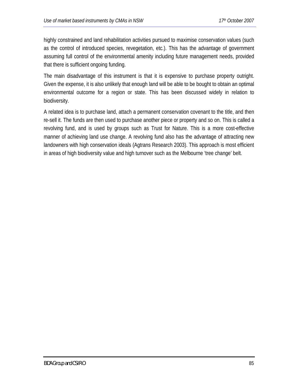highly constrained and land rehabilitation activities pursued to maximise conservation values (such as the control of introduced species, revegetation, etc.). This has the advantage of government assuming full control of the environmental amenity including future management needs, provided that there is sufficient ongoing funding.

The main disadvantage of this instrument is that it is expensive to purchase property outright. Given the expense, it is also unlikely that enough land will be able to be bought to obtain an optimal environmental outcome for a region or state. This has been discussed widely in relation to biodiversity.

A related idea is to purchase land, attach a permanent conservation covenant to the title, and then re-sell it. The funds are then used to purchase another piece or property and so on. This is called a revolving fund, and is used by groups such as Trust for Nature. This is a more cost-effective manner of achieving land use change. A revolving fund also has the advantage of attracting new landowners with high conservation ideals (Agtrans Research 2003). This approach is most efficient in areas of high biodiversity value and high turnover such as the Melbourne 'tree change' belt.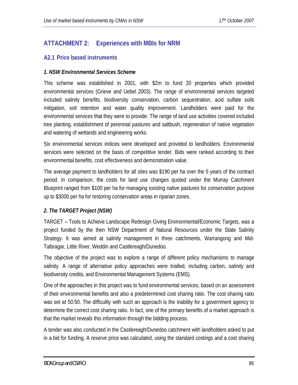## **ATTACHMENT 2: Experiences with MBIs for NRM**

### **A2.1 Price based instruments**

### *1. NSW Environmental Services Scheme*

This scheme was established in 2001, with \$2m to fund 20 properties which provided environmental services (Grieve and Uebel 2003). The range of environmental services targeted included salinity benefits, biodiversity conservation, carbon sequestration, acid sulfate soils mitigation, soil retention and water quality improvement. Landholders were paid for the environmental services that they were to provide. The range of land use activities covered included tree planting, establishment of perennial pastures and saltbush, regeneration of native vegetation and watering of wetlands and engineering works.

Six environmental services indices were developed and provided to landholders. Environmental services were selected on the basis of competitive tender. Bids were ranked according to their environmental benefits, cost effectiveness and demonstration value.

The average payment to landholders for all sites was \$190 per ha over the 5 years of the contract period. In comparison, the costs for land use changes quoted under the Murray Catchment Blueprint ranged from \$100 per ha for managing existing native pastures for conservation purpose up to \$3000 per ha for restoring conservation areas in riparian zones.

### *2. The TARGET Project (NSW)*

TARGET – Tools to Achieve Landscape Redesign Giving Environmental/Economic Targets, was a project funded by the then NSW Department of Natural Resources under the State Salinity Strategy. It was aimed at salinity management in three catchments, Warrangong and Mid-Talbragar, Little River, Weddin and Castlereagh/Dunedoo.

The objective of the project was to explore a range of different policy mechanisms to manage salinity. A range of alternative policy approaches were trialled, including carbon, salinity and biodiversity credits, and Environmental Management Systems (EMS).

One of the approaches in this project was to fund environmental services, based on an assessment of their environmental benefits and also a predetermined cost sharing ratio. The cost sharing ratio was set at 50:50. The difficultly with such an approach is the inability for a government agency to determine the correct cost sharing ratio. In fact, one of the primary benefits of a market approach is that the market reveals this information through the bidding process.

A tender was also conducted in the Castlereagh/Dunedoo catchment with landholders asked to put in a bid for funding. A reserve price was calculated, using the standard costings and a cost sharing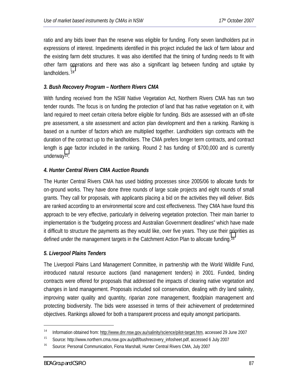ratio and any bids lower than the reserve was eligible for funding. Forty seven landholders put in expressions of interest. Impediments identified in this project included the lack of farm labour and the existing farm debt structures. It was also identified that the timing of funding needs to fit with other farm operations and there was also a significant lag between funding and uptake by landholders.<sup>14</sup>

### *3. Bush Recovery Program – Northern Rivers CMA*

With funding received from the NSW Native Vegetation Act, Northern Rivers CMA has run two tender rounds. The focus is on funding the protection of land that has native vegetation on it, with land required to meet certain criteria before eligible for funding. Bids are assessed with an off-site pre assessment, a site assessment and action plan development and then a ranking. Ranking is based on a number of factors which are multiplied together. Landholders sign contracts with the duration of the contract up to the landholders. The CMA prefers longer term contracts, and contract length is one factor included in the ranking. Round 2 has funding of \$700,000 and is currently underway15.

### *4. Hunter Central Rivers CMA Auction Rounds*

The Hunter Central Rivers CMA has used bidding processes since 2005/06 to allocate funds for on-ground works. They have done three rounds of large scale projects and eight rounds of small grants. They call for proposals, with applicants placing a bid on the activities they will deliver. Bids are ranked according to an environmental score and cost effectiveness. They CMA have found this approach to be very effective, particularly in delivering vegetation protection. Their main barrier to implementation is the "budgeting process and Australian Government deadlines" which have made it difficult to structure the payments as they would like, over five years. They use their priorities as defined under the management targets in the Catchment Action Plan to allocate funding.16

#### *5. Liverpool Plains Tenders*

The Liverpool Plains Land Management Committee, in partnership with the World Wildlife Fund, introduced natural resource auctions (land management tenders) in 2001. Funded, binding contracts were offered for proposals that addressed the impacts of clearing native vegetation and changes in land management. Proposals included soil conservation, dealing with dry land salinity, improving water quality and quantity, riparian zone management, floodplain management and protecting biodiversity. The bids were assessed in terms of their achievement of predetermined objectives. Rankings allowed for both a transparent process and equity amongst participants.

<sup>&</sup>lt;sup>14</sup> Information obtained from: http://www.dnr.nsw.gov.au/salinity/science/pilot-target.htm, accessed 29 June 2007

<sup>&</sup>lt;sup>15</sup> Source: http://www.northern.cma.nsw.gov.au/pdf/bushrecovery\_infosheet.pdf, accessed 6 July 2007

<sup>&</sup>lt;sup>16</sup> Source: Personal Communication, Fiona Marshall, Hunter Central Rivers CMA, July 2007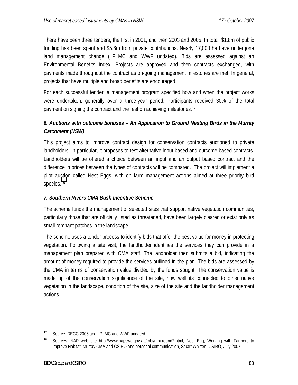There have been three tenders, the first in 2001, and then 2003 and 2005. In total, \$1.8m of public funding has been spent and \$5.6m from private contributions. Nearly 17,000 ha have undergone land management change (LPLMC and WWF undated). Bids are assessed against an Environmental Benefits Index. Projects are approved and then contracts exchanged, with payments made throughout the contract as on-going management milestones are met. In general, projects that have multiple and broad benefits are encouraged.

For each successful tender, a management program specified how and when the project works were undertaken, generally over a three-year period. Participants received 30% of the total payment on signing the contract and the rest on achieving milestones.17

## *6. Auctions with outcome bonuses – An Application to Ground Nesting Birds in the Murray Catchment (NSW)*

This project aims to improve contract design for conservation contracts auctioned to private landholders. In particular, it proposes to test alternative input-based and outcome-based contracts. Landholders will be offered a choice between an input and an output based contract and the difference in prices between the types of contracts will be compared. The project will implement a pilot auction called Nest Eggs, with on farm management actions aimed at three priority bird species.18

## *7. Southern Rivers CMA Bush Incentive Scheme*

The scheme funds the management of selected sites that support native vegetation communities, particularly those that are officially listed as threatened, have been largely cleared or exist only as small remnant patches in the landscape.

The scheme uses a tender process to identify bids that offer the best value for money in protecting vegetation. Following a site visit, the landholder identifies the services they can provide in a management plan prepared with CMA staff. The landholder then submits a bid, indicating the amount of money required to provide the services outlined in the plan. The bids are assessed by the CMA in terms of conservation value divided by the funds sought. The conservation value is made up of the conservation significance of the site, how well its connected to other native vegetation in the landscape, condition of the site, size of the site and the landholder management actions.

<sup>&</sup>lt;sup>17</sup> Source: DECC 2006 and LPLMC and WWF undated.

<sup>&</sup>lt;sup>18</sup> Sources: NAP web site http://www.napswq.gov.au/mbi/mbi-round2.html, Nest Egg, Working with Farmers to Improve Habitat, Murray CMA and CSIRO and personal communication, Stuart Whitten, CSIRO, July 2007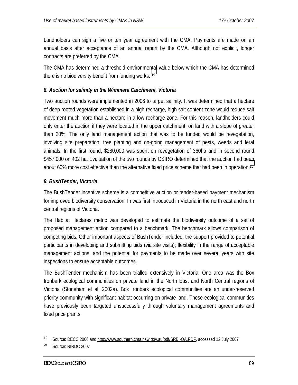Landholders can sign a five or ten year agreement with the CMA. Payments are made on an annual basis after acceptance of an annual report by the CMA. Although not explicit, longer contracts are preferred by the CMA.

The CMA has determined a threshold environmental value below which the CMA has determined there is no biodiversity benefit from funding works. 19

### *8. Auction for salinity in the Wimmera Catchment, Victoria*

Two auction rounds were implemented in 2006 to target salinity. It was determined that a hectare of deep rooted vegetation established in a high recharge, high salt content zone would reduce salt movement much more than a hectare in a low recharge zone. For this reason, landholders could only enter the auction if they were located in the upper catchment, on land with a slope of greater than 20%. The only land management action that was to be funded would be revegetation, involving site preparation, tree planting and on-going management of pests, weeds and feral animals. In the first round, \$280,000 was spent on revegetation of 360ha and in second round \$457,000 on 402 ha. Evaluation of the two rounds by CSIRO determined that the auction had been about 60% more cost effective than the alternative fixed price scheme that had been in operation.<sup>20</sup>

### *9. BushTender, Victoria*

The BushTender incentive scheme is a competitive auction or tender-based payment mechanism for improved biodiversity conservation. In was first introduced in Victoria in the north east and north central regions of Victoria.

The Habitat Hectares metric was developed to estimate the biodiversity outcome of a set of proposed management action compared to a benchmark. The benchmark allows comparison of competing bids. Other important aspects of BushTender included: the support provided to potential participants in developing and submitting bids (via site visits); flexibility in the range of acceptable management actions; and the potential for payments to be made over several years with site inspections to ensure acceptable outcomes.

The BushTender mechanism has been trialled extensively in Victoria. One area was the Box Ironbark ecological communities on private land in the North East and North Central regions of Victoria (Stoneham et al. 2002a). Box Ironbark ecological communities are an under-reserved priority community with significant habitat occurring on private land. These ecological communities have previously been targeted unsuccessfully through voluntary management agreements and fixed price grants.

<u>.</u>

<sup>19</sup> Source: DECC 2006 and http://www.southern.cma.nsw.gov.au/pdf/SRBI-QA.PDF, accessed 12 July 2007

<sup>&</sup>lt;sup>20</sup> Source: RIRDC 2007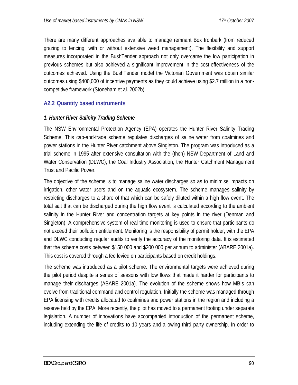There are many different approaches available to manage remnant Box Ironbark (from reduced grazing to fencing, with or without extensive weed management). The flexibility and support measures incorporated in the BushTender approach not only overcame the low participation in previous schemes but also achieved a significant improvement in the cost-effectiveness of the outcomes achieved. Using the BushTender model the Victorian Government was obtain similar outcomes using \$400,000 of incentive payments as they could achieve using \$2.7 million in a noncompetitive framework (Stoneham et al. 2002b).

### **A2.2 Quantity based instruments**

### *1. Hunter River Salinity Trading Scheme*

The NSW Environmental Protection Agency (EPA) operates the Hunter River Salinity Trading Scheme. This cap-and-trade scheme regulates discharges of saline water from coalmines and power stations in the Hunter River catchment above Singleton. The program was introduced as a trial scheme in 1995 after extensive consultation with the (then) NSW Department of Land and Water Conservation (DLWC), the Coal Industry Association, the Hunter Catchment Management Trust and Pacific Power.

The objective of the scheme is to manage saline water discharges so as to minimise impacts on irrigation, other water users and on the aquatic ecosystem. The scheme manages salinity by restricting discharges to a share of that which can be safely diluted within a high flow event. The total salt that can be discharged during the high flow event is calculated according to the ambient salinity in the Hunter River and concentration targets at key points in the river (Denman and Singleton). A comprehensive system of real time monitoring is used to ensure that participants do not exceed their pollution entitlement. Monitoring is the responsibility of permit holder, with the EPA and DLWC conducting regular audits to verify the accuracy of the monitoring data. It is estimated that the scheme costs between \$150 000 and \$200 000 per annum to administer (ABARE 2001a). This cost is covered through a fee levied on participants based on credit holdings.

The scheme was introduced as a pilot scheme. The environmental targets were achieved during the pilot period despite a series of seasons with low flows that made it harder for participants to manage their discharges (ABARE 2001a). The evolution of the scheme shows how MBIs can evolve from traditional command and control regulation. Initially the scheme was managed through EPA licensing with credits allocated to coalmines and power stations in the region and including a reserve held by the EPA. More recently, the pilot has moved to a permanent footing under separate legislation. A number of innovations have accompanied introduction of the permanent scheme, including extending the life of credits to 10 years and allowing third party ownership. In order to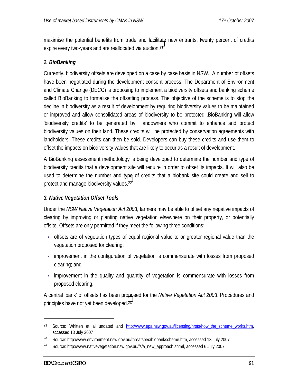maximise the potential benefits from trade and facilitate new entrants, twenty percent of credits expire every two-years and are reallocated via auction.21

### *2. BioBanking*

Currently, biodiversity offsets are developed on a case by case basis in NSW. A number of offsets have been negotiated during the development consent process. The Department of Environment and Climate Change (DECC) is proposing to implement a biodiversity offsets and banking scheme called BioBanking to formalise the offsetting process. The objective of the scheme is to stop the decline in biodiversity as a result of development by requiring biodiversity values to be maintained or improved and allow consolidated areas of biodiversity to be protected .BioBanking will allow 'biodiversity credits' to be generated by landowners who commit to enhance and protect biodiversity values on their land. These credits will be protected by conservation agreements with landholders. These credits can then be sold. Developers can buy these credits and use them to offset the impacts on biodiversity values that are likely to occur as a result of development.

A BioBanking assessment methodology is being developed to determine the number and type of biodiversity credits that a development site will require in order to offset its impacts. It will also be used to determine the number and type of credits that a biobank site could create and sell to protect and manage biodiversity values.22

### *3. Native Vegetation Offset Tools*

Under the *NSW Native Vegetation Act 2003*, farmers may be able to offset any negative impacts of clearing by improving or planting native vegetation elsewhere on their property, or potentially offsite. Offsets are only permitted if they meet the following three conditions:

- offsets are of vegetation types of equal regional value to or greater regional value than the vegetation proposed for clearing;
- improvement in the configuration of vegetation is commensurate with losses from proposed clearing; and
- improvement in the quality and quantity of vegetation is commensurate with losses from proposed clearing.

A central 'bank' of offsets has been proposed for the *Native Vegetation Act 2003*. Procedures and principles have not yet been developed.23

<sup>&</sup>lt;sup>21</sup> Source: Whitten et al undated and http://www.epa.nsw.gov.au/licensing/hrsts/how\_the\_scheme\_works.htm, accessed 13 July 2007

<sup>&</sup>lt;sup>22</sup> Source: http://www.environment.nsw.gov.au/threatspec/biobankscheme.htm, accessed 13 July 2007

<sup>&</sup>lt;sup>23</sup> Source: http://www.nativevegetation.nsw.gov.au/fs/a\_new\_approach.shtml, accessed 6 July 2007.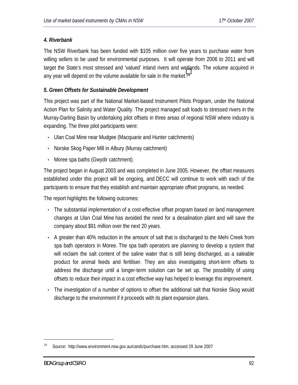### *4. Riverbank*

The NSW Riverbank has been funded with \$105 million over five years to purchase water from willing sellers to be used for environmental purposes. It will operate from 2006 to 2011 and will target the State's most stressed and 'valued' inland rivers and wetlands. The volume acquired in any year will depend on the volume available for sale in the market.<sup>24</sup>

### *5. Green Offsets for Sustainable Development*

This project was part of the National Market-based Instrument Pilots Program, under the National Action Plan for Salinity and Water Quality. The project managed salt loads to stressed rivers in the Murray-Darling Basin by undertaking pilot offsets in three areas of regional NSW where industry is expanding. The three pilot participants were:

- Ulan Coal Mine near Mudgee (Macquarie and Hunter catchments)
- Norske Skog Paper Mill in Albury (Murray catchment)
- Moree spa baths (Gwydir catchment).

The project began in August 2003 and was completed in June 2005. However, the offset measures established under this project will be ongoing, and DECC will continue to work with each of the participants to ensure that they establish and maintain appropriate offset programs, as needed.

The report highlights the following outcomes:

- The substantial implementation of a cost-effective offset program based on land management changes at Ulan Coal Mine has avoided the need for a desalination plant and will save the company about \$91 million over the next 20 years.
- A greater than 40% reduction in the amount of salt that is discharged to the Mehi Creek from spa bath operators in Moree. The spa bath operators are planning to develop a system that will reclaim the salt content of the saline water that is still being discharged, as a saleable product for animal feeds and fertiliser. They are also investigating short-term offsets to address the discharge until a longer-term solution can be set up. The possibility of using offsets to reduce their impact in a cost effective way has helped to leverage this improvement.
- The investigation of a number of options to offset the additional salt that Norske Skog would discharge to the environment if it proceeds with its plant expansion plans.

<u>.</u>

 $24$  Source: http://www.environment.nsw.gov.au/candc/purchase.htm, accessed 29 June 2007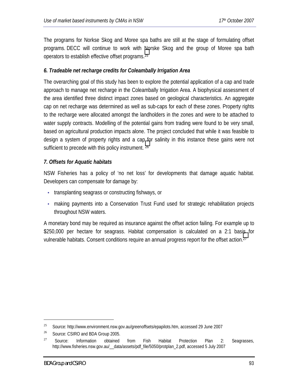The programs for Norkse Skog and Moree spa baths are still at the stage of formulating offset programs. DECC will continue to work with Norske Skog and the group of Moree spa bath operators to establish effective offset programs.25

### *6. Tradeable net recharge credits for Coleambally Irrigation Area*

The overarching goal of this study has been to explore the potential application of a cap and trade approach to manage net recharge in the Coleambally Irrigation Area. A biophysical assessment of the area identified three distinct impact zones based on geological characteristics. An aggregate cap on net recharge was determined as well as sub-caps for each of these zones. Property rights to the recharge were allocated amongst the landholders in the zones and were to be attached to water supply contracts. Modelling of the potential gains from trading were found to be very small, based on agricultural production impacts alone. The project concluded that while it was feasible to design a system of property rights and a cap for salinity in this instance these gains were not sufficient to precede with this policy instrument. 26

### *7. Offsets for Aquatic habitats*

NSW Fisheries has a policy of 'no net loss' for developments that damage aquatic habitat. Developers can compensate for damage by:

- transplanting seagrass or constructing fishways, or
- making payments into a Conservation Trust Fund used for strategic rehabilitation projects throughout NSW waters.

A monetary bond may be required as insurance against the offset action failing. For example up to \$250,000 per hectare for seagrass. Habitat compensation is calculated on a 2:1 basis for vulnerable habitats. Consent conditions require an annual progress report for the offset action.27

<sup>&</sup>lt;sup>25</sup> Source: http://www.environment.nsw.gov.au/greenoffsets/epapilots.htm, accessed 29 June 2007

<sup>&</sup>lt;sup>26</sup> Source: CSIRO and BDA Group 2005.

<sup>&</sup>lt;sup>27</sup> Source: Information obtained from Fish Habitat Protection Plan 2: Seagrasses, http://www.fisheries.nsw.gov.au/\_\_data/assets/pdf\_file/5050/protplan\_2.pdf, accessed 5 July 2007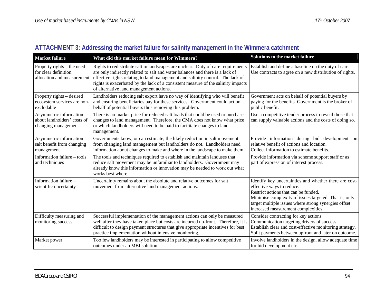|  | ATTACHMENT 3: Addressing the market failure for salinity management in the Wimmera catchment |  |
|--|----------------------------------------------------------------------------------------------|--|
|  |                                                                                              |  |

| <b>Market failure</b>                                                             | What did this market failure mean for Wimmera?                                                                                                                                                                                                                                                                                                                                      | Solutions to the market failure                                                                                                                                                                                                                                                     |
|-----------------------------------------------------------------------------------|-------------------------------------------------------------------------------------------------------------------------------------------------------------------------------------------------------------------------------------------------------------------------------------------------------------------------------------------------------------------------------------|-------------------------------------------------------------------------------------------------------------------------------------------------------------------------------------------------------------------------------------------------------------------------------------|
| Property rights – the need<br>for clear definition,<br>allocation and measurement | Rights to redistribute salt in landscapes are unclear. Duty of care requirements<br>are only indirectly related to salt and water balances and there is a lack of<br>effective rights relating to land management and salinity control. The lack of<br>rights is exacerbated by the lack of a consistent measure of the salinity impacts<br>of alternative land management actions. | Establish and define a baseline on the duty of care.<br>Use contracts to agree on a new distribution of rights.                                                                                                                                                                     |
| Property rights – desired<br>ecosystem services are non-<br>excludable            | Landholders reducing salt export have no way of identifying who will benefit<br>and ensuring beneficiaries pay for these services. Government could act on<br>behalf of potential buyers thus removing this problem.                                                                                                                                                                | Government acts on behalf of potential buyers by<br>paying for the benefits. Government is the broker of<br>public benefit.                                                                                                                                                         |
| Asymmetric information -<br>about landholders' costs of<br>changing management    | There is no market price for reduced salt loads that could be used to purchase<br>changes to land management. Therefore, the CMA does not know what price<br>or which landholders will need to be paid to facilitate changes to land<br>management.                                                                                                                                 | Use a competitive tender process to reveal those that<br>can supply valuable actions and the costs of doing so.                                                                                                                                                                     |
| Asymmetric information -<br>salt benefit from changing<br>management              | Governments know, or can estimate, the likely reduction in salt movement<br>from changing land management but landholders do not. Landholders need<br>information about changes to make and where in the landscape to make them.                                                                                                                                                    | Provide information during bid development on<br>relative benefit of actions and location.<br>Collect information to estimate benefits.                                                                                                                                             |
| Information failure - tools<br>and techniques                                     | The tools and techniques required to establish and maintain landuses that<br>reduce salt movement may be unfamiliar to landholders. Government may<br>already know this information or innovation may be needed to work out what<br>works best where.                                                                                                                               | Provide information via scheme support staff or as<br>part of expression of interest process.                                                                                                                                                                                       |
| Information failure -<br>scientific uncertainty                                   | Uncertainty remains about the absolute and relative outcomes for salt<br>movement from alternative land management actions.                                                                                                                                                                                                                                                         | Identify key uncertainties and whether there are cost-<br>effective ways to reduce.<br>Restrict actions that can be funded.<br>Minimise complexity of issues targeted. That is, only<br>target multiple issues where strong synergies offset<br>increased measurement complexities. |
| Difficulty measuring and<br>monitoring success                                    | Successful implementation of the management actions can only be measured<br>well after they have taken place but costs are incurred up-front. Therefore, it is<br>difficult to design payment structures that give appropriate incentives for best<br>practice implementation without intensive monitoring.                                                                         | Consider contracting for key actions.<br>Communication targeting drivers of success.<br>Establish clear and cost-effective monitoring strategy.<br>Split payments between upfront and later on outcome.                                                                             |
| Market power                                                                      | Too few landholders may be interested in participating to allow competitive<br>outcomes under an MBI solution.                                                                                                                                                                                                                                                                      | Involve landholders in the design, allow adequate time<br>for bid development etc.                                                                                                                                                                                                  |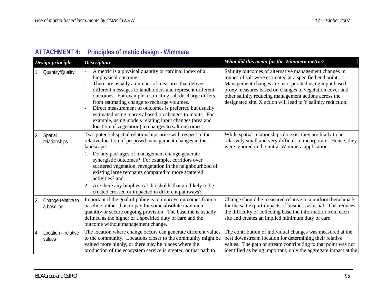# **ATTACHMENT 4: Principles of metric design - Wimmera**

| Design principle |                                  | <b>Description</b>                                                                                                                                                                                                                                                                                                                                                                                                                                                                                                                                    | What did this mean for the Wimmera metric?                                                                                                                                                                                                                                                                                                                     |
|------------------|----------------------------------|-------------------------------------------------------------------------------------------------------------------------------------------------------------------------------------------------------------------------------------------------------------------------------------------------------------------------------------------------------------------------------------------------------------------------------------------------------------------------------------------------------------------------------------------------------|----------------------------------------------------------------------------------------------------------------------------------------------------------------------------------------------------------------------------------------------------------------------------------------------------------------------------------------------------------------|
|                  | Quantity/Quality                 | A metric is a physical quantity or cardinal index of a<br>biophysical outcome.<br>There are usually a number of measures that deliver<br>different messages to landholders and represent different<br>outcomes. For example, estimating salt discharge differs<br>from estimating change to recharge volumes.<br>Direct measurement of outcomes is preferred but usually<br>estimated using a proxy based on changes to inputs. For<br>example, using models relating input changes (area and<br>location of vegetation) to changes to salt outcomes. | Salinity outcomes of alternative management changes in<br>tonnes of salt were estimated at a specified end point.<br>Management changes are incorporated using input based<br>proxy measures based on changes to vegetation cover and<br>other salinity reducing management actions across the<br>designated site. X action will lead to Y salinity reduction. |
| 2.               | Spatial<br>relationships         | Two potential spatial relationships arise with respect to the<br>relative location of proposed management changes in the<br>landscape:<br>1. Do any packages of management change generate<br>synergistic outcomes? For example, corridors over<br>scattered vegetation, revegetation in the neighbourhood of<br>existing large remnants compared to more scattered<br>activities? and<br>Are there any biophysical thresholds that are likely to be<br>2.<br>created crossed or impacted in different pathways?                                      | While spatial relationships do exist they are likely to be<br>relatively small and very difficult to incorporate. Hence, they<br>were ignored in the initial Wimmera application.                                                                                                                                                                              |
| 3.               | Change relative to<br>a baseline | Important if the goal of policy is to improve outcomes from a<br>baseline, rather than to pay for some absolute maximum<br>quantity or secure ongoing provision. The baseline is usually<br>defined as the higher of a specified duty of care and the<br>outcome without management change.                                                                                                                                                                                                                                                           | Change should be measured relative to a uniform benchmark<br>for the salt export impacts of business as usual. This reduces<br>the difficulty of collecting baseline information from each<br>site and creates an implied minimum duty of care.                                                                                                                |
| 4.               | Location - relative<br>values    | The location where change occurs can generate different values<br>to the community. Locations closer to the community might be<br>valued more highly, or there may be places where the<br>production of the ecosystem service is greater, or that path to                                                                                                                                                                                                                                                                                             | The contribution of individual changes was measured at the<br>best downstream location for determining their relative<br>values. The path or stream contributing to that point was not<br>identified as being important, only the aggregate impact at the                                                                                                      |